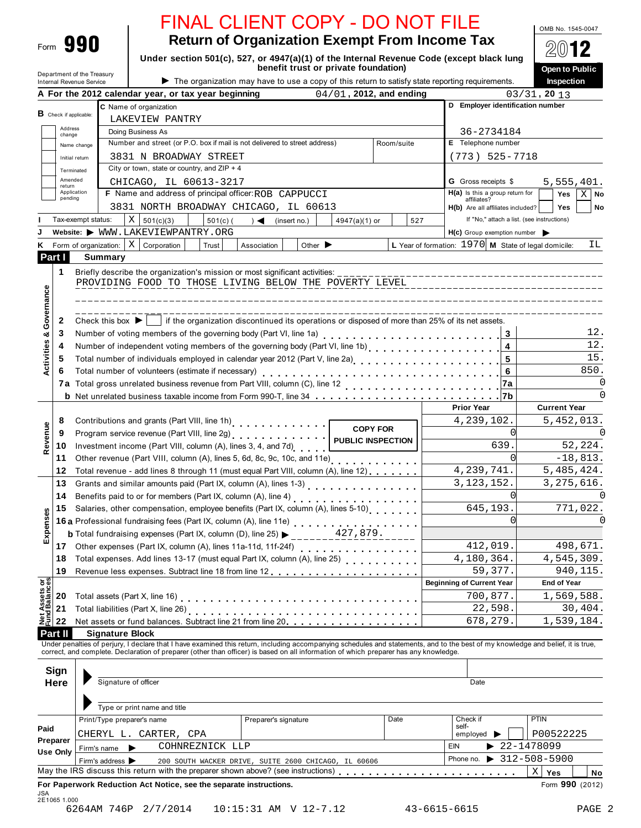| Form | 99 N |
|------|------|
|------|------|

OMB No. 1545-0047

**2012** 

| <b>Return of Organization Exempt From Income Tax</b>                                     |
|------------------------------------------------------------------------------------------|
| Under section 501(c), 527, or 4947(a)(1) of the Internal Revenue Code (except black lung |
| benefit trust or private foundation)                                                     |

|                                                                                                          |                          | Department of the Treasury           |                                                                                                  |                                                                                                                                                                                  |                            |     |                                                                 | Open to Public                                                    |
|----------------------------------------------------------------------------------------------------------|--------------------------|--------------------------------------|--------------------------------------------------------------------------------------------------|----------------------------------------------------------------------------------------------------------------------------------------------------------------------------------|----------------------------|-----|-----------------------------------------------------------------|-------------------------------------------------------------------|
|                                                                                                          | Internal Revenue Service |                                      |                                                                                                  | The organization may have to use a copy of this return to satisfy state reporting requirements.                                                                                  |                            |     |                                                                 | Inspection                                                        |
|                                                                                                          |                          |                                      | A For the 2012 calendar year, or tax year beginning                                              |                                                                                                                                                                                  | $04/01$ , 2012, and ending |     | D Employer identification number                                | $03/31$ , 20 13                                                   |
| <b>B</b> Check if applicable:                                                                            |                          |                                      | C Name of organization                                                                           |                                                                                                                                                                                  |                            |     |                                                                 |                                                                   |
| Address                                                                                                  |                          |                                      | LAKEVIEW PANTRY                                                                                  |                                                                                                                                                                                  |                            |     | 36-2734184                                                      |                                                                   |
| change                                                                                                   |                          |                                      | Doing Business As<br>Number and street (or P.O. box if mail is not delivered to street address)  |                                                                                                                                                                                  | Room/suite                 |     | E Telephone number                                              |                                                                   |
|                                                                                                          | Name change              |                                      |                                                                                                  |                                                                                                                                                                                  |                            |     |                                                                 |                                                                   |
|                                                                                                          | Initial return           |                                      | 3831 N BROADWAY STREET<br>City or town, state or country, and $ZIP + 4$                          |                                                                                                                                                                                  |                            |     | $(773)$ 525-7718                                                |                                                                   |
|                                                                                                          | Terminated<br>Amended    |                                      |                                                                                                  |                                                                                                                                                                                  |                            |     |                                                                 |                                                                   |
| return                                                                                                   | Application              |                                      | CHICAGO, IL 60613-3217<br>F Name and address of principal officer: ROB CAPPUCCI                  |                                                                                                                                                                                  |                            |     | <b>G</b> Gross receipts \$<br>$H(a)$ is this a group return for | 5,555,401.                                                        |
| pending                                                                                                  |                          |                                      |                                                                                                  |                                                                                                                                                                                  |                            |     | affiliates?                                                     | X <sub>1</sub><br>Yes<br>No                                       |
|                                                                                                          |                          |                                      | 3831 NORTH BROADWAY CHICAGO, IL 60613                                                            |                                                                                                                                                                                  |                            |     | H(b) Are all affiliates included?                               | Yes<br>No                                                         |
|                                                                                                          | Tax-exempt status:       |                                      | X<br>501(c)(3)<br>$501(c)$ (                                                                     | (insert no.)<br>4947(a)(1) or<br>$\rightarrow$                                                                                                                                   | 527                        |     | If "No," attach a list. (see instructions)                      |                                                                   |
|                                                                                                          |                          |                                      | Website: WWW.LAKEVIEWPANTRY.ORG                                                                  |                                                                                                                                                                                  |                            |     | $H(c)$ Group exemption number $\triangleright$                  |                                                                   |
|                                                                                                          |                          | Form of organization:                | $X$ Corporation<br>Trust                                                                         | Other $\blacktriangleright$<br>Association                                                                                                                                       |                            |     | L Year of formation: 1970 M State of legal domicile:            | IL.                                                               |
| Part I                                                                                                   |                          | Summary                              |                                                                                                  |                                                                                                                                                                                  |                            |     |                                                                 |                                                                   |
| 1                                                                                                        |                          |                                      |                                                                                                  |                                                                                                                                                                                  |                            |     |                                                                 |                                                                   |
|                                                                                                          |                          |                                      |                                                                                                  | PROVIDING FOOD TO THOSE LIVING BELOW THE POVERTY LEVEL                                                                                                                           |                            |     |                                                                 |                                                                   |
|                                                                                                          |                          |                                      |                                                                                                  |                                                                                                                                                                                  |                            |     |                                                                 |                                                                   |
|                                                                                                          |                          |                                      |                                                                                                  |                                                                                                                                                                                  |                            |     |                                                                 |                                                                   |
| Governance<br>2                                                                                          |                          | Check this box $\blacktriangleright$ |                                                                                                  | if the organization discontinued its operations or disposed of more than 25% of its net assets.                                                                                  |                            |     |                                                                 |                                                                   |
| 3<br>ಳ                                                                                                   |                          |                                      |                                                                                                  |                                                                                                                                                                                  |                            |     | 3                                                               | 12.                                                               |
| Activities<br>4                                                                                          |                          |                                      |                                                                                                  | Number of independent voting members of the governing body (Part VI, line 1b)<br>Number of independent voting members of the governing body (Part VI, line 1b)                   |                            |     | 4                                                               | 12.                                                               |
| 5                                                                                                        |                          |                                      |                                                                                                  | Total number of individuals employed in calendar year 2012 (Part V, line 2a)<br>Total number of individuals employed in calendar year 2012 (Part V, line 2a)                     |                            |     | 5                                                               | 15.                                                               |
| 6                                                                                                        |                          |                                      | Total number of volunteers (estimate if necessary)                                               |                                                                                                                                                                                  |                            |     | 6                                                               | 850.                                                              |
| 7a                                                                                                       |                          |                                      |                                                                                                  |                                                                                                                                                                                  |                            |     | 7a                                                              |                                                                   |
|                                                                                                          |                          |                                      |                                                                                                  |                                                                                                                                                                                  |                            |     |                                                                 |                                                                   |
|                                                                                                          |                          |                                      |                                                                                                  |                                                                                                                                                                                  |                            |     | <b>Prior Year</b>                                               | <b>Current Year</b>                                               |
| 8                                                                                                        |                          |                                      | Contributions and grants (Part VIII, line 1h)<br>                                                |                                                                                                                                                                                  | <b>COPY FOR</b>            |     | 4,239,102.                                                      | 5,452,013.                                                        |
| 9                                                                                                        |                          |                                      | Program service revenue (Part VIII, line 2g)                                                     |                                                                                                                                                                                  |                            |     | O                                                               |                                                                   |
| Revenue<br>10                                                                                            |                          |                                      | <b>PUBLIC INSPECTION</b><br>639<br>Investment income (Part VIII, column (A), lines 3, 4, and 7d) |                                                                                                                                                                                  |                            |     |                                                                 |                                                                   |
|                                                                                                          |                          |                                      |                                                                                                  |                                                                                                                                                                                  |                            |     |                                                                 |                                                                   |
| 11                                                                                                       |                          |                                      |                                                                                                  |                                                                                                                                                                                  |                            |     | ∩                                                               |                                                                   |
| 12                                                                                                       |                          |                                      |                                                                                                  | Total revenue - add lines 8 through 11 (must equal Part VIII, column (A), line 12)                                                                                               |                            |     | 4, 239, 741.                                                    | 52,224.<br>$-18,813.$<br>5,485,424.                               |
| 13                                                                                                       |                          |                                      |                                                                                                  |                                                                                                                                                                                  |                            |     | 3, 123, 152.                                                    | 3, 275, 616.                                                      |
| 14                                                                                                       |                          |                                      |                                                                                                  |                                                                                                                                                                                  |                            |     | ∩                                                               |                                                                   |
| 15                                                                                                       |                          |                                      |                                                                                                  | Benefits paid to or for members (Part IX, column (A), line 4)<br><br>Salaries, other compensation, employee benefits (Part IX, column (A), lines 5-10)                           |                            |     | 645,193.                                                        |                                                                   |
|                                                                                                          |                          |                                      |                                                                                                  | 16 a Professional fundraising fees (Part IX, column (A), line 11e)<br>16 a Professional fundraising fees (Part IX, column (A), line 11e)                                         |                            |     | ∩                                                               |                                                                   |
|                                                                                                          |                          |                                      |                                                                                                  | <b>b</b> Total fundraising expenses (Part IX, column (D), line 25) $\triangleright$ 427, 879.                                                                                    |                            |     |                                                                 |                                                                   |
| 17                                                                                                       |                          |                                      |                                                                                                  |                                                                                                                                                                                  |                            |     | 412,019.                                                        |                                                                   |
| 18                                                                                                       |                          |                                      |                                                                                                  | Total expenses. Add lines 13-17 (must equal Part IX, column (A), line 25)                                                                                                        |                            |     | 4,180,364.                                                      |                                                                   |
| 19                                                                                                       |                          |                                      |                                                                                                  |                                                                                                                                                                                  |                            |     | 59,377.                                                         |                                                                   |
|                                                                                                          |                          |                                      |                                                                                                  |                                                                                                                                                                                  |                            |     | <b>Beginning of Current Year</b>                                | <b>End of Year</b>                                                |
| 20                                                                                                       |                          |                                      |                                                                                                  |                                                                                                                                                                                  |                            |     | 700,877.                                                        | 771,022.<br>O<br>498,671.<br>4,545,309.<br>940,115.<br>1,569,588. |
| 21                                                                                                       |                          |                                      |                                                                                                  |                                                                                                                                                                                  |                            |     | 22,598.                                                         |                                                                   |
| 22                                                                                                       |                          |                                      |                                                                                                  | Net assets or fund balances. Subtract line 21 from line 20.                                                                                                                      |                            |     | 678,279.                                                        |                                                                   |
|                                                                                                          |                          | <b>Signature Block</b>               |                                                                                                  |                                                                                                                                                                                  |                            |     |                                                                 |                                                                   |
|                                                                                                          |                          |                                      |                                                                                                  | Under penalties of perjury, I declare that I have examined this return, including accompanying schedules and statements, and to the best of my knowledge and belief, it is true, |                            |     |                                                                 |                                                                   |
|                                                                                                          |                          |                                      |                                                                                                  | correct, and complete. Declaration of preparer (other than officer) is based on all information of which preparer has any knowledge.                                             |                            |     |                                                                 |                                                                   |
|                                                                                                          |                          |                                      |                                                                                                  |                                                                                                                                                                                  |                            |     |                                                                 |                                                                   |
|                                                                                                          |                          | Signature of officer                 |                                                                                                  |                                                                                                                                                                                  |                            |     | Date                                                            |                                                                   |
|                                                                                                          |                          |                                      |                                                                                                  |                                                                                                                                                                                  |                            |     |                                                                 |                                                                   |
|                                                                                                          |                          |                                      | Type or print name and title                                                                     |                                                                                                                                                                                  |                            |     |                                                                 |                                                                   |
|                                                                                                          |                          |                                      | Print/Type preparer's name                                                                       | Preparer's signature                                                                                                                                                             | Date                       |     | Check if                                                        | <b>PTIN</b>                                                       |
|                                                                                                          |                          |                                      | CHERYL L. CARTER, CPA                                                                            |                                                                                                                                                                                  |                            |     | self-<br>employed                                               | P00522225                                                         |
|                                                                                                          |                          |                                      | COHNREZNICK LLP<br>▶                                                                             |                                                                                                                                                                                  |                            | EIN |                                                                 | $\blacktriangleright$ 22-1478099                                  |
| penses<br>ű<br>Net Assets or<br>Fund Balances<br>Part II<br>Sign<br>Here<br>Paid<br>Preparer<br>Use Only |                          | Firm's name<br>Firm's address >      |                                                                                                  | 200 SOUTH WACKER DRIVE, SUITE 2600 CHICAGO, IL 60606                                                                                                                             |                            |     | Phone no.                                                       | 30,404.<br>1,539,184.<br>$\triangleright$ 312-508-5900            |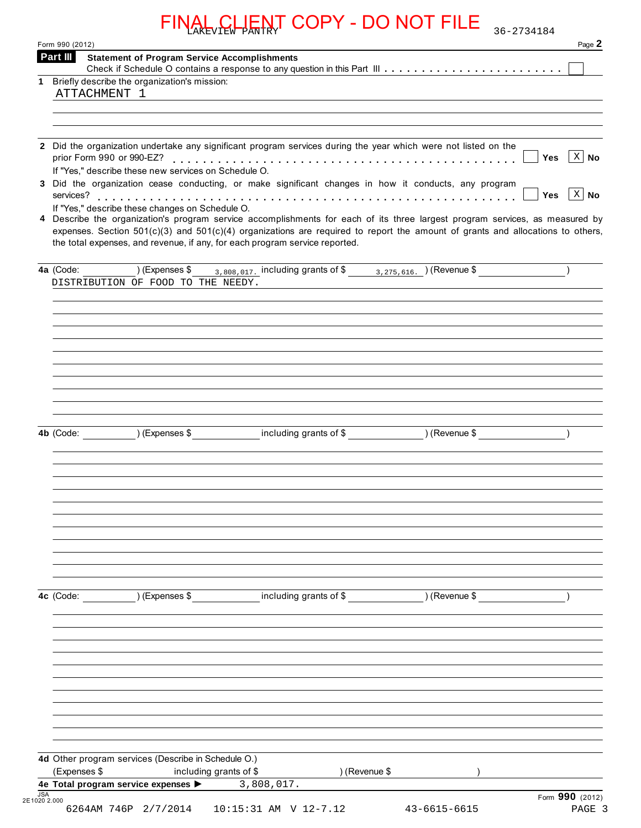|    | Form 990 (2012)                                                                   |                                                     |                                                                             |                                                                                                                                                                                                                                                                | 36-2734184<br>Page 2               |
|----|-----------------------------------------------------------------------------------|-----------------------------------------------------|-----------------------------------------------------------------------------|----------------------------------------------------------------------------------------------------------------------------------------------------------------------------------------------------------------------------------------------------------------|------------------------------------|
|    | Part III                                                                          | <b>Statement of Program Service Accomplishments</b> |                                                                             |                                                                                                                                                                                                                                                                |                                    |
|    |                                                                                   |                                                     |                                                                             |                                                                                                                                                                                                                                                                |                                    |
| 1. | Briefly describe the organization's mission:<br>ATTACHMENT 1                      |                                                     |                                                                             |                                                                                                                                                                                                                                                                |                                    |
|    |                                                                                   |                                                     |                                                                             |                                                                                                                                                                                                                                                                |                                    |
|    |                                                                                   |                                                     |                                                                             | 2 Did the organization undertake any significant program services during the year which were not listed on the                                                                                                                                                 |                                    |
|    | prior Form 990 or 990-EZ?<br>If "Yes," describe these new services on Schedule O. |                                                     |                                                                             |                                                                                                                                                                                                                                                                | $X \mid N$ o<br><b>Yes</b>         |
|    | services?                                                                         |                                                     |                                                                             | 3 Did the organization cease conducting, or make significant changes in how it conducts, any program                                                                                                                                                           | $\vert$ X $\vert$ No<br><b>Yes</b> |
|    | If "Yes," describe these changes on Schedule O.                                   |                                                     |                                                                             | 4 Describe the organization's program service accomplishments for each of its three largest program services, as measured by<br>expenses. Section 501(c)(3) and 501(c)(4) organizations are required to report the amount of grants and allocations to others, |                                    |
|    |                                                                                   |                                                     | the total expenses, and revenue, if any, for each program service reported. |                                                                                                                                                                                                                                                                |                                    |
|    | 4a (Code:<br>DISTRIBUTION OF FOOD TO THE NEEDY.                                   | ) (Expenses \$                                      | 3,808,017. including grants of \$                                           | $3,275,616.$ (Revenue \$)                                                                                                                                                                                                                                      |                                    |
|    |                                                                                   |                                                     |                                                                             |                                                                                                                                                                                                                                                                |                                    |
|    |                                                                                   |                                                     |                                                                             |                                                                                                                                                                                                                                                                |                                    |
|    |                                                                                   |                                                     |                                                                             |                                                                                                                                                                                                                                                                |                                    |
|    |                                                                                   |                                                     |                                                                             |                                                                                                                                                                                                                                                                |                                    |
|    |                                                                                   |                                                     |                                                                             |                                                                                                                                                                                                                                                                |                                    |
|    |                                                                                   |                                                     |                                                                             |                                                                                                                                                                                                                                                                |                                    |
|    | 4b (Code:                                                                         | ) (Expenses \$                                      | including grants of \$                                                      | ) (Revenue \$                                                                                                                                                                                                                                                  |                                    |
|    |                                                                                   |                                                     |                                                                             |                                                                                                                                                                                                                                                                |                                    |
|    |                                                                                   |                                                     |                                                                             |                                                                                                                                                                                                                                                                |                                    |
|    |                                                                                   |                                                     |                                                                             |                                                                                                                                                                                                                                                                |                                    |
|    |                                                                                   |                                                     |                                                                             |                                                                                                                                                                                                                                                                |                                    |
|    |                                                                                   |                                                     |                                                                             |                                                                                                                                                                                                                                                                |                                    |
|    |                                                                                   |                                                     |                                                                             |                                                                                                                                                                                                                                                                |                                    |
|    |                                                                                   |                                                     |                                                                             |                                                                                                                                                                                                                                                                |                                    |
|    | 4c (Code:                                                                         | ) (Expenses \$                                      | including grants of \$                                                      | ) (Revenue \$                                                                                                                                                                                                                                                  |                                    |
|    |                                                                                   |                                                     |                                                                             |                                                                                                                                                                                                                                                                |                                    |
|    |                                                                                   |                                                     |                                                                             |                                                                                                                                                                                                                                                                |                                    |
|    |                                                                                   |                                                     |                                                                             |                                                                                                                                                                                                                                                                |                                    |
|    |                                                                                   |                                                     |                                                                             |                                                                                                                                                                                                                                                                |                                    |
|    |                                                                                   |                                                     |                                                                             |                                                                                                                                                                                                                                                                |                                    |
|    |                                                                                   |                                                     |                                                                             |                                                                                                                                                                                                                                                                |                                    |
|    |                                                                                   |                                                     |                                                                             |                                                                                                                                                                                                                                                                |                                    |
|    | 4d Other program services (Describe in Schedule O.)                               |                                                     |                                                                             |                                                                                                                                                                                                                                                                |                                    |
|    | (Expenses \$                                                                      | including grants of \$                              | ) (Revenue \$                                                               |                                                                                                                                                                                                                                                                |                                    |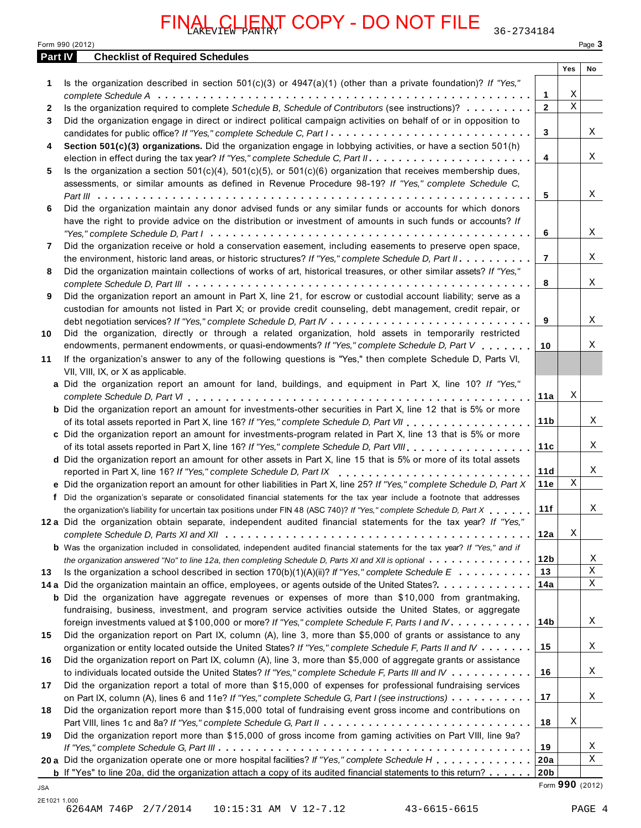|  |  | Form 990 (2012) |  |
|--|--|-----------------|--|
|--|--|-----------------|--|

|         | <u> JENT COPY - DO NOT FILE</u><br>36-2734184<br>AKEVIEW PANTR                                                                      |                 |             |                  |
|---------|-------------------------------------------------------------------------------------------------------------------------------------|-----------------|-------------|------------------|
| Part IV | Form 990 (2012)<br><b>Checklist of Required Schedules</b>                                                                           |                 |             | Page 3           |
|         |                                                                                                                                     |                 | Yes         | No               |
| 1       | Is the organization described in section $501(c)(3)$ or $4947(a)(1)$ (other than a private foundation)? If "Yes,"                   |                 |             |                  |
|         |                                                                                                                                     | 1               | Χ           |                  |
| 2       | Is the organization required to complete Schedule B, Schedule of Contributors (see instructions)?                                   | $\overline{2}$  | $\mathbf X$ |                  |
| 3       | Did the organization engage in direct or indirect political campaign activities on behalf of or in opposition to                    |                 |             |                  |
|         | candidates for public office? If "Yes," complete Schedule C, Part I.                                                                | 3               |             | Χ                |
| 4       | Section 501(c)(3) organizations. Did the organization engage in lobbying activities, or have a section 501(h)                       |                 |             |                  |
|         |                                                                                                                                     | 4               |             | Χ                |
| 5       | Is the organization a section $501(c)(4)$ , $501(c)(5)$ , or $501(c)(6)$ organization that receives membership dues,                |                 |             |                  |
|         | assessments, or similar amounts as defined in Revenue Procedure 98-19? If "Yes," complete Schedule C,                               |                 |             |                  |
|         |                                                                                                                                     | 5               |             | Χ                |
| 6       | Did the organization maintain any donor advised funds or any similar funds or accounts for which donors                             |                 |             |                  |
|         | have the right to provide advice on the distribution or investment of amounts in such funds or accounts? If                         |                 |             |                  |
|         |                                                                                                                                     | 6               |             | Χ                |
| 7       | Did the organization receive or hold a conservation easement, including easements to preserve open space,                           |                 |             |                  |
|         |                                                                                                                                     | $\overline{7}$  |             | Χ                |
|         | the environment, historic land areas, or historic structures? If "Yes," complete Schedule D, Part II.                               |                 |             |                  |
| 8       | Did the organization maintain collections of works of art, historical treasures, or other similar assets? If "Yes,"                 |                 |             | Χ                |
|         |                                                                                                                                     | 8               |             |                  |
| 9       | Did the organization report an amount in Part X, line 21, for escrow or custodial account liability; serve as a                     |                 |             |                  |
|         | custodian for amounts not listed in Part X; or provide credit counseling, debt management, credit repair, or                        |                 |             |                  |
|         |                                                                                                                                     | 9               |             | Χ                |
| 10      | Did the organization, directly or through a related organization, hold assets in temporarily restricted                             |                 |             |                  |
|         | endowments, permanent endowments, or quasi-endowments? If "Yes," complete Schedule D, Part V                                        | 10              |             | X                |
| 11      | If the organization's answer to any of the following questions is "Yes," then complete Schedule D, Parts VI,                        |                 |             |                  |
|         | VII, VIII, IX, or X as applicable.                                                                                                  |                 |             |                  |
|         | a Did the organization report an amount for land, buildings, and equipment in Part X, line 10? If "Yes,"                            |                 |             |                  |
|         |                                                                                                                                     | 11a             | Χ           |                  |
|         | <b>b</b> Did the organization report an amount for investments-other securities in Part X, line 12 that is 5% or more               |                 |             |                  |
|         | of its total assets reported in Part X, line 16? If "Yes," complete Schedule D, Part VII                                            | 11 <sub>b</sub> |             | Χ                |
|         | c Did the organization report an amount for investments-program related in Part X, line 13 that is 5% or more                       |                 |             |                  |
|         |                                                                                                                                     | 11c             |             | Χ                |
|         | d Did the organization report an amount for other assets in Part X, line 15 that is 5% or more of its total assets                  |                 |             |                  |
|         | reported in Part X, line 16? If "Yes," complete Schedule D, Part IX                                                                 | 11d             |             | X                |
|         | e Did the organization report an amount for other liabilities in Part X, line 25? If "Yes," complete Schedule D, Part X             | 11e             | Χ           |                  |
|         | f Did the organization's separate or consolidated financial statements for the tax year include a footnote that addresses           |                 |             |                  |
|         |                                                                                                                                     | 11f             |             | X                |
|         | the organization's liability for uncertain tax positions under FIN 48 (ASC 740)? If "Yes," complete Schedule D, Part X              |                 |             |                  |
|         | 12a Did the organization obtain separate, independent audited financial statements for the tax year? If "Yes,"                      |                 | Χ           |                  |
|         |                                                                                                                                     | 12a             |             |                  |
|         | <b>b</b> Was the organization included in consolidated, independent audited financial statements for the tax year? If "Yes," and if |                 |             |                  |
|         | the organization answered "No" to line 12a, then completing Schedule D, Parts XI and XII is optional                                | 12b             |             | X<br>$\mathbf X$ |
| 13      | Is the organization a school described in section $170(b)(1)(A)(ii)?$ If "Yes," complete Schedule E                                 | 13              |             |                  |
|         | 14 a Did the organization maintain an office, employees, or agents outside of the United States?                                    | 14a             |             | Χ                |
|         | <b>b</b> Did the organization have aggregate revenues or expenses of more than \$10,000 from grantmaking,                           |                 |             |                  |
|         | fundraising, business, investment, and program service activities outside the United States, or aggregate                           |                 |             |                  |
|         | foreign investments valued at \$100,000 or more? If "Yes," complete Schedule F, Parts I and IV                                      | 14b             |             | Χ                |
| 15      | Did the organization report on Part IX, column (A), line 3, more than \$5,000 of grants or assistance to any                        |                 |             |                  |
|         | organization or entity located outside the United States? If "Yes," complete Schedule F, Parts II and IV                            | 15              |             | Χ                |
| 16      | Did the organization report on Part IX, column (A), line 3, more than \$5,000 of aggregate grants or assistance                     |                 |             |                  |
|         | to individuals located outside the United States? If "Yes," complete Schedule F, Parts III and IV                                   | 16              |             | Χ                |
| 17      | Did the organization report a total of more than \$15,000 of expenses for professional fundraising services                         |                 |             |                  |
|         | on Part IX, column (A), lines 6 and 11e? If "Yes," complete Schedule G, Part I (see instructions)                                   | 17              |             | Χ                |
| 18      | Did the organization report more than \$15,000 total of fundraising event gross income and contributions on                         |                 |             |                  |
|         |                                                                                                                                     | 18              | Χ           |                  |
| 19      | Did the organization report more than \$15,000 of gross income from gaming activities on Part VIII, line 9a?                        |                 |             |                  |
|         |                                                                                                                                     | 19              |             | Χ                |
|         | 20 a Did the organization operate one or more hospital facilities? If "Yes," complete Schedule H                                    | 20a             |             | Χ                |
|         |                                                                                                                                     | 20 <sub>b</sub> |             |                  |
|         | <b>b</b> If "Yes" to line 20a, did the organization attach a copy of its audited financial statements to this return? $\ldots$      |                 |             | Form 990 (2012)  |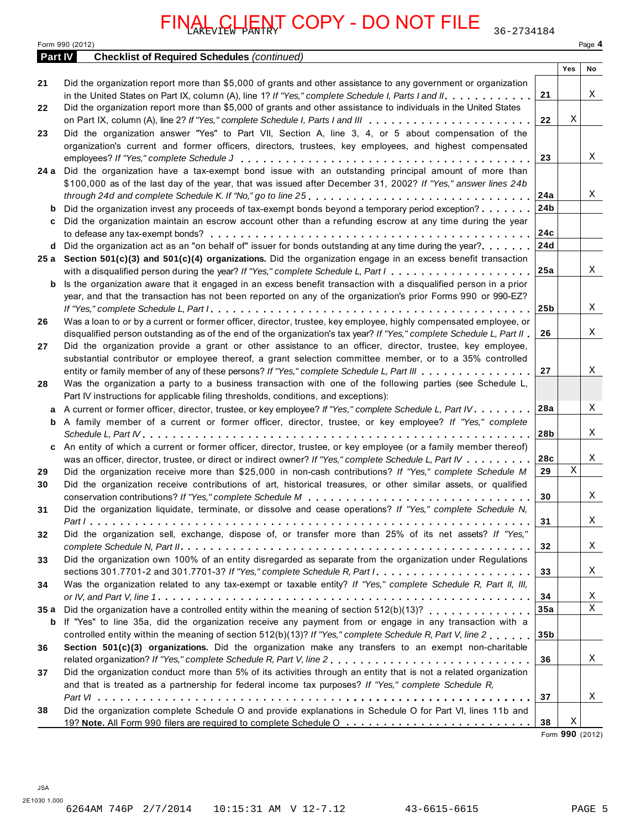|                | <u>VAL, CLIENT</u> COPY - DO NOT FILE<br>36-2734184                                                                                                                                                                                             |                 |                 |        |
|----------------|-------------------------------------------------------------------------------------------------------------------------------------------------------------------------------------------------------------------------------------------------|-----------------|-----------------|--------|
|                | Form 990 (2012)                                                                                                                                                                                                                                 |                 |                 | Page 4 |
| <b>Part IV</b> | <b>Checklist of Required Schedules (continued)</b>                                                                                                                                                                                              |                 | Yes             | No     |
| 21             | Did the organization report more than \$5,000 of grants and other assistance to any government or organization                                                                                                                                  |                 |                 |        |
|                | in the United States on Part IX, column (A), line 1? If "Yes," complete Schedule I, Parts I and II.                                                                                                                                             | 21              |                 | Χ      |
| 22             | Did the organization report more than \$5,000 of grants and other assistance to individuals in the United States                                                                                                                                |                 |                 |        |
|                |                                                                                                                                                                                                                                                 | 22              | Χ               |        |
| 23             | Did the organization answer "Yes" to Part VII, Section A, line 3, 4, or 5 about compensation of the                                                                                                                                             |                 |                 |        |
|                | organization's current and former officers, directors, trustees, key employees, and highest compensated                                                                                                                                         |                 |                 | Χ      |
| 24 a           | Did the organization have a tax-exempt bond issue with an outstanding principal amount of more than                                                                                                                                             | 23              |                 |        |
|                | \$100,000 as of the last day of the year, that was issued after December 31, 2002? If "Yes," answer lines 24b                                                                                                                                   |                 |                 |        |
|                |                                                                                                                                                                                                                                                 | 24a             |                 | Χ      |
| b              | Did the organization invest any proceeds of tax-exempt bonds beyond a temporary period exception?                                                                                                                                               | 24 <sub>b</sub> |                 |        |
| c              | Did the organization maintain an escrow account other than a refunding escrow at any time during the year                                                                                                                                       |                 |                 |        |
|                |                                                                                                                                                                                                                                                 | 24c             |                 |        |
|                | d Did the organization act as an "on behalf of" issuer for bonds outstanding at any time during the year?                                                                                                                                       | 24d             |                 |        |
|                | 25 a Section 501(c)(3) and 501(c)(4) organizations. Did the organization engage in an excess benefit transaction                                                                                                                                | 25a             |                 | Χ      |
| b              | Is the organization aware that it engaged in an excess benefit transaction with a disqualified person in a prior                                                                                                                                |                 |                 |        |
|                | year, and that the transaction has not been reported on any of the organization's prior Forms 990 or 990-EZ?                                                                                                                                    |                 |                 |        |
|                |                                                                                                                                                                                                                                                 | 25 <sub>b</sub> |                 | Χ      |
| 26             | Was a loan to or by a current or former officer, director, trustee, key employee, highly compensated employee, or                                                                                                                               |                 |                 |        |
|                | disqualified person outstanding as of the end of the organization's tax year? If "Yes," complete Schedule L, Part II                                                                                                                            | 26              |                 | Χ      |
| 27             | Did the organization provide a grant or other assistance to an officer, director, trustee, key employee,                                                                                                                                        |                 |                 |        |
|                | substantial contributor or employee thereof, a grant selection committee member, or to a 35% controlled                                                                                                                                         | 27              |                 | Χ      |
| 28             | entity or family member of any of these persons? If "Yes," complete Schedule L, Part III<br>Was the organization a party to a business transaction with one of the following parties (see Schedule L,                                           |                 |                 |        |
|                | Part IV instructions for applicable filing thresholds, conditions, and exceptions):                                                                                                                                                             |                 |                 |        |
| a              | A current or former officer, director, trustee, or key employee? If "Yes," complete Schedule L, Part IV.                                                                                                                                        | 28a             |                 | Χ      |
|                | <b>b</b> A family member of a current or former officer, director, trustee, or key employee? If "Yes," complete                                                                                                                                 |                 |                 |        |
|                |                                                                                                                                                                                                                                                 | 28b             |                 | Χ      |
| c              | An entity of which a current or former officer, director, trustee, or key employee (or a family member thereof)                                                                                                                                 |                 |                 |        |
|                | was an officer, director, trustee, or direct or indirect owner? If "Yes," complete Schedule L, Part IV                                                                                                                                          | 28c             | Χ               | Χ      |
| 29<br>30       | Did the organization receive more than \$25,000 in non-cash contributions? If "Yes," complete Schedule M<br>Did the organization receive contributions of art, historical treasures, or other similar assets, or qualified                      | 29              |                 |        |
|                |                                                                                                                                                                                                                                                 | 30              |                 | Χ      |
| 31             | Did the organization liquidate, terminate, or dissolve and cease operations? If "Yes," complete Schedule N,                                                                                                                                     |                 |                 |        |
|                |                                                                                                                                                                                                                                                 | 31              |                 | X      |
| 32             | Did the organization sell, exchange, dispose of, or transfer more than 25% of its net assets? If "Yes,"                                                                                                                                         |                 |                 |        |
|                |                                                                                                                                                                                                                                                 | 32              |                 | X      |
| 33             | Did the organization own 100% of an entity disregarded as separate from the organization under Regulations                                                                                                                                      |                 |                 | X      |
| 34             | sections 301.7701-2 and 301.7701-3? If "Yes," complete Schedule R, Part $l_1, \ldots, \ldots, \ldots, \ldots, \ldots, \ldots$<br>Was the organization related to any tax-exempt or taxable entity? If "Yes," complete Schedule R, Part II, III, | 33              |                 |        |
|                |                                                                                                                                                                                                                                                 | 34              |                 | Χ      |
| 35a            | Did the organization have a controlled entity within the meaning of section 512(b)(13)?                                                                                                                                                         | 35a             |                 | X      |
| b              | If "Yes" to line 35a, did the organization receive any payment from or engage in any transaction with a                                                                                                                                         |                 |                 |        |
|                | controlled entity within the meaning of section 512(b)(13)? If "Yes," complete Schedule R, Part V, line 2                                                                                                                                       | 35 <sub>b</sub> |                 |        |
| 36             | Section 501(c)(3) organizations. Did the organization make any transfers to an exempt non-charitable                                                                                                                                            |                 |                 |        |
|                | related organization? If "Yes," complete Schedule R, Part V, line 2                                                                                                                                                                             | 36              |                 | X      |
| 37             | Did the organization conduct more than 5% of its activities through an entity that is not a related organization                                                                                                                                |                 |                 |        |
|                | and that is treated as a partnership for federal income tax purposes? If "Yes," complete Schedule R,                                                                                                                                            | 37              |                 | X      |
| 38             | Did the organization complete Schedule O and provide explanations in Schedule O for Part VI, lines 11b and                                                                                                                                      |                 |                 |        |
|                |                                                                                                                                                                                                                                                 | 38              | X               |        |
|                |                                                                                                                                                                                                                                                 |                 | Form 990 (2012) |        |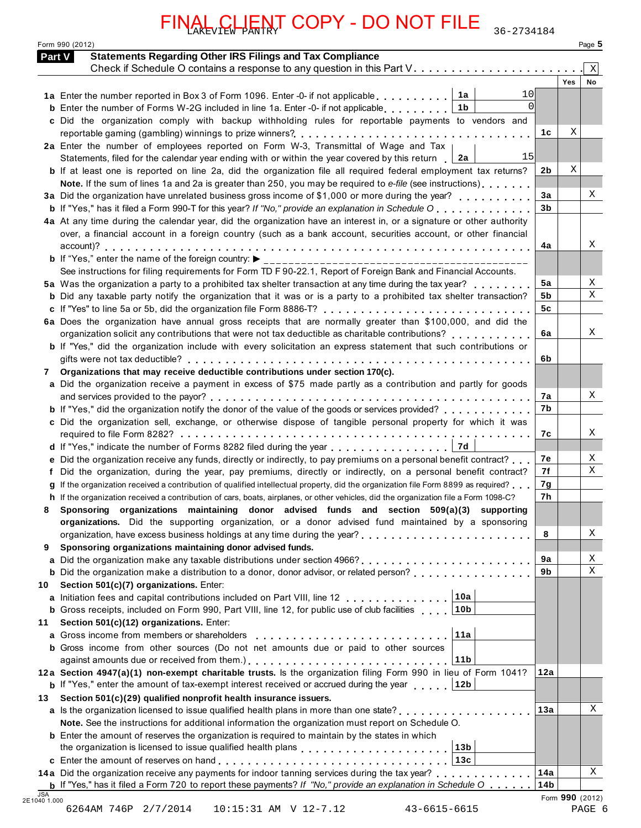|    | Form 990 (2012)<br><b>Statements Regarding Other IRS Filings and Tax Compliance</b><br><b>Part V</b>                                                                                                                                                 |                |     | Page 5       |
|----|------------------------------------------------------------------------------------------------------------------------------------------------------------------------------------------------------------------------------------------------------|----------------|-----|--------------|
|    |                                                                                                                                                                                                                                                      |                |     | $\mathbf{x}$ |
|    |                                                                                                                                                                                                                                                      |                | Yes | No           |
|    | 10<br>1a                                                                                                                                                                                                                                             |                |     |              |
|    | $\Omega$<br><b>b</b> Enter the number of Forms W-2G included in line 1a. Enter -0- if not applicable<br>1b                                                                                                                                           |                |     |              |
|    | c Did the organization comply with backup withholding rules for reportable payments to vendors and                                                                                                                                                   |                |     |              |
|    |                                                                                                                                                                                                                                                      | 1c             | Χ   |              |
|    | 2a Enter the number of employees reported on Form W-3, Transmittal of Wage and Tax                                                                                                                                                                   |                |     |              |
|    | 15<br>Statements, filed for the calendar year ending with or within the year covered by this return $\Box$ 2a                                                                                                                                        |                |     |              |
|    | <b>b</b> If at least one is reported on line 2a, did the organization file all required federal employment tax returns?                                                                                                                              | 2b             | Χ   |              |
|    | Note. If the sum of lines 1a and 2a is greater than 250, you may be required to e-file (see instructions)                                                                                                                                            | 3a             |     | Χ            |
|    | 3a Did the organization have unrelated business gross income of \$1,000 or more during the year?                                                                                                                                                     | 3 <sub>b</sub> |     |              |
|    | <b>b</b> If "Yes," has it filed a Form 990-T for this year? If "No," provide an explanation in Schedule O                                                                                                                                            |                |     |              |
|    | 4a At any time during the calendar year, did the organization have an interest in, or a signature or other authority<br>over, a financial account in a foreign country (such as a bank account, securities account, or other financial               |                |     |              |
|    |                                                                                                                                                                                                                                                      | 4a             |     | Χ            |
|    |                                                                                                                                                                                                                                                      |                |     |              |
|    | See instructions for filing requirements for Form TD F 90-22.1, Report of Foreign Bank and Financial Accounts.                                                                                                                                       |                |     |              |
|    | 5a Was the organization a party to a prohibited tax shelter transaction at any time during the tax year?                                                                                                                                             | 5a             |     | Χ            |
|    | <b>b</b> Did any taxable party notify the organization that it was or is a party to a prohibited tax shelter transaction?                                                                                                                            | 5 <sub>b</sub> |     | $\mathbf{x}$ |
|    | c If "Yes" to line 5a or 5b, did the organization file Form 8886-T?                                                                                                                                                                                  | 5 <sub>c</sub> |     |              |
|    | 6a Does the organization have annual gross receipts that are normally greater than \$100,000, and did the                                                                                                                                            |                |     |              |
|    |                                                                                                                                                                                                                                                      | 6a             |     | Χ            |
|    | b If "Yes," did the organization include with every solicitation an express statement that such contributions or                                                                                                                                     |                |     |              |
|    |                                                                                                                                                                                                                                                      | 6b             |     |              |
|    | 7 Organizations that may receive deductible contributions under section 170(c).                                                                                                                                                                      |                |     |              |
|    | a Did the organization receive a payment in excess of \$75 made partly as a contribution and partly for goods                                                                                                                                        |                |     |              |
|    |                                                                                                                                                                                                                                                      | 7a             |     | Χ            |
|    | <b>b</b> If "Yes," did the organization notify the donor of the value of the goods or services provided?                                                                                                                                             | 7b             |     |              |
|    | c Did the organization sell, exchange, or otherwise dispose of tangible personal property for which it was                                                                                                                                           |                |     |              |
|    |                                                                                                                                                                                                                                                      | 7с             |     | х            |
|    | 7d<br>d If "Yes," indicate the number of Forms 8282 filed during the year                                                                                                                                                                            | 7е             |     | Χ            |
|    | e Did the organization receive any funds, directly or indirectly, to pay premiums on a personal benefit contract?                                                                                                                                    | 7f             |     | X            |
|    | f Did the organization, during the year, pay premiums, directly or indirectly, on a personal benefit contract?<br>g If the organization received a contribution of qualified intellectual property, did the organization file Form 8899 as required? | 7g             |     |              |
|    | h If the organization received a contribution of cars, boats, airplanes, or other vehicles, did the organization file a Form 1098-C?                                                                                                                 | 7h             |     |              |
| 8  | Sponsoring organizations maintaining donor advised funds and section 509(a)(3) supporting                                                                                                                                                            |                |     |              |
|    | organizations. Did the supporting organization, or a donor advised fund maintained by a sponsoring                                                                                                                                                   |                |     |              |
|    |                                                                                                                                                                                                                                                      | 8              |     | Χ            |
| 9  | Sponsoring organizations maintaining donor advised funds.                                                                                                                                                                                            |                |     |              |
|    |                                                                                                                                                                                                                                                      | 9a             |     | Χ            |
|    | <b>b</b> Did the organization make a distribution to a donor, donor advisor, or related person?                                                                                                                                                      | 9b             |     | X            |
| 10 | Section 501(c)(7) organizations. Enter:                                                                                                                                                                                                              |                |     |              |
|    | a Initiation fees and capital contributions included on Part VIII, line 12 10a                                                                                                                                                                       |                |     |              |
|    | <b>b</b> Gross receipts, included on Form 990, Part VIII, line 12, for public use of club facilities 1. 10b                                                                                                                                          |                |     |              |
| 11 | Section 501(c)(12) organizations. Enter:                                                                                                                                                                                                             |                |     |              |
|    | 11a                                                                                                                                                                                                                                                  |                |     |              |
|    | <b>b</b> Gross income from other sources (Do not net amounts due or paid to other sources                                                                                                                                                            |                |     |              |
|    | 11b                                                                                                                                                                                                                                                  |                |     |              |
|    | 12a Section 4947(a)(1) non-exempt charitable trusts. Is the organization filing Form 990 in lieu of Form 1041?                                                                                                                                       | 12a            |     |              |
|    | <b>b</b> If "Yes," enter the amount of tax-exempt interest received or accrued during the year 12b                                                                                                                                                   |                |     |              |
| 13 | Section 501(c)(29) qualified nonprofit health insurance issuers.                                                                                                                                                                                     |                |     | Χ            |
|    | a Is the organization licensed to issue qualified health plans in more than one state?                                                                                                                                                               | 13a            |     |              |
|    | Note. See the instructions for additional information the organization must report on Schedule O.                                                                                                                                                    |                |     |              |
|    | <b>b</b> Enter the amount of reserves the organization is required to maintain by the states in which<br>13 <sub>b</sub>                                                                                                                             |                |     |              |
|    | the organization is licensed to issue qualified health plans entitled value of the contract of the organization                                                                                                                                      |                |     |              |
|    | 14a Did the organization receive any payments for indoor tanning services during the tax year?                                                                                                                                                       | 14a            |     | Χ            |
|    |                                                                                                                                                                                                                                                      |                |     |              |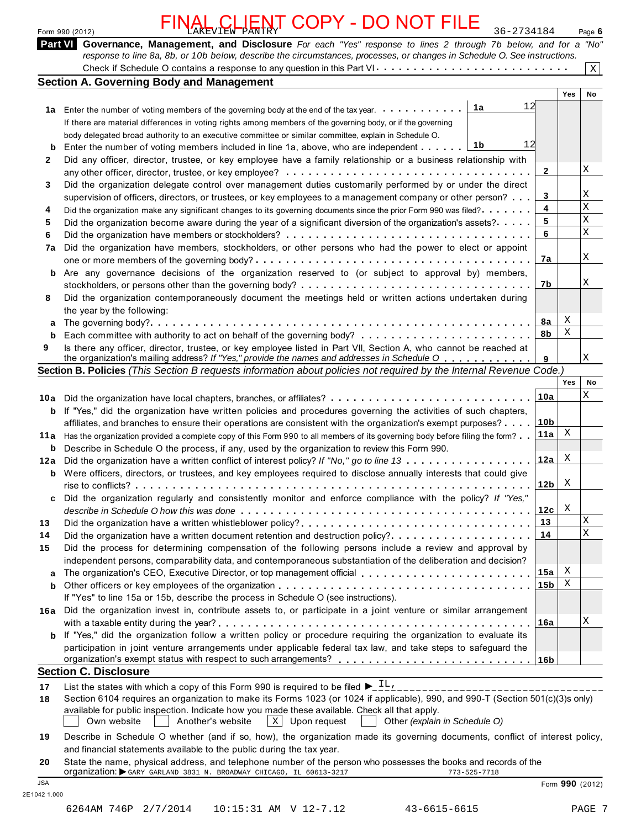|    | FINAL CLIENT COPY - DO NOT FILE<br>36-2734184<br>Form 990 (2012)                                                                                                                                                                                                                                                   |        | Page 6      |
|----|--------------------------------------------------------------------------------------------------------------------------------------------------------------------------------------------------------------------------------------------------------------------------------------------------------------------|--------|-------------|
|    | Part VI Governance, Management, and Disclosure For each "Yes" response to lines 2 through 7b below, and for a "No"<br>response to line 8a, 8b, or 10b below, describe the circumstances, processes, or changes in Schedule O. See instructions.                                                                    |        |             |
|    |                                                                                                                                                                                                                                                                                                                    |        | Χ           |
|    | <b>Section A. Governing Body and Management</b>                                                                                                                                                                                                                                                                    |        | Yes<br>No   |
| 1a | 12<br>Enter the number of voting members of the governing body at the end of the tax year.<br>If there are material differences in voting rights among members of the governing body, or if the governing<br>body delegated broad authority to an executive committee or similar committee, explain in Schedule O. |        |             |
| b  | Enter the number of voting members included in line 1a, above, who are independent $\boxed{1b}$                                                                                                                                                                                                                    |        |             |
| 2  | Did any officer, director, trustee, or key employee have a family relationship or a business relationship with                                                                                                                                                                                                     |        |             |
|    |                                                                                                                                                                                                                                                                                                                    |        | Χ           |
| 3  | Did the organization delegate control over management duties customarily performed by or under the direct<br>1. April 2012 - Andreas Andreas Andreas Andreas Andreas Andreas Andreas Andreas Andreas Andreas Andreas Andrea                                                                                        | $\sim$ | $\mathbf v$ |

|    | If there are material differences in voting rights among members of the governing body, or if the governing                               |                 |     |    |
|----|-------------------------------------------------------------------------------------------------------------------------------------------|-----------------|-----|----|
|    | body delegated broad authority to an executive committee or similar committee, explain in Schedule O.                                     |                 |     |    |
| b  | Enter the number of voting members included in line 1a, above, who are independent $\ldots \ldots$ [1b]                                   |                 |     |    |
| 2  | Did any officer, director, trustee, or key employee have a family relationship or a business relationship with                            |                 |     |    |
|    |                                                                                                                                           | $\mathbf{2}$    |     | Χ  |
|    | any other officer, director, trustee, or key employee? $\dots\dots\dots\dots\dots\dots\dots\dots\dots\dots\dots\dots\dots\dots\dots\dots$ |                 |     |    |
| 3  | Did the organization delegate control over management duties customarily performed by or under the direct                                 |                 |     |    |
|    | supervision of officers, directors, or trustees, or key employees to a management company or other person?                                | 3               |     | Χ  |
| 4  | Did the organization make any significant changes to its governing documents since the prior Form 990 was filed?                          | 4               |     | X  |
| 5. | Did the organization become aware during the year of a significant diversion of the organization's assets?                                | 5               |     | X  |
| 6  |                                                                                                                                           | 6               |     | X  |
|    |                                                                                                                                           |                 |     |    |
| 7a | Did the organization have members, stockholders, or other persons who had the power to elect or appoint                                   |                 |     |    |
|    |                                                                                                                                           | 7a              |     | X  |
| b  | Are any governance decisions of the organization reserved to (or subject to approval by) members,                                         |                 |     |    |
|    |                                                                                                                                           | 7b              |     | X  |
| 8  | Did the organization contemporaneously document the meetings held or written actions undertaken during                                    |                 |     |    |
|    |                                                                                                                                           |                 |     |    |
|    | the year by the following:                                                                                                                |                 | X   |    |
| a  |                                                                                                                                           | 8а              |     |    |
| b  |                                                                                                                                           | 8b              | X   |    |
| 9  | Is there any officer, director, trustee, or key employee listed in Part VII, Section A, who cannot be reached at                          |                 |     |    |
|    | the organization's mailing address? If "Yes," provide the names and addresses in Schedule O $\ldots \ldots \ldots$                        | 9               |     | X  |
|    | Section B. Policies (This Section B requests information about policies not required by the Internal Revenue Code.)                       |                 |     |    |
|    |                                                                                                                                           |                 | Yes | No |
|    |                                                                                                                                           |                 |     | X  |
|    | 10a Did the organization have local chapters, branches, or affiliates?                                                                    | 10a             |     |    |
|    | <b>b</b> If "Yes," did the organization have written policies and procedures governing the activities of such chapters,                   |                 |     |    |
|    |                                                                                                                                           | $\overline{AB}$ |     |    |

|     | is there any officer, director, trustee, or key employee listed in Part VII, Section A, who cannot be reached at<br>the organization's mailing address? If "Yes," provide the names and addresses in Schedule O | 9               |     | $\mathbf{x}$ |
|-----|-----------------------------------------------------------------------------------------------------------------------------------------------------------------------------------------------------------------|-----------------|-----|--------------|
|     | Section B. Policies (This Section B requests information about policies not required by the Internal Revenue Code.)                                                                                             |                 |     |              |
|     |                                                                                                                                                                                                                 |                 | Yes | No           |
| 10a |                                                                                                                                                                                                                 | 10a             |     | X            |
| b   | If "Yes," did the organization have written policies and procedures governing the activities of such chapters,                                                                                                  |                 |     |              |
|     | affiliates, and branches to ensure their operations are consistent with the organization's exempt purposes?                                                                                                     | 10 <sub>b</sub> |     |              |
| 11a | Has the organization provided a complete copy of this Form 990 to all members of its governing body before filing the form?                                                                                     | 11a             | X   |              |
| b   | Describe in Schedule O the process, if any, used by the organization to review this Form 990.                                                                                                                   |                 |     |              |
| 12a | Did the organization have a written conflict of interest policy? If "No," go to line 13                                                                                                                         | 12a             | X   |              |
| b   | Were officers, directors, or trustees, and key employees required to disclose annually interests that could give                                                                                                |                 |     |              |
|     |                                                                                                                                                                                                                 | 12 <sub>b</sub> | X   |              |
| C   | Did the organization regularly and consistently monitor and enforce compliance with the policy? If "Yes,"                                                                                                       |                 |     |              |
|     |                                                                                                                                                                                                                 | 12c             | X   |              |
| 13  |                                                                                                                                                                                                                 | 13              |     | X            |
| 14  | Did the organization have a written document retention and destruction policy? $\ldots \ldots \ldots \ldots \ldots \ldots$                                                                                      | 14              |     | $\mathbf{X}$ |
| 15  | Did the process for determining compensation of the following persons include a review and approval by                                                                                                          |                 |     |              |
|     | independent persons, comparability data, and contemporaneous substantiation of the deliberation and decision?                                                                                                   |                 |     |              |
| a   |                                                                                                                                                                                                                 | 15a             | X   |              |
| b   |                                                                                                                                                                                                                 | 15b             | X   |              |
|     | If "Yes" to line 15a or 15b, describe the process in Schedule O (see instructions).                                                                                                                             |                 |     |              |
| 16a | Did the organization invest in, contribute assets to, or participate in a joint venture or similar arrangement                                                                                                  |                 |     |              |
|     |                                                                                                                                                                                                                 | 16a             |     | Χ            |
| b   | If "Yes," did the organization follow a written policy or procedure requiring the organization to evaluate its                                                                                                  |                 |     |              |
|     | participation in joint venture arrangements under applicable federal tax law, and take steps to safeguard the                                                                                                   |                 |     |              |
|     |                                                                                                                                                                                                                 |                 |     |              |
|     | <b>Section C. Disclosure</b>                                                                                                                                                                                    |                 |     |              |
|     | $ -$                                                                                                                                                                                                            |                 |     |              |

**17** List the states with which a copy of this Form 990 is required to be filed  $\sum_{n=1}^{\infty} \frac{11}{n}$ ,

**18** Section 6104 requires an organization to make its Forms 1023 (or 1024 if applicable), 990, and 990-T (Section 501(c)(3)s only) available for public inspection. Indicate how you made these available. Check all that apply. on 6104 requires an organization to make its Forms 1023 (or 1024 if applicable), 990, and 990-T (Sec<br>ble for public inspection. Indicate how you made these available. Check all that apply.<br>Own website **Another's website** <u></u>

 $\sum_{i=1}^{\infty}$  in Schedule O whether (and if so, how), the organization made its governments, conflict of interest policy, conflict  $\sum_{i=1}^{\infty}$ 

| 19 Describe in Schedule O whether (and if so, how), the organization made its governing documents, conflict of interest policy, |
|---------------------------------------------------------------------------------------------------------------------------------|
| and financial statements available to the public during the tax year.                                                           |

**20** State the name, physical address, and telephone number of the person who possesses the books and records of the State the name, physical address, and telephone number of the person who possesses the books and recordinal per<br>Organization: ▶GARY GARLAND 3831 N. BROADWAY CHICAGO, IL 60613-3217 JSA Form **990** (2012)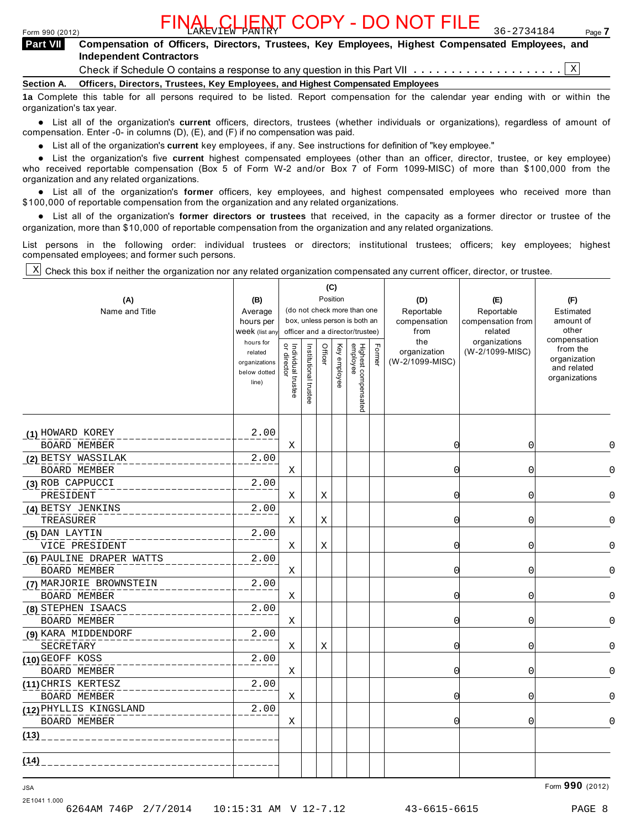### Form 990 (2012) Page **7** FINAL CLIENT COPY - DO NOT FILE 36-2734184

# **Compensation of Officers, Directors, Trustees, Key Employees, Highest Compensated Employees, and Independent Contractors Part VII**  FINAL CHENT COPY - DO NOT FILE<br> **ERIT VII** Compensation of Officers, Directors, Trustees, Key Employees, Highest Compensated Employees<br>
Independent Contractors<br>
Section A. Officers, Directors, Trustees, Key Employees, and

Check if Schedule O contains a response to any question in this Part VII  $\ldots \ldots \ldots \ldots \ldots$ 

**1a** Complete this table for all persons required to be listed. Report compensation for the calendar year ending with or within the organization's tax year.

**■ List all of the organization's current** officers, directors, trustees (whether individuals or organizations), regardless of amount of<br>nensation Enter -0- in columns (D) (E) and (E) if no compensation was paid compensation. Enter -0- in columns (D), (E), and (F) if no compensation was paid.

% List all of the organization's **current** key employees, if any. See instructions for definition of "key employee."

■ List all of the organization's **current** highest compensated employees (other than an officer, director, trustee, or key employee)<br>■ List the organization's five **current** highest compensated employees (other than an of who received reportable compensation (Box 5 of Form W-2 and/or Box 7 of Form 1099-MISC) of more than \$100,000 from the organization and any related organizations.

organization and any related organizations.<br>• List all of the organization's **former** officers, key employees, and highest compensated employees who received more than<br>\$1.00,000 of reportable componention from the erganiza \$100,000 of reportable compensation from the organization and any related organizations.

% List all of the organization's **former directors or trustees** that received, in the capacity as a former director or trustee of the organization, more than \$10,000 of reportable compensation from the organization and any related organizations.

List persons in the following order: individual trustees or directors; institutional trustees; officers; key employees; highest compensated employees; and former such persons.

Check this box if neither the organization nor any related organization compensated any current officer, director, or trustee. X

| (A)<br>Name and Title                          | (B)<br>Average<br>hours per<br>Week (list an<br>hours for<br>related<br>organizations<br>below dotted<br>line) | Individual trustee<br>or director | Institutional trustee | (C)<br>Officer | Position<br>Key employee | (do not check more than one<br>box, unless person is both an<br>officer and a director/trustee)<br>Highest compensated<br>employee | Fomer | (D)<br>Reportable<br>compensation<br>from<br>the<br>organization<br>(W-2/1099-MISC) | (E)<br>Reportable<br>compensation from<br>related<br>organizations<br>(W-2/1099-MISC) | (F)<br>Estimated<br>amount of<br>other<br>compensation<br>from the<br>organization<br>and related<br>organizations |
|------------------------------------------------|----------------------------------------------------------------------------------------------------------------|-----------------------------------|-----------------------|----------------|--------------------------|------------------------------------------------------------------------------------------------------------------------------------|-------|-------------------------------------------------------------------------------------|---------------------------------------------------------------------------------------|--------------------------------------------------------------------------------------------------------------------|
| (1) HOWARD KOREY                               | 2.00                                                                                                           |                                   |                       |                |                          |                                                                                                                                    |       |                                                                                     |                                                                                       |                                                                                                                    |
| <b>BOARD MEMBER</b>                            |                                                                                                                | X                                 |                       |                |                          |                                                                                                                                    |       | $\Omega$                                                                            | $\mathbf 0$                                                                           | $\Omega$                                                                                                           |
| (2) BETSY WASSILAK<br><b>BOARD MEMBER</b>      | 2.00                                                                                                           | Χ                                 |                       |                |                          |                                                                                                                                    |       | 0                                                                                   | 0                                                                                     | 0                                                                                                                  |
| (3) ROB CAPPUCCI                               | 2.00                                                                                                           |                                   |                       |                |                          |                                                                                                                                    |       |                                                                                     |                                                                                       |                                                                                                                    |
| PRESIDENT                                      |                                                                                                                | Χ                                 |                       | X              |                          |                                                                                                                                    |       | 0                                                                                   | 0                                                                                     | 0                                                                                                                  |
| (4) BETSY JENKINS                              | 2.00                                                                                                           |                                   |                       |                |                          |                                                                                                                                    |       |                                                                                     |                                                                                       |                                                                                                                    |
| TREASURER                                      |                                                                                                                | Χ                                 |                       | Х              |                          |                                                                                                                                    |       | C                                                                                   | 0                                                                                     | $\overline{0}$                                                                                                     |
| (5) DAN LAYTIN<br>VICE PRESIDENT               | 2.00                                                                                                           | Χ                                 |                       | Χ              |                          |                                                                                                                                    |       | 0                                                                                   | 0                                                                                     | 0                                                                                                                  |
| (6) PAULINE DRAPER WATTS<br>BOARD MEMBER       | 2.00                                                                                                           | X                                 |                       |                |                          |                                                                                                                                    |       | 0                                                                                   | $\mathbf 0$                                                                           | $\Omega$                                                                                                           |
| (7) MARJORIE BROWNSTEIN<br><b>BOARD MEMBER</b> | 2.00                                                                                                           | X                                 |                       |                |                          |                                                                                                                                    |       | $\Omega$                                                                            | 0                                                                                     | 0                                                                                                                  |
| (8) STEPHEN ISAACS<br><b>BOARD MEMBER</b>      | 2.00                                                                                                           | X                                 |                       |                |                          |                                                                                                                                    |       | $\Omega$                                                                            | $\overline{0}$                                                                        | $\Omega$                                                                                                           |
| (9) KARA MIDDENDORF<br>SECRETARY               | 2.00                                                                                                           | X                                 |                       | Χ              |                          |                                                                                                                                    |       | $\Omega$                                                                            | 0                                                                                     | $\Omega$                                                                                                           |
| (10) GEOFF KOSS<br>BOARD MEMBER                | 2.00                                                                                                           | Χ                                 |                       |                |                          |                                                                                                                                    |       | 0                                                                                   | 0                                                                                     | $\cap$                                                                                                             |
| (11) CHRIS KERTESZ<br><b>BOARD MEMBER</b>      | 2.00                                                                                                           | Χ                                 |                       |                |                          |                                                                                                                                    |       | 0                                                                                   | $\mathbf 0$                                                                           | $\Omega$                                                                                                           |
| (12) PHYLLIS KINGSLAND<br><b>BOARD MEMBER</b>  | 2.00                                                                                                           | Χ                                 |                       |                |                          |                                                                                                                                    |       | $\Omega$                                                                            | 0                                                                                     | $\Omega$                                                                                                           |
| (13)                                           |                                                                                                                |                                   |                       |                |                          |                                                                                                                                    |       |                                                                                     |                                                                                       |                                                                                                                    |
| (14)                                           |                                                                                                                |                                   |                       |                |                          |                                                                                                                                    |       |                                                                                     |                                                                                       |                                                                                                                    |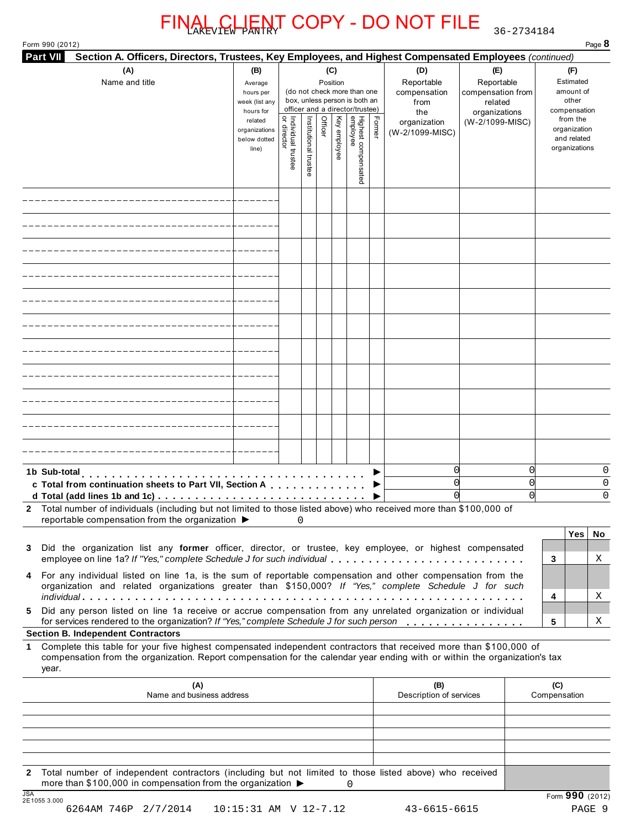Form 990 (2012) Page **8**

| <b>Part VII</b><br>Section A. Officers, Directors, Trustees, Key Employees, and Highest Compensated Employees (continued)                                                                                                                                                                                                                                                                                            |                                                                                                                 |                                   |                       |         |                                 |                                                                                                                                    |        |                                                                                     |                                                                                       |                                                                                                                    |
|----------------------------------------------------------------------------------------------------------------------------------------------------------------------------------------------------------------------------------------------------------------------------------------------------------------------------------------------------------------------------------------------------------------------|-----------------------------------------------------------------------------------------------------------------|-----------------------------------|-----------------------|---------|---------------------------------|------------------------------------------------------------------------------------------------------------------------------------|--------|-------------------------------------------------------------------------------------|---------------------------------------------------------------------------------------|--------------------------------------------------------------------------------------------------------------------|
| (A)<br>Name and title                                                                                                                                                                                                                                                                                                                                                                                                | (B)<br>Average<br>hours per<br>week (list any<br>hours for<br>related<br>organizations<br>below dotted<br>line) | Individual trustee<br>or director | Institutional trustee | Officer | (C)<br>Position<br>Key employee | (do not check more than one<br>box, unless person is both an<br>officer and a director/trustee)<br>Highest compensated<br>employee | Former | (D)<br>Reportable<br>compensation<br>from<br>the<br>organization<br>(W-2/1099-MISC) | (E)<br>Reportable<br>compensation from<br>related<br>organizations<br>(W-2/1099-MISC) | (F)<br>Estimated<br>amount of<br>other<br>compensation<br>from the<br>organization<br>and related<br>organizations |
|                                                                                                                                                                                                                                                                                                                                                                                                                      |                                                                                                                 |                                   |                       |         |                                 |                                                                                                                                    |        |                                                                                     |                                                                                       |                                                                                                                    |
|                                                                                                                                                                                                                                                                                                                                                                                                                      |                                                                                                                 |                                   |                       |         |                                 |                                                                                                                                    |        |                                                                                     |                                                                                       |                                                                                                                    |
|                                                                                                                                                                                                                                                                                                                                                                                                                      |                                                                                                                 |                                   |                       |         |                                 |                                                                                                                                    |        |                                                                                     |                                                                                       |                                                                                                                    |
|                                                                                                                                                                                                                                                                                                                                                                                                                      |                                                                                                                 |                                   |                       |         |                                 |                                                                                                                                    |        |                                                                                     |                                                                                       |                                                                                                                    |
|                                                                                                                                                                                                                                                                                                                                                                                                                      |                                                                                                                 |                                   |                       |         |                                 |                                                                                                                                    |        |                                                                                     |                                                                                       |                                                                                                                    |
|                                                                                                                                                                                                                                                                                                                                                                                                                      |                                                                                                                 |                                   |                       |         |                                 |                                                                                                                                    |        |                                                                                     |                                                                                       |                                                                                                                    |
|                                                                                                                                                                                                                                                                                                                                                                                                                      |                                                                                                                 |                                   |                       |         |                                 |                                                                                                                                    |        |                                                                                     |                                                                                       |                                                                                                                    |
|                                                                                                                                                                                                                                                                                                                                                                                                                      |                                                                                                                 |                                   |                       |         |                                 |                                                                                                                                    |        |                                                                                     |                                                                                       |                                                                                                                    |
|                                                                                                                                                                                                                                                                                                                                                                                                                      |                                                                                                                 |                                   |                       |         |                                 |                                                                                                                                    |        |                                                                                     |                                                                                       |                                                                                                                    |
|                                                                                                                                                                                                                                                                                                                                                                                                                      |                                                                                                                 |                                   |                       |         |                                 |                                                                                                                                    |        |                                                                                     |                                                                                       |                                                                                                                    |
|                                                                                                                                                                                                                                                                                                                                                                                                                      |                                                                                                                 |                                   |                       |         |                                 |                                                                                                                                    |        |                                                                                     |                                                                                       |                                                                                                                    |
| 1b Sub-total<br>c Total from continuation sheets to Part VII, Section A<br>d Total (add lines 1b and 1c)<br>Total number of individuals (including but not limited to those listed above) who received more than \$100,000 of<br>$\mathbf{2}$<br>reportable compensation from the organization ▶                                                                                                                     | $\sim$ 0                                                                                                        |                                   |                       |         |                                 |                                                                                                                                    | ▶      | $\overline{0}$<br>$\Omega$                                                          | 0<br>C<br>$\bigcap$                                                                   | 0<br>0<br>0                                                                                                        |
| Did the organization list any former officer, director, or trustee, key employee, or highest compensated<br>3<br>employee on line 1a? If "Yes," complete Schedule J for such individual<br>For any individual listed on line 1a, is the sum of reportable compensation and other compensation from the<br>4<br>organization and related organizations greater than \$150,000? If "Yes," complete Schedule J for such |                                                                                                                 |                                   |                       |         |                                 |                                                                                                                                    |        |                                                                                     |                                                                                       | <b>Yes</b><br>No<br>Χ<br>3                                                                                         |
| Did any person listed on line 1a receive or accrue compensation from any unrelated organization or individual<br>5.<br>for services rendered to the organization? If "Yes," complete Schedule J for such person                                                                                                                                                                                                      |                                                                                                                 |                                   |                       |         |                                 |                                                                                                                                    |        |                                                                                     |                                                                                       | Χ<br>4<br>5<br>Χ                                                                                                   |
| <b>Section B. Independent Contractors</b>                                                                                                                                                                                                                                                                                                                                                                            |                                                                                                                 |                                   |                       |         |                                 |                                                                                                                                    |        |                                                                                     |                                                                                       |                                                                                                                    |
| Complete this table for your five highest compensated independent contractors that received more than \$100,000 of<br>1.<br>compensation from the organization. Report compensation for the calendar year ending with or within the organization's tax<br>year.                                                                                                                                                      |                                                                                                                 |                                   |                       |         |                                 |                                                                                                                                    |        |                                                                                     |                                                                                       |                                                                                                                    |
| (A)<br>Name and business address                                                                                                                                                                                                                                                                                                                                                                                     |                                                                                                                 |                                   |                       |         |                                 |                                                                                                                                    |        | (B)<br>Description of services                                                      |                                                                                       | (C)<br>Compensation                                                                                                |
|                                                                                                                                                                                                                                                                                                                                                                                                                      |                                                                                                                 |                                   |                       |         |                                 |                                                                                                                                    |        |                                                                                     |                                                                                       |                                                                                                                    |
|                                                                                                                                                                                                                                                                                                                                                                                                                      |                                                                                                                 |                                   |                       |         |                                 |                                                                                                                                    |        |                                                                                     |                                                                                       |                                                                                                                    |
| 2 Total number of independent contractors (including but not limited to those listed above) who received<br>more than \$100,000 in compensation from the organization $\blacktriangleright$<br>$\overline{10A}$                                                                                                                                                                                                      |                                                                                                                 |                                   |                       |         |                                 | 0                                                                                                                                  |        |                                                                                     |                                                                                       |                                                                                                                    |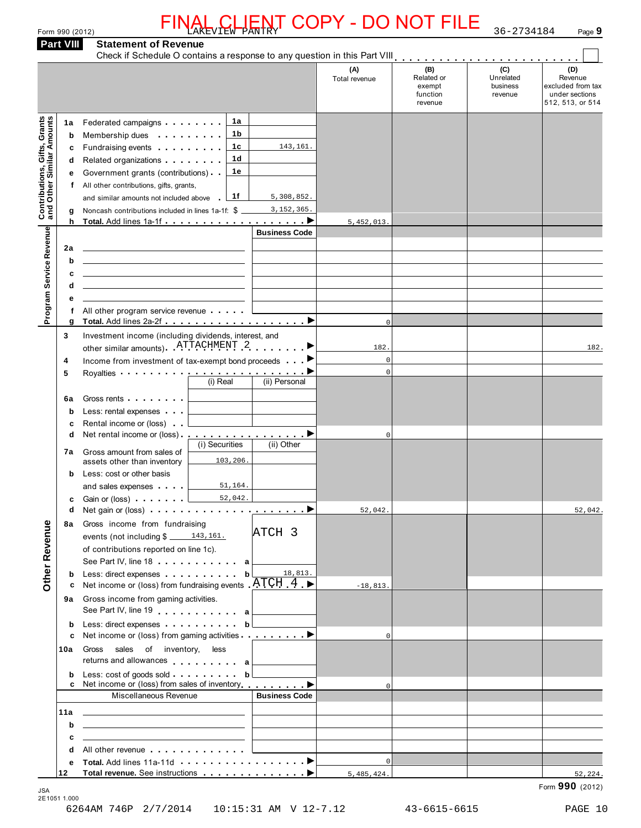| Form 990 (2012) | LIENT<br><b>FINAL</b><br>$\sim$ $\sim$ $\sim$<br>$T$ <sup><math>T</math></sup> $T$ $F$ $W$<br>AKEV | <b>COPY</b><br>' - DO NOT | 34184<br>$\cap$ $\cap$<br>$36 - 7$ | Page 9 |
|-----------------|----------------------------------------------------------------------------------------------------|---------------------------|------------------------------------|--------|
|                 |                                                                                                    |                           |                                    |        |

|                                                           | <b>Part VIII</b>                      | <b>Statement of Revenue</b>                                                                                                                                                                                                                                                                                                                                                                                                                                                                                                                                                                                                                                                                             |                                                                       | <b>NL, CLIENT COPY - DO NOT FILE</b> |                                                    | 36-2734184                              | Page 9                                                                    |
|-----------------------------------------------------------|---------------------------------------|---------------------------------------------------------------------------------------------------------------------------------------------------------------------------------------------------------------------------------------------------------------------------------------------------------------------------------------------------------------------------------------------------------------------------------------------------------------------------------------------------------------------------------------------------------------------------------------------------------------------------------------------------------------------------------------------------------|-----------------------------------------------------------------------|--------------------------------------|----------------------------------------------------|-----------------------------------------|---------------------------------------------------------------------------|
|                                                           |                                       |                                                                                                                                                                                                                                                                                                                                                                                                                                                                                                                                                                                                                                                                                                         |                                                                       |                                      |                                                    |                                         |                                                                           |
|                                                           |                                       |                                                                                                                                                                                                                                                                                                                                                                                                                                                                                                                                                                                                                                                                                                         |                                                                       | (A)<br>Total revenue                 | (B)<br>Related or<br>exempt<br>function<br>revenue | (C)<br>Unrelated<br>business<br>revenue | (D)<br>Revenue<br>excluded from tax<br>under sections<br>512, 513, or 514 |
| Contributions, Gifts, Grants<br>and Other Similar Amounts | 1а<br>b<br>c<br>d<br>е<br>f<br>g<br>h | Federated campaigns expansion and the set of the set of the set of the set of the set of the set of the set of the set of the set of the set of the set of the set of the set of the set of the set of the set of the set of t<br>Membership dues <b>All Accords</b> Membership dues<br>Fundraising events <b>Exercise State Inc.</b><br>Related organizations <b>and the set of the set of the set of the set of the set of the set of the set of the set of the set of the set of the set of the set of the set of the set of the set of the set of the set of the set </b><br>Government grants (contributions)<br>All other contributions, gifts, grants,<br>and similar amounts not included above | 1a<br>1b<br>1с<br>143,161.<br>1d<br>1е<br>1f<br>5,308,852.            | 5,452,013.                           |                                                    |                                         |                                                                           |
|                                                           |                                       |                                                                                                                                                                                                                                                                                                                                                                                                                                                                                                                                                                                                                                                                                                         | <b>Business Code</b>                                                  |                                      |                                                    |                                         |                                                                           |
| Program Service Revenue                                   | 2a<br>b<br>c<br>d<br>е<br>f<br>g      | <u> 1989 - Johann Stein, marwolaethau a bhann an t-Amhain an t-Amhain an t-Amhain an t-Amhain an t-Amhain an t-A</u><br><u> 1989 - Johann Barbara, martin amerikan basar dan berasal dalam basar dalam basar dalam basar dalam basar dala</u><br>All other program service revenue                                                                                                                                                                                                                                                                                                                                                                                                                      |                                                                       | $\circ$                              |                                                    |                                         |                                                                           |
|                                                           | 3                                     | Investment income (including dividends, interest, and                                                                                                                                                                                                                                                                                                                                                                                                                                                                                                                                                                                                                                                   |                                                                       |                                      |                                                    |                                         |                                                                           |
|                                                           |                                       | other similar amounts) ATTACHMENT 2                                                                                                                                                                                                                                                                                                                                                                                                                                                                                                                                                                                                                                                                     | . ▶                                                                   | 182.<br>$\mathbf 0$                  |                                                    |                                         | 182.                                                                      |
|                                                           | 4<br>5                                | Income from investment of tax-exempt bond proceeds ▶<br>Royalties $\cdots \cdots \cdots \cdots$                                                                                                                                                                                                                                                                                                                                                                                                                                                                                                                                                                                                         |                                                                       | $\mathbf 0$                          |                                                    |                                         |                                                                           |
|                                                           | 6a<br>b<br>c<br>d<br>b<br>c           | Gross rents [19]<br>Less: rental expenses<br>Rental income or (loss)<br>7a Gross amount from sales of<br>assets other than inventory<br>Less: cost or other basis<br>and sales expenses $\sqrt{51,164}$ .<br>Gain or (loss) $\cdots$ $\cdots$ $\frac{1}{\sqrt{3}}$ 52,042.                                                                                                                                                                                                                                                                                                                                                                                                                              | (i) Real<br>(ii) Personal<br>(i) Securities<br>(ii) Other<br>103,206. | $\mathsf 0$                          |                                                    |                                         |                                                                           |
|                                                           | d                                     | Net gain or (loss) $\ldots$ $\ldots$ $\ldots$ $\ldots$ $\ldots$ $\ldots$ $\ldots$                                                                                                                                                                                                                                                                                                                                                                                                                                                                                                                                                                                                                       |                                                                       | 52,042.                              |                                                    |                                         | 52,042.                                                                   |
| Other Revenue                                             | 8а<br>b                               | Gross income from fundraising<br>events (not including $\frac{2}{3}$ 143,161.<br>of contributions reported on line 1c).<br>See Part IV, line 18 a<br>Less: direct expenses b                                                                                                                                                                                                                                                                                                                                                                                                                                                                                                                            | ATCH <sub>3</sub><br>18,813.                                          |                                      |                                                    |                                         |                                                                           |
|                                                           | c                                     | Net income or (loss) from fundraising events $ATCH_4$                                                                                                                                                                                                                                                                                                                                                                                                                                                                                                                                                                                                                                                   |                                                                       | $-18,813.$                           |                                                    |                                         |                                                                           |
|                                                           | 9а<br>b                               | Gross income from gaming activities.<br>See Part IV, line 19 all<br>Less: direct expenses b                                                                                                                                                                                                                                                                                                                                                                                                                                                                                                                                                                                                             |                                                                       |                                      |                                                    |                                         |                                                                           |
|                                                           | c                                     | Net income or (loss) from gaming activities $\blacksquare$                                                                                                                                                                                                                                                                                                                                                                                                                                                                                                                                                                                                                                              |                                                                       | $\Omega$                             |                                                    |                                         |                                                                           |
|                                                           | 10a                                   | Gross sales of inventory, less<br>returns and allowances $a \mid$                                                                                                                                                                                                                                                                                                                                                                                                                                                                                                                                                                                                                                       |                                                                       |                                      |                                                    |                                         |                                                                           |
|                                                           | b                                     | c Net income or (loss) from sales of inventory entitled by                                                                                                                                                                                                                                                                                                                                                                                                                                                                                                                                                                                                                                              |                                                                       | $\Omega$                             |                                                    |                                         |                                                                           |
|                                                           |                                       | Miscellaneous Revenue                                                                                                                                                                                                                                                                                                                                                                                                                                                                                                                                                                                                                                                                                   | <b>Business Code</b>                                                  |                                      |                                                    |                                         |                                                                           |
|                                                           | 11a                                   | <u> 1989 - Johann Stein, mars an deutscher Stein und der Stein und der Stein und der Stein und der Stein und der</u>                                                                                                                                                                                                                                                                                                                                                                                                                                                                                                                                                                                    |                                                                       |                                      |                                                    |                                         |                                                                           |
|                                                           | b<br>с                                | <u> 1989 - Johann Stein, Amerikaansk politiker (</u><br><u> 1989 - Johann Barbara, martxa eta idazlea (h. 1989).</u>                                                                                                                                                                                                                                                                                                                                                                                                                                                                                                                                                                                    |                                                                       |                                      |                                                    |                                         |                                                                           |
|                                                           | d                                     | All other revenue entitled and the set of the set of the set of the set of the set of the set of the set of the                                                                                                                                                                                                                                                                                                                                                                                                                                                                                                                                                                                         |                                                                       |                                      |                                                    |                                         |                                                                           |
|                                                           | е                                     |                                                                                                                                                                                                                                                                                                                                                                                                                                                                                                                                                                                                                                                                                                         |                                                                       | $\Omega$                             |                                                    |                                         |                                                                           |
|                                                           | 12                                    | Total revenue. See instructions ▶                                                                                                                                                                                                                                                                                                                                                                                                                                                                                                                                                                                                                                                                       |                                                                       | 5,485,424.                           |                                                    |                                         | 52,224.<br>Form 990 (2012)                                                |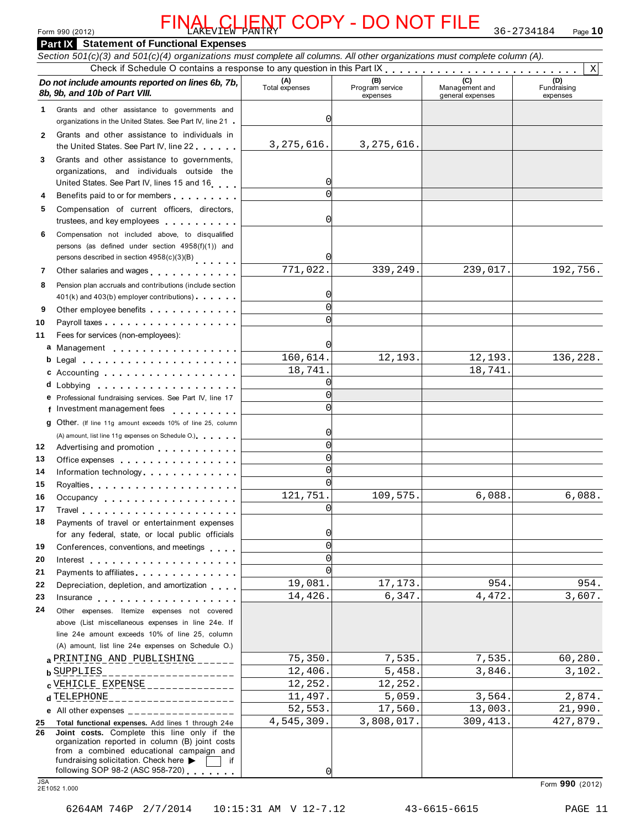## Form 990 (2012) **Page 10 PANTRY PANTRY PANTRY PANTRY Page 10 Page 10** FINAL CLIENT COPY - DO NOT FILE 36-2734184

### **Part IX Statement of Functional Expenses** *Section 501(c)(3) and 501(c)(4) organizations must complete all columns. All other organizations must complete column (A).*  Form 990 (2012)<br> **PART IX Statement of Functional Expenses**<br>
Section 501(c)(3) and 501(c)(4) organizations must complete all columns. All other organizations must complete column (A).<br>
Do not include amounts reported on l *8b, 9b, and 10b of Part VIII. 8b, 7b,* Total expenses Program service *Bb, 9b, and 10b of Part VIII.* expenses Management and general expenses Fundraising expenses Grants and other assistance to governments and Grants and other assistance to governments and<br>organizations in the United States. See Part IV, line 21 **1** Grants and other assistance to individuals in the United States. See Part IV, line 22 **2 Do not include amounts reported on lines 6b, 7b,**<br>**8b, 9b, and 10b of Part VIII.**<br>1 Grants and other assistance to governments and organizations in the United States. See Part IV, line 21<br>2 Grants and other assistance to organizations, and individuals outside the United States. See Part IV, line 21<br>
2 Grants and other assistance to individuals in<br>
the United States. See Part IV, line 22<br>
3 Grants and other assistance to governments,<br>
organizations, and individuals outside the<br>
Unit trustees, and individuals outside the<br>United States. See Part IV, lines 15 and 16<br>A Benefits paid to or for members<br>5 Compensation of current officers, directors,<br>trustees, and key employees<br>6 Compensation not included abo persons (as defined under section 4958(f)(1)) and persons described in section 4958(c)(3)(B) m m m m m m **<sup>7</sup>** Other salaries and wages m m m m m m m m m m m m **<sup>8</sup>** Pension plan accruals and contributions (include section 401(k) and 403(b) employees<br>
46 Compensation not included above, to disqualified<br>
persons (as defined under section 4958(f)(1)) and<br>
persons described in section 4958(c)(3)(B)<br>
401(k) and 403(b) employer contributions)<br>
4 Payroll taxes Fees for services (non-employees): Pension plan accruals and contributions (include section<br>
401(k) and 403(b) employer contributions)<br>
Other employee benefits<br>
Mayroll taxes<br>
Fees for services (non-employees):<br> **a** Management<br> **b** Legal<br> **b** Legal Legal **c** Accounting<br>**d** Lobbying d Lobbying . . . . . . . . . . . . . . Following the Universal of the method of the method of the method of the method of the settion  $(3)(8)$ <br>
7 Other salaries and wages<br>
8 Pension plan accruals and contributions (include section  $401(k)$  and  $403(b)$  employer c **11** m m m m m m m m m m m m m m m m m m 12 Advertising and promotion **contains a state of the Advertising and promotion 13 14** 15 Royalties **1996** Royalties **1996 1996 1996 1996 1996 1997 1997 1997 1997 1997 1997 1997 1997 1997 1997 1997 1997 1997 1997 1997 1997 1997 1997 1997 1997 1997 1997 19 16 17** 18 Payments of travel or entertainment expenses **19 20 21 22 23** 24 Other expenses. Itemize expenses not covered **e** Professional fundraising services. See Part IV, line 17 **f g** Other. (If line 11g amount exceeds 10% of line 25, column m m m m m m m m m m m m m m m m m m m m m m m m m m m m m m m m m m m m m m m m m m m m m m m m m m m m m m m m m m Professional fundraising services. See Part IV, line 17 Fees for services (non-employees).<br>
Legal<br>
Accounting<br>
Lobbying<br>
Professional fundraising services. See Part IV, line 17<br>
Investment management fees<br>
Other. (If line 11g amount exceeds 10% of line 25, column Legal<br>
Accounting<br>
Lobbying<br>
Professional fundraising services. See Part IV, line 17<br>
Investment management fees<br>
Other. (If line 11g expenses on Schedule O.)<br>
Advertising and promotion<br>
Cetics expenses Office expenses Information technology. . . . . . . . . . . . . m m m m m m m m m m m m m m m m m m m m m m m m m m m Protessional tundraising services. See Part IV, line 17<br>Investment management fees<br>Other. (if line 11g amount exceeds 10% of line 25, column<br>(A) amount, list line 11g expenses on Schedule O.)<br>Advertising and promotion<br>Offi The University of the 11g amount exceeds 10% of line 25, column<br>
(A) amount, list line 11g expenses on Schedule O.)<br>
Advertising and promotion<br>
Office expenses<br>
Information technology<br>
Royalties<br>
Occupancy<br>
The Microsoft C Travel m m m m m m m m m m m m m m m m m m m m m m m m m m m m m m m m m m m m m m m Payments of travel or entertainment expenses for any federal, state, or local public officials Conferences, conventions, and meetings Interest Payments to affiliates **Exercise 2.1 Fig. 1.1 Fig. 1.1** Depreciation, depletion, and amortization Payments of travel or entertainment expenses<br>for any federal, state, or local public officials<br>Conferences, conventions, and meetings<br>Interest<br>Payments to affiliates<br>Depreciation, depletion, and amortization<br>Insurance m m m m m m m m m m m m m m m m m m m m m m m m m m m m m m m m m m m m m m m m m m m m m m m m m m m m m m m m m Other expenses. Itemize expenses not covered above (List miscellaneous expenses in line 24e. If line 24e amount exceeds 10% of line 25, column (A) amount, list line 24e expenses on Schedule O.) **a** PRINTING AND PUBLISHING \_\_\_\_\_\_ /5,350. /,535. /,535. 60,280.<br>**b** SUPPLIES \_\_\_\_\_\_\_\_\_\_\_\_\_\_\_\_\_\_\_\_\_\_ 12,406. 5,458. 3,846. 3,102. **cd** TELEPHONE 11,497. 5,059. 3,564. 2,874. **e** All other expenses \_\_\_\_\_\_\_\_\_\_\_\_\_\_\_\_\_ **25 Total functional expenses.** Add lines 1 through 24e **26 Total functional expenses.** Add lines 1 through 24e<br> **26 Joint costs.** Complete this line only if the<br>
croanization reported in column (B) iont costs organization reported in column (B) joint costs from a combined educational campaign and fundraising solicitation. Check here  $\triangleright$   $\Box$  if following SOP 98-2 (ASC 958-720) following SOP 98-2 (ASC 958-720) m m m m m m m JSA Form **990** (2012) 2E1052 1.000 X 0 3,275,616. 3,275,616. 0  $\sqrt{ }$  $\mathcal{C}$ 0  $\overline{771,022.}$   $\overline{339,249.}$   $\overline{239,017.}$   $\overline{239,017.}$  192,756. 0 0  $\sqrt{2}$ 0 160,614. 12,193. 12,193. 136,228. 18,741. 18,741.  $\sqrt{2}$ 0 0  $\sqrt{2}$ 0  $\sqrt{2}$  $\sqrt{ }$  $\sqrt{ }$ 121,751. 109,575. 6,088. 6,088.  $\sqrt{2}$  $\Omega$  $\mathcal{C}$  $\sqrt{ }$  $\sqrt{ }$ 19,081. 17,173. 954. 954. 14,426. 6,347. 4,472. 3,607. **a** PRINTING AND PUBLISHING \_\_\_\_\_ | 75,350. 7,535. 7,535. 7,535. 60,280. VEHICLE EXPENSE 12,252. 12,252. 52,553. 17,560. 13,003. 21,990. 4,545,309. 3,808,017. 309,413. 427,879.

 $\sqrt{ }$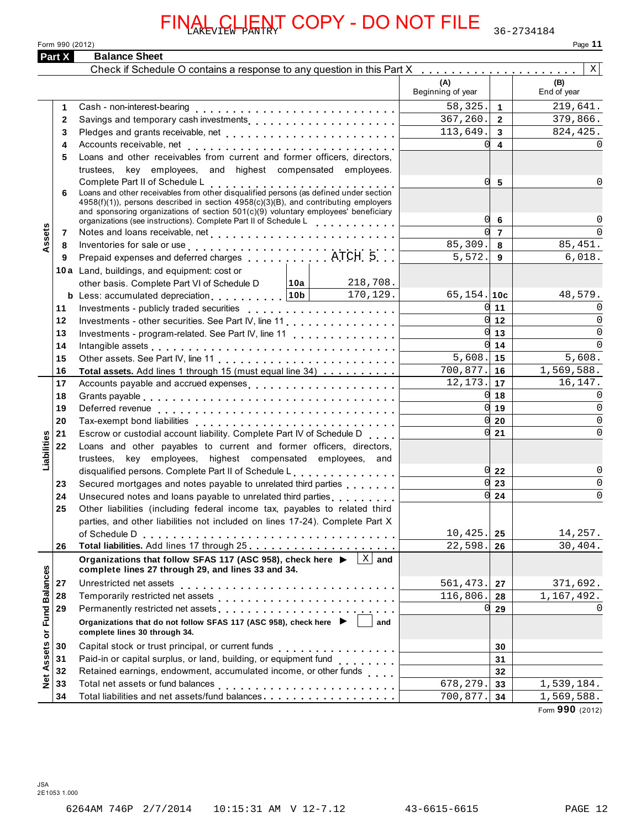|                            | <b>CLIENT COPY - DO NOT FILE</b>                                                                                                                                                                                           |                          |                         | 36-2734184         |
|----------------------------|----------------------------------------------------------------------------------------------------------------------------------------------------------------------------------------------------------------------------|--------------------------|-------------------------|--------------------|
|                            | Form 990 (2012)                                                                                                                                                                                                            |                          |                         | Page 11            |
| Part X                     | <b>Balance Sheet</b>                                                                                                                                                                                                       |                          |                         |                    |
|                            | Check if Schedule O contains a response to any question in this Part X                                                                                                                                                     |                          |                         | $\mathbf{X}$       |
|                            |                                                                                                                                                                                                                            | (A)<br>Beginning of year |                         | (B)<br>End of year |
|                            | Cash - non-interest-bearing<br>1                                                                                                                                                                                           | 58,325.                  | $\overline{1}$          | 219,641.           |
|                            | $\overline{2}$<br>Savings and temporary cash investments                                                                                                                                                                   | 367,260.                 | $\overline{2}$          | 379,866.           |
|                            | 3                                                                                                                                                                                                                          | 113,649.                 | $\mathbf{3}$            | 824,425.           |
|                            | 4                                                                                                                                                                                                                          | <sub>0</sub>             | $\overline{\mathbf{4}}$ |                    |
|                            | Loans and other receivables from current and former officers, directors,<br>5                                                                                                                                              |                          |                         |                    |
|                            | trustees, key employees, and highest compensated employees.                                                                                                                                                                |                          |                         |                    |
|                            | Complete Part II of Schedule L                                                                                                                                                                                             | 0l                       | -5                      | 0                  |
|                            | Complete Part if of Scriedule L<br>Loans and other receivables from other disqualified persons (as defined under section<br>6<br>$4958(f)(1)$ ), persons described in section $4958(c)(3)(B)$ , and contributing employers |                          |                         |                    |
|                            | and sponsoring organizations of section $501(c)(9)$ voluntary employees' beneficiary                                                                                                                                       |                          |                         |                    |
|                            | organizations (see instructions). Complete Part II of Schedule Letter and property in the case of                                                                                                                          | 0l                       | 6                       |                    |
| Assets                     | 7                                                                                                                                                                                                                          |                          | $\overline{7}$          | $\Omega$           |
|                            | 8                                                                                                                                                                                                                          | 85,309.                  | 8                       | 85, 451.           |
|                            | 9                                                                                                                                                                                                                          | 5,572.                   | 9                       | 6,018.             |
|                            | 10a Land, buildings, and equipment: cost or                                                                                                                                                                                |                          |                         |                    |
|                            | 218,708.<br> 10a <br>other basis. Complete Part VI of Schedule D                                                                                                                                                           |                          |                         |                    |
|                            | <b>b</b> Less: accumulated depreciation $10b$ 170,129.                                                                                                                                                                     | 65, 154. 10c             | $0 \mid 11$             | 48,579.            |
| 11                         |                                                                                                                                                                                                                            |                          | $0 \vert 12 \vert$      | 0<br>$\Omega$      |
| 12<br>13                   | Investments - other securities. See Part IV, line 11                                                                                                                                                                       |                          | $0 \mid 13$             | $\Omega$           |
| 14                         | Investments - program-related. See Part IV, line 11                                                                                                                                                                        |                          | $0 \mid 14$             | $\Omega$           |
| 15                         | Intangible assets $\ldots \ldots \ldots \ldots \ldots \ldots \ldots$                                                                                                                                                       | 5,608.                   | 15                      | 5,608.             |
| 16                         | Total assets. Add lines 1 through 15 (must equal line 34)                                                                                                                                                                  | 700,877.                 | 16                      | 1,569,588.         |
| 17                         | Accounts payable and accrued expenses                                                                                                                                                                                      | 12,173.                  | 17                      | 16,147.            |
| 18                         |                                                                                                                                                                                                                            | 0l                       | 18                      | $\Omega$           |
| 19                         |                                                                                                                                                                                                                            |                          | 0119                    | $\Omega$           |
| 20                         |                                                                                                                                                                                                                            | <sub>0</sub>             | 20                      | $\Omega$           |
| 21                         | Escrow or custodial account liability. Complete Part IV of Schedule D                                                                                                                                                      | <sub>0</sub>             | 21                      | $\Omega$           |
| abilities<br>22            | Loans and other payables to current and former officers, directors,                                                                                                                                                        |                          |                         |                    |
|                            | trustees, key employees, highest compensated employees, and                                                                                                                                                                |                          |                         |                    |
| ⊐                          | disqualified persons. Complete Part II of Schedule L                                                                                                                                                                       | 0l                       | 22                      | 0                  |
| 23                         | Secured mortgages and notes payable to unrelated third parties                                                                                                                                                             | $\Omega$                 | 23                      | $\mathbf 0$        |
| 24                         | Unsecured notes and loans payable to unrelated third parties<br>                                                                                                                                                           | 0l                       | 24                      | $\Omega$           |
| 25                         | Other liabilities (including federal income tax, payables to related third                                                                                                                                                 |                          |                         |                    |
|                            | parties, and other liabilities not included on lines 17-24). Complete Part X                                                                                                                                               |                          |                         |                    |
|                            | of Schedule D                                                                                                                                                                                                              | 10,425.                  | 25                      | 14,257.            |
| 26                         | Total liabilities. Add lines 17 through 25                                                                                                                                                                                 | 22,598.                  | 26                      | 30,404.            |
|                            | Organizations that follow SFAS 117 (ASC 958), check here ▶<br>$X \mid$ and<br>complete lines 27 through 29, and lines 33 and 34.                                                                                           |                          |                         |                    |
| 27                         | Unrestricted net assets                                                                                                                                                                                                    | 561,473.                 | 27                      | 371,692.           |
| 28                         | Temporarily restricted net assets                                                                                                                                                                                          | 116,806.                 | 28                      | 1,167,492.         |
| <b>Fund Balances</b><br>29 |                                                                                                                                                                                                                            | U                        | 29                      |                    |
|                            | Organizations that do not follow SFAS 117 (ASC 958), check here $\blacktriangleright$<br>and                                                                                                                               |                          |                         |                    |
| ŏ                          | complete lines 30 through 34.                                                                                                                                                                                              |                          |                         |                    |
| 30                         | Capital stock or trust principal, or current funds                                                                                                                                                                         |                          | 30                      |                    |
| Assets<br>31               | Paid-in or capital surplus, or land, building, or equipment fund<br>                                                                                                                                                       |                          | 31                      |                    |
| 32                         | Retained earnings, endowment, accumulated income, or other funds                                                                                                                                                           |                          | 32                      |                    |
| $\frac{8}{2}$<br>33        | Total net assets or fund balances<br>.                                                                                                                                                                                     | 678,279.                 | 33                      | 1,539,184.         |
| 34                         | Total liabilities and net assets/fund balances.                                                                                                                                                                            | 700,877.                 | 34                      | 1,569,588.         |
|                            |                                                                                                                                                                                                                            |                          |                         | Form 990 (2012)    |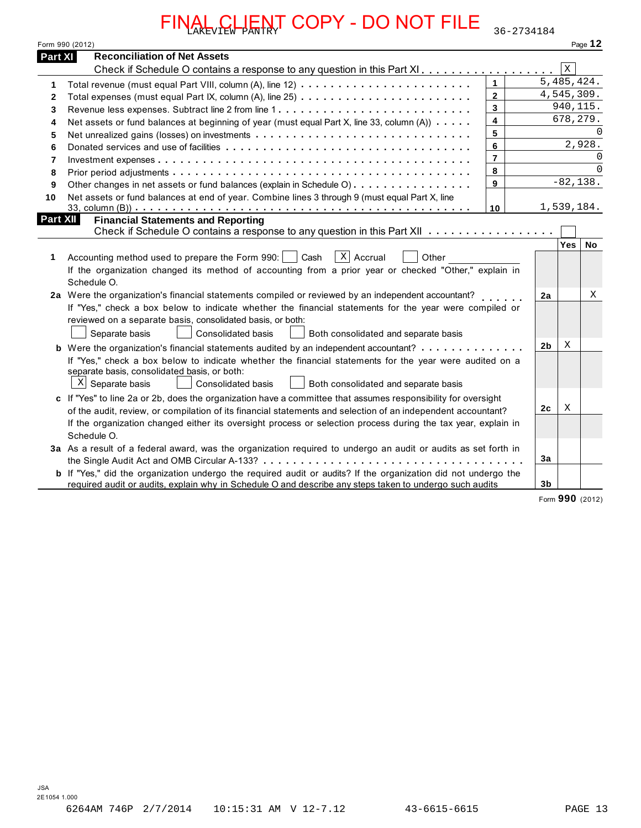|              | <b>Reconciliation of Net Assets</b><br>Part XI                                                                                                                                                                                   |                         |                |             |                      |
|--------------|----------------------------------------------------------------------------------------------------------------------------------------------------------------------------------------------------------------------------------|-------------------------|----------------|-------------|----------------------|
|              | Check if Schedule O contains a response to any question in this Part XI                                                                                                                                                          |                         |                | $\mathbf X$ |                      |
| 1            |                                                                                                                                                                                                                                  | $\mathbf{1}$            |                | 5,485,424.  |                      |
| $\mathbf{2}$ | Total expenses (must equal Part IX, column (A), line 25)                                                                                                                                                                         | $\overline{2}$          |                | 4,545,309.  |                      |
| 3            |                                                                                                                                                                                                                                  | $\overline{3}$          |                | 940, 115.   |                      |
| 4            | Net assets or fund balances at beginning of year (must equal Part X, line 33, column (A))                                                                                                                                        | $\overline{\mathbf{4}}$ |                | 678, 279.   |                      |
| 5            |                                                                                                                                                                                                                                  | 5                       |                |             | $\Omega$             |
| 6            |                                                                                                                                                                                                                                  | 6                       |                |             | 2,928.               |
| 7            |                                                                                                                                                                                                                                  | $\overline{7}$          |                |             | $\Omega$<br>$\Omega$ |
| 8            |                                                                                                                                                                                                                                  | 8<br>9                  |                | $-82, 138.$ |                      |
| 9            | Other changes in net assets or fund balances (explain in Schedule O)                                                                                                                                                             |                         |                |             |                      |
| 10           | Net assets or fund balances at end of year. Combine lines 3 through 9 (must equal Part X, line                                                                                                                                   | 10                      |                | 1,539,184.  |                      |
| 1            | $X$ Accrual<br>Accounting method used to prepare the Form 990:<br>Cash<br>Other                                                                                                                                                  |                         |                |             |                      |
|              | If the organization changed its method of accounting from a prior year or checked "Other," explain in                                                                                                                            |                         |                |             |                      |
|              | Schedule O.                                                                                                                                                                                                                      |                         |                |             |                      |
|              | 2a Were the organization's financial statements compiled or reviewed by an independent accountant?<br>If "Yes," check a box below to indicate whether the financial statements for the year were compiled or                     |                         | 2a             |             | Χ                    |
|              | reviewed on a separate basis, consolidated basis, or both:                                                                                                                                                                       |                         |                |             |                      |
|              | Separate basis<br>Consolidated basis<br>Both consolidated and separate basis                                                                                                                                                     |                         |                |             |                      |
|              | <b>b</b> Were the organization's financial statements audited by an independent accountant?                                                                                                                                      |                         | 2b             | X           |                      |
|              | If "Yes," check a box below to indicate whether the financial statements for the year were audited on a<br>separate basis, consolidated basis, or both:                                                                          |                         |                |             |                      |
|              | $X$ Separate basis<br>Consolidated basis<br>Both consolidated and separate basis                                                                                                                                                 |                         |                |             |                      |
|              | c If "Yes" to line 2a or 2b, does the organization have a committee that assumes responsibility for oversight                                                                                                                    |                         |                |             |                      |
|              | of the audit, review, or compilation of its financial statements and selection of an independent accountant?                                                                                                                     |                         | 2 <sub>c</sub> | X           |                      |
|              | If the organization changed either its oversight process or selection process during the tax year, explain in<br>Schedule O.                                                                                                     |                         |                |             |                      |
|              | 3a As a result of a federal award, was the organization required to undergo an audit or audits as set forth in                                                                                                                   |                         |                |             |                      |
|              |                                                                                                                                                                                                                                  |                         | 3a             |             |                      |
|              |                                                                                                                                                                                                                                  |                         |                |             |                      |
|              | <b>b</b> If "Yes," did the organization undergo the required audit or audits? If the organization did not undergo the<br>required audit or audits, explain why in Schedule O and describe any steps taken to undergo such audits |                         | 3 <sub>b</sub> |             |                      |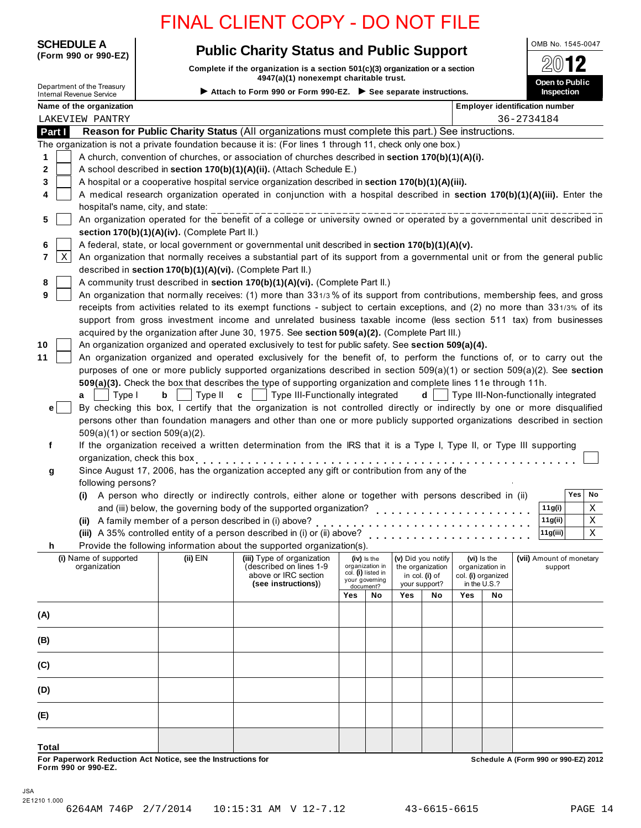# **SCHEDULE A Public Charity Status and Public Support CARENDIC SUPPORT**

**Complete if the organization is a section 501(c)(3) organization or a section 4947(a)(1) nonexempt charitable trust.**



|                |                                                                                                    |                                                            | oomplete in the organization is a section so (c)(s) organization or a se<br>4947(a)(1) nonexempt charitable trust.           |                                                                |                                       |     |                    |              |                                       | — ت                                   |
|----------------|----------------------------------------------------------------------------------------------------|------------------------------------------------------------|------------------------------------------------------------------------------------------------------------------------------|----------------------------------------------------------------|---------------------------------------|-----|--------------------|--------------|---------------------------------------|---------------------------------------|
|                | Department of the Treasury<br><b>Internal Revenue Service</b>                                      |                                                            | Attach to Form 990 or Form 990-EZ. See separate instructions.                                                                |                                                                |                                       |     |                    |              |                                       | Open to Public<br>Inspection          |
|                | Name of the organization                                                                           |                                                            |                                                                                                                              |                                                                |                                       |     |                    |              |                                       | <b>Employer identification number</b> |
|                | LAKEVIEW PANTRY                                                                                    |                                                            |                                                                                                                              |                                                                |                                       |     |                    |              |                                       | 36-2734184                            |
| Part I         |                                                                                                    |                                                            | Reason for Public Charity Status (All organizations must complete this part.) See instructions.                              |                                                                |                                       |     |                    |              |                                       |                                       |
|                |                                                                                                    |                                                            | The organization is not a private foundation because it is: (For lines 1 through 11, check only one box.)                    |                                                                |                                       |     |                    |              |                                       |                                       |
| 1              | A church, convention of churches, or association of churches described in section 170(b)(1)(A)(i). |                                                            |                                                                                                                              |                                                                |                                       |     |                    |              |                                       |                                       |
| 2              |                                                                                                    |                                                            | A school described in section 170(b)(1)(A)(ii). (Attach Schedule E.)                                                         |                                                                |                                       |     |                    |              |                                       |                                       |
| 3              |                                                                                                    |                                                            | A hospital or a cooperative hospital service organization described in section 170(b)(1)(A)(iii).                            |                                                                |                                       |     |                    |              |                                       |                                       |
| 4              |                                                                                                    |                                                            | A medical research organization operated in conjunction with a hospital described in section 170(b)(1)(A)(iii). Enter the    |                                                                |                                       |     |                    |              |                                       |                                       |
|                |                                                                                                    | hospital's name, city, and state:                          |                                                                                                                              |                                                                |                                       |     |                    |              |                                       |                                       |
| 5              |                                                                                                    |                                                            | An organization operated for the benefit of a college or university owned or operated by a governmental unit described in    |                                                                |                                       |     |                    |              |                                       |                                       |
|                |                                                                                                    | section 170(b)(1)(A)(iv). (Complete Part II.)              |                                                                                                                              |                                                                |                                       |     |                    |              |                                       |                                       |
| 6              |                                                                                                    |                                                            | A federal, state, or local government or governmental unit described in section 170(b)(1)(A)(v).                             |                                                                |                                       |     |                    |              |                                       |                                       |
| 7<br>Χ         |                                                                                                    |                                                            | An organization that normally receives a substantial part of its support from a governmental unit or from the general public |                                                                |                                       |     |                    |              |                                       |                                       |
|                |                                                                                                    | described in section 170(b)(1)(A)(vi). (Complete Part II.) |                                                                                                                              |                                                                |                                       |     |                    |              |                                       |                                       |
| 8              |                                                                                                    |                                                            | A community trust described in section 170(b)(1)(A)(vi). (Complete Part II.)                                                 |                                                                |                                       |     |                    |              |                                       |                                       |
| 9              |                                                                                                    |                                                            | An organization that normally receives: (1) more than 331/3% of its support from contributions, membership fees, and gross   |                                                                |                                       |     |                    |              |                                       |                                       |
|                |                                                                                                    |                                                            | receipts from activities related to its exempt functions - subject to certain exceptions, and (2) no more than 331/3% of its |                                                                |                                       |     |                    |              |                                       |                                       |
|                |                                                                                                    |                                                            | support from gross investment income and unrelated business taxable income (less section 511 tax) from businesses            |                                                                |                                       |     |                    |              |                                       |                                       |
|                |                                                                                                    |                                                            | acquired by the organization after June 30, 1975. See section 509(a)(2). (Complete Part III.)                                |                                                                |                                       |     |                    |              |                                       |                                       |
| 10             |                                                                                                    |                                                            | An organization organized and operated exclusively to test for public safety. See section 509(a)(4).                         |                                                                |                                       |     |                    |              |                                       |                                       |
| 11             |                                                                                                    |                                                            | An organization organized and operated exclusively for the benefit of, to perform the functions of, or to carry out the      |                                                                |                                       |     |                    |              |                                       |                                       |
|                |                                                                                                    |                                                            | purposes of one or more publicly supported organizations described in section 509(a)(1) or section 509(a)(2). See section    |                                                                |                                       |     |                    |              |                                       |                                       |
|                |                                                                                                    |                                                            | 509(a)(3). Check the box that describes the type of supporting organization and complete lines 11e through 11h.              |                                                                |                                       |     |                    |              |                                       |                                       |
|                | Type I<br>a                                                                                        | b<br>Type II                                               | Type III-Functionally integrated<br>$\mathbf{c}$                                                                             |                                                                |                                       |     | d                  |              |                                       | Type III-Non-functionally integrated  |
| e <sub>1</sub> |                                                                                                    |                                                            | By checking this box, I certify that the organization is not controlled directly or indirectly by one or more disqualified   |                                                                |                                       |     |                    |              |                                       |                                       |
|                |                                                                                                    |                                                            | persons other than foundation managers and other than one or more publicly supported organizations described in section      |                                                                |                                       |     |                    |              |                                       |                                       |
|                |                                                                                                    | 509(a)(1) or section 509(a)(2).                            |                                                                                                                              |                                                                |                                       |     |                    |              |                                       |                                       |
| f              |                                                                                                    |                                                            | If the organization received a written determination from the IRS that it is a Type I, Type II, or Type III supporting       |                                                                |                                       |     |                    |              |                                       |                                       |
|                |                                                                                                    | organization, check this box                               |                                                                                                                              |                                                                |                                       |     |                    |              |                                       |                                       |
| g              |                                                                                                    |                                                            | Since August 17, 2006, has the organization accepted any gift or contribution from any of the                                |                                                                |                                       |     |                    |              |                                       |                                       |
|                | following persons?                                                                                 |                                                            |                                                                                                                              |                                                                |                                       |     |                    |              |                                       |                                       |
|                |                                                                                                    |                                                            | (i) A person who directly or indirectly controls, either alone or together with persons described in (ii)                    |                                                                |                                       |     |                    |              |                                       | Yes<br>No                             |
|                |                                                                                                    |                                                            | and (iii) below, the governing body of the supported organization?                                                           |                                                                |                                       |     |                    |              |                                       | 11g(i)<br>Χ                           |
|                |                                                                                                    | (ii) A family member of a person described in (i) above?   |                                                                                                                              |                                                                |                                       |     |                    |              |                                       | 11g(ii)<br>Χ                          |
|                |                                                                                                    |                                                            | (iii) A 35% controlled entity of a person described in (i) or (ii) above?                                                    |                                                                |                                       | .   |                    |              |                                       | 11g(iii)<br>$\mathbf X$               |
| h              |                                                                                                    |                                                            | Provide the following information about the supported organization(s).                                                       |                                                                |                                       |     |                    |              |                                       |                                       |
|                | (i) Name of supported                                                                              | (ii) EIN                                                   | (iii) Type of organization                                                                                                   |                                                                | (iv) is the                           |     | (v) Did you notify |              | (vi) Is the                           | (vii) Amount of monetary              |
|                | organization                                                                                       |                                                            | (described on lines 1-9<br>above or IRC section                                                                              |                                                                | organization in<br>col. (i) listed in |     | the organization   |              | organization in<br>col. (i) organized | support                               |
|                |                                                                                                    |                                                            | (see instructions))                                                                                                          | in col. (i) of<br>your governing<br>your support?<br>document? |                                       |     |                    | in the U.S.? |                                       |                                       |
|                |                                                                                                    |                                                            |                                                                                                                              | Yes                                                            | No                                    | Yes | No                 | Yes          | No                                    |                                       |
| (A)            |                                                                                                    |                                                            |                                                                                                                              |                                                                |                                       |     |                    |              |                                       |                                       |
|                |                                                                                                    |                                                            |                                                                                                                              |                                                                |                                       |     |                    |              |                                       |                                       |
| (B)            |                                                                                                    |                                                            |                                                                                                                              |                                                                |                                       |     |                    |              |                                       |                                       |
| (C)            |                                                                                                    |                                                            |                                                                                                                              |                                                                |                                       |     |                    |              |                                       |                                       |
| (D)            |                                                                                                    |                                                            |                                                                                                                              |                                                                |                                       |     |                    |              |                                       |                                       |

**For Paperwork Reduction Act Notice, see the Instructions for** 

**(E)**

**Total**

JSA

**Form 990 or 990-EZ.**

**Schedule A (Form 990 or 990-EZ) 2012**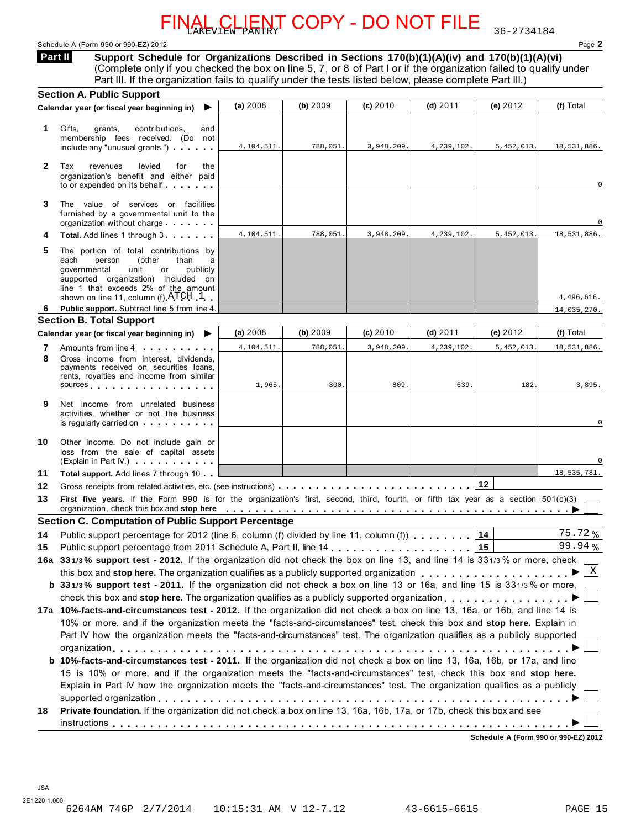### Schedule A (Form 990 or 990-EZ) 2012 Page **2**

**Support Schedule for Organizations Described in Sections 170(b)(1)(A)(iv) and 170(b)(1)(A)(vi)** (Complete only if you checked the box on line 5, 7, or 8 of Part I or if the organization failed to qualify under **Part II** 

|              | Part III. If the organization fails to qualify under the tests listed below, please complete Part III.)                                                                                                                                                                                                                                                              |            |          |            |            |            |                           |
|--------------|----------------------------------------------------------------------------------------------------------------------------------------------------------------------------------------------------------------------------------------------------------------------------------------------------------------------------------------------------------------------|------------|----------|------------|------------|------------|---------------------------|
|              | <b>Section A. Public Support</b><br>Calendar year (or fiscal year beginning in)<br>▶                                                                                                                                                                                                                                                                                 | (a) 2008   | (b) 2009 | $(c)$ 2010 | $(d)$ 2011 | (e) 2012   | (f) Total                 |
|              |                                                                                                                                                                                                                                                                                                                                                                      |            |          |            |            |            |                           |
| 1            | Gifts,<br>contributions,<br>grants,<br>and                                                                                                                                                                                                                                                                                                                           |            |          |            |            |            |                           |
|              | membership fees received. (Do not<br>include any "unusual grants.")                                                                                                                                                                                                                                                                                                  | 4,104,511. | 788,051. | 3,948,209. | 4,239,102. | 5,452,013. | 18,531,886.               |
|              |                                                                                                                                                                                                                                                                                                                                                                      |            |          |            |            |            |                           |
| $\mathbf{2}$ | Tax<br>revenues<br>levied<br>for<br>the<br>organization's benefit and either paid                                                                                                                                                                                                                                                                                    |            |          |            |            |            |                           |
|              | to or expended on its behalf                                                                                                                                                                                                                                                                                                                                         |            |          |            |            |            |                           |
| 3            | The value of services or facilities                                                                                                                                                                                                                                                                                                                                  |            |          |            |            |            |                           |
|              | furnished by a governmental unit to the                                                                                                                                                                                                                                                                                                                              |            |          |            |            |            |                           |
|              | organization without charge                                                                                                                                                                                                                                                                                                                                          |            |          |            |            |            |                           |
| 4            | Total. Add lines 1 through 3                                                                                                                                                                                                                                                                                                                                         | 4,104,511. | 788,051. | 3,948,209. | 4,239,102. | 5,452,013. | 18,531,886.               |
| 5            | The portion of total contributions by                                                                                                                                                                                                                                                                                                                                |            |          |            |            |            |                           |
|              | person<br>(other<br>each<br>than<br>a<br>governmental<br>publicly<br>unit<br>or                                                                                                                                                                                                                                                                                      |            |          |            |            |            |                           |
|              | supported organization) included on                                                                                                                                                                                                                                                                                                                                  |            |          |            |            |            |                           |
|              | line 1 that exceeds 2% of the amount                                                                                                                                                                                                                                                                                                                                 |            |          |            |            |            |                           |
| 6            | shown on line 11, column (f) $\text{ATCH}$ 1<br>Public support. Subtract line 5 from line 4.                                                                                                                                                                                                                                                                         |            |          |            |            |            | 4,496,616.<br>14,035,270. |
|              | <b>Section B. Total Support</b>                                                                                                                                                                                                                                                                                                                                      |            |          |            |            |            |                           |
|              | Calendar year (or fiscal year beginning in)<br>▶                                                                                                                                                                                                                                                                                                                     | (a) 2008   | (b) 2009 | (c) 2010   | $(d)$ 2011 | (e) $2012$ | (f) Total                 |
| 7            | Amounts from line 4                                                                                                                                                                                                                                                                                                                                                  | 4,104,511. | 788,051. | 3,948,209. | 4,239,102. | 5,452,013  | 18,531,886.               |
| 8            | Gross income from interest, dividends,                                                                                                                                                                                                                                                                                                                               |            |          |            |            |            |                           |
|              | payments received on securities loans,<br>rents, royalties and income from similar                                                                                                                                                                                                                                                                                   |            |          |            |            |            |                           |
|              | sources sources                                                                                                                                                                                                                                                                                                                                                      | 1,965.     | 300.     | 809.       | 639.       | 182.       | 3,895.                    |
| 9            | Net income from unrelated business                                                                                                                                                                                                                                                                                                                                   |            |          |            |            |            |                           |
|              | activities, whether or not the business                                                                                                                                                                                                                                                                                                                              |            |          |            |            |            |                           |
|              | is regularly carried on example.                                                                                                                                                                                                                                                                                                                                     |            |          |            |            |            |                           |
| 10           | Other income. Do not include gain or                                                                                                                                                                                                                                                                                                                                 |            |          |            |            |            |                           |
|              | loss from the sale of capital assets                                                                                                                                                                                                                                                                                                                                 |            |          |            |            |            |                           |
|              | (Explain in Part IV.)                                                                                                                                                                                                                                                                                                                                                |            |          |            |            |            |                           |
| 11           | Total support. Add lines 7 through 10                                                                                                                                                                                                                                                                                                                                |            |          |            |            |            | 18,535,781.               |
| 12           |                                                                                                                                                                                                                                                                                                                                                                      |            |          |            |            | 12         |                           |
| 13           | First five years. If the Form 990 is for the organization's first, second, third, fourth, or fifth tax year as a section 501(c)(3)<br>organization, check this box and stop here entitled with the state of the state of the state of the state of the state of the state of the state of the state of the state of the state of the state of the state of the state |            |          |            |            |            |                           |
|              | <b>Section C. Computation of Public Support Percentage</b>                                                                                                                                                                                                                                                                                                           |            |          |            |            |            |                           |
| 14           | Public support percentage for 2012 (line 6, column (f) divided by line 11, column (f)                                                                                                                                                                                                                                                                                |            |          |            |            | 14         | 75.72%                    |
| 15           |                                                                                                                                                                                                                                                                                                                                                                      |            |          |            |            |            | 99.94%                    |
|              | 16a 331/3% support test - 2012. If the organization did not check the box on line 13, and line 14 is 331/3% or more, check                                                                                                                                                                                                                                           |            |          |            |            |            |                           |
|              |                                                                                                                                                                                                                                                                                                                                                                      |            |          |            |            |            | $\mid$ X                  |
|              | <b>b</b> 331/3% support test - 2011. If the organization did not check a box on line 13 or 16a, and line 15 is 331/3% or more,                                                                                                                                                                                                                                       |            |          |            |            |            |                           |
|              | check this box and stop here. The organization qualifies as a publicly supported organization                                                                                                                                                                                                                                                                        |            |          |            |            |            |                           |
|              | 17a 10%-facts-and-circumstances test - 2012. If the organization did not check a box on line 13, 16a, or 16b, and line 14 is                                                                                                                                                                                                                                         |            |          |            |            |            |                           |
|              | 10% or more, and if the organization meets the "facts-and-circumstances" test, check this box and stop here. Explain in                                                                                                                                                                                                                                              |            |          |            |            |            |                           |
|              | Part IV how the organization meets the "facts-and-circumstances" test. The organization qualifies as a publicly supported                                                                                                                                                                                                                                            |            |          |            |            |            |                           |
|              |                                                                                                                                                                                                                                                                                                                                                                      |            |          |            |            |            |                           |
|              | <b>b</b> 10%-facts-and-circumstances test - 2011. If the organization did not check a box on line 13, 16a, 16b, or 17a, and line                                                                                                                                                                                                                                     |            |          |            |            |            |                           |
|              | 15 is 10% or more, and if the organization meets the "facts-and-circumstances" test, check this box and stop here.                                                                                                                                                                                                                                                   |            |          |            |            |            |                           |
|              |                                                                                                                                                                                                                                                                                                                                                                      |            |          |            |            |            |                           |
|              | Explain in Part IV how the organization meets the "facts-and-circumstances" test. The organization qualifies as a publicly                                                                                                                                                                                                                                           |            |          |            |            |            |                           |
|              |                                                                                                                                                                                                                                                                                                                                                                      |            |          |            |            |            |                           |
| 18           | Private foundation. If the organization did not check a box on line 13, 16a, 16b, 17a, or 17b, check this box and see                                                                                                                                                                                                                                                |            |          |            |            |            |                           |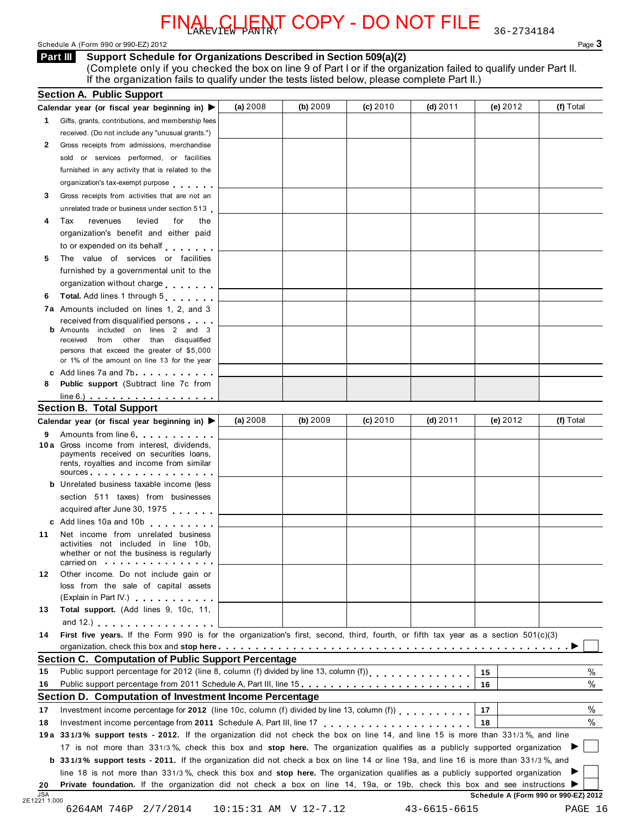Schedule A (Form 990 or 990-EZ) 2012 Page 3

### **Support Schedule for Organizations Described in Section 509(a)(2) Part III**

(Complete only if you checked the box on line 9 of Part I or if the organization failed to qualify under Part II. If the organization fails to qualify under the tests listed below, please complete Part II.)

|    | <b>Section A. Public Support</b>                                                                                                                                                                                                                                                                                                          | (a) 2008 | (b) 2009 | (c) 2010 | $(d)$ 2011 | (e) $2012$ | (f) Total |
|----|-------------------------------------------------------------------------------------------------------------------------------------------------------------------------------------------------------------------------------------------------------------------------------------------------------------------------------------------|----------|----------|----------|------------|------------|-----------|
|    | Calendar year (or fiscal year beginning in) ▶                                                                                                                                                                                                                                                                                             |          |          |          |            |            |           |
|    | 1 Gifts, grants, contributions, and membership fees                                                                                                                                                                                                                                                                                       |          |          |          |            |            |           |
|    | received. (Do not include any "unusual grants.")                                                                                                                                                                                                                                                                                          |          |          |          |            |            |           |
| 2  | Gross receipts from admissions, merchandise                                                                                                                                                                                                                                                                                               |          |          |          |            |            |           |
|    | sold or services performed, or facilities                                                                                                                                                                                                                                                                                                 |          |          |          |            |            |           |
|    | furnished in any activity that is related to the                                                                                                                                                                                                                                                                                          |          |          |          |            |            |           |
|    | organization's tax-exempt purpose                                                                                                                                                                                                                                                                                                         |          |          |          |            |            |           |
| 3. | Gross receipts from activities that are not an                                                                                                                                                                                                                                                                                            |          |          |          |            |            |           |
|    | unrelated trade or business under section 513                                                                                                                                                                                                                                                                                             |          |          |          |            |            |           |
| 4  | Tax<br>revenues<br>levied<br>for<br>the                                                                                                                                                                                                                                                                                                   |          |          |          |            |            |           |
|    | organization's benefit and either paid                                                                                                                                                                                                                                                                                                    |          |          |          |            |            |           |
|    | to or expended on its behalf                                                                                                                                                                                                                                                                                                              |          |          |          |            |            |           |
| 5  | The value of services or facilities                                                                                                                                                                                                                                                                                                       |          |          |          |            |            |           |
|    | furnished by a governmental unit to the                                                                                                                                                                                                                                                                                                   |          |          |          |            |            |           |
|    | organization without charge                                                                                                                                                                                                                                                                                                               |          |          |          |            |            |           |
| 6  | Total. Add lines 1 through 5                                                                                                                                                                                                                                                                                                              |          |          |          |            |            |           |
|    | 7a Amounts included on lines 1, 2, and 3                                                                                                                                                                                                                                                                                                  |          |          |          |            |            |           |
|    | received from disqualified persons                                                                                                                                                                                                                                                                                                        |          |          |          |            |            |           |
|    | <b>b</b> Amounts included on lines 2 and 3<br>received from other than disqualified                                                                                                                                                                                                                                                       |          |          |          |            |            |           |
|    | persons that exceed the greater of \$5,000                                                                                                                                                                                                                                                                                                |          |          |          |            |            |           |
|    | or 1% of the amount on line 13 for the year                                                                                                                                                                                                                                                                                               |          |          |          |            |            |           |
|    | c Add lines 7a and 7b                                                                                                                                                                                                                                                                                                                     |          |          |          |            |            |           |
| 8  | Public support (Subtract line 7c from                                                                                                                                                                                                                                                                                                     |          |          |          |            |            |           |
|    | $line 6.)$                                                                                                                                                                                                                                                                                                                                |          |          |          |            |            |           |
|    | <b>Section B. Total Support</b>                                                                                                                                                                                                                                                                                                           |          |          |          |            |            |           |
|    | Calendar year (or fiscal year beginning in) $\blacktriangleright$                                                                                                                                                                                                                                                                         | (a) 2008 | (b) 2009 | (c) 2010 | $(d)$ 2011 | (e) $2012$ | (f) Total |
| 9  | Amounts from line 6                                                                                                                                                                                                                                                                                                                       |          |          |          |            |            |           |
|    | 10a Gross income from interest, dividends,<br>payments received on securities loans,                                                                                                                                                                                                                                                      |          |          |          |            |            |           |
|    | rents, royalties and income from similar                                                                                                                                                                                                                                                                                                  |          |          |          |            |            |           |
|    | sources entering the set of the set of the set of the set of the set of the set of the set of the set of the set of the set of the set of the set of the set of the set of the set of the set of the set of the set of the set                                                                                                            |          |          |          |            |            |           |
|    | <b>b</b> Unrelated business taxable income (less                                                                                                                                                                                                                                                                                          |          |          |          |            |            |           |
|    | section 511 taxes) from businesses                                                                                                                                                                                                                                                                                                        |          |          |          |            |            |           |
|    | acquired after June 30, 1975                                                                                                                                                                                                                                                                                                              |          |          |          |            |            |           |
|    | c Add lines 10a and 10b                                                                                                                                                                                                                                                                                                                   |          |          |          |            |            |           |
| 11 | Net income from unrelated business                                                                                                                                                                                                                                                                                                        |          |          |          |            |            |           |
|    | activities not included in line 10b,<br>whether or not the business is regularly                                                                                                                                                                                                                                                          |          |          |          |            |            |           |
|    | carried on the carried on                                                                                                                                                                                                                                                                                                                 |          |          |          |            |            |           |
| 12 | Other income. Do not include gain or                                                                                                                                                                                                                                                                                                      |          |          |          |            |            |           |
|    | loss from the sale of capital assets                                                                                                                                                                                                                                                                                                      |          |          |          |            |            |           |
|    | (Explain in Part IV.) <b>CONFIDENT</b>                                                                                                                                                                                                                                                                                                    |          |          |          |            |            |           |
| 13 | Total support. (Add lines 9, 10c, 11,                                                                                                                                                                                                                                                                                                     |          |          |          |            |            |           |
|    | and $12$ .) $\qquad \qquad$ $\qquad$ $\qquad$ $\qquad$ $\qquad$ $\qquad$ $\qquad$ $\qquad$ $\qquad$ $\qquad$ $\qquad$ $\qquad$ $\qquad$ $\qquad$ $\qquad$ $\qquad$ $\qquad$ $\qquad$ $\qquad$ $\qquad$ $\qquad$ $\qquad$ $\qquad$ $\qquad$ $\qquad$ $\qquad$ $\qquad$ $\qquad$ $\qquad$ $\qquad$ $\qquad$ $\qquad$ $\qquad$ $\qquad$ $\q$ |          |          |          |            |            |           |
| 14 | First five years. If the Form 990 is for the organization's first, second, third, fourth, or fifth tax year as a section 501(c)(3)                                                                                                                                                                                                        |          |          |          |            |            |           |
|    |                                                                                                                                                                                                                                                                                                                                           |          |          |          |            |            |           |
|    | <b>Section C. Computation of Public Support Percentage</b>                                                                                                                                                                                                                                                                                |          |          |          |            |            |           |
| 15 | Public support percentage for 2012 (line 8, column (f) divided by line 13, column (f))<br>[11]                                                                                                                                                                                                                                            |          |          |          |            | 15         | $\%$      |
| 16 | Public support percentage from 2011 Schedule A, Part III, line 15.                                                                                                                                                                                                                                                                        |          |          |          |            | 16         | %         |
|    | Section D. Computation of Investment Income Percentage                                                                                                                                                                                                                                                                                    |          |          |          |            |            |           |
| 17 | Investment income percentage for 2012 (line 10c, column (f) divided by line 13, column (f)                                                                                                                                                                                                                                                |          |          |          |            | 17         | $\%$      |
|    |                                                                                                                                                                                                                                                                                                                                           |          |          |          |            | 18         | %         |
|    |                                                                                                                                                                                                                                                                                                                                           |          |          |          |            |            |           |
|    |                                                                                                                                                                                                                                                                                                                                           |          |          |          |            |            |           |
|    | 19a 331/3% support tests - 2012. If the organization did not check the box on line 14, and line 15 is more than 331/3%, and line                                                                                                                                                                                                          |          |          |          |            |            |           |
| 18 | 17 is not more than 331/3%, check this box and stop here. The organization qualifies as a publicly supported organization                                                                                                                                                                                                                 |          |          |          |            |            |           |
|    | b 331/3% support tests - 2011. If the organization did not check a box on line 14 or line 19a, and line 16 is more than 331/3%, and                                                                                                                                                                                                       |          |          |          |            |            |           |
| 20 | line 18 is not more than 331/3%, check this box and stop here. The organization qualifies as a publicly supported organization<br>Private foundation. If the organization did not check a box on line 14, 19a, or 19b, check this box and see instructions ▶                                                                              |          |          |          |            |            |           |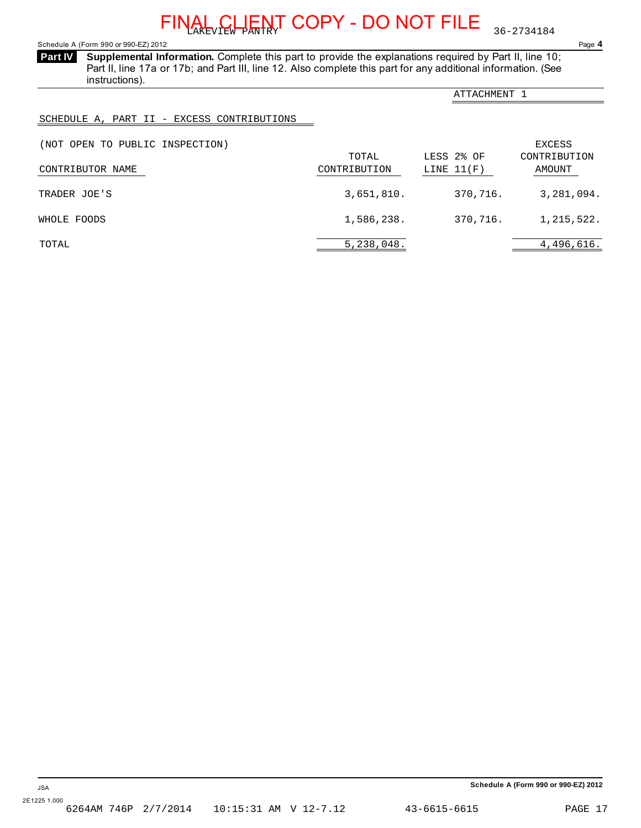<span id="page-15-0"></span>Schedule A (Form 990 or 990-EZ) 2012 Page **4**

**Supplemental Information.** Complete this part to provide the explanations required by Part II, line 10; **Part IV**  Part II, line 17a or 17b; and Part III, line 12. Also complete this part for any additional information. (See instructions).

|                                            |                       | ATTACHMENT 1               |                        |
|--------------------------------------------|-----------------------|----------------------------|------------------------|
| SCHEDULE A, PART II - EXCESS CONTRIBUTIONS |                       |                            |                        |
| (NOT OPEN TO PUBLIC INSPECTION)            |                       |                            | EXCESS                 |
| CONTRIBUTOR NAME                           | TOTAL<br>CONTRIBUTION | LESS 2% OF<br>LINE $11(F)$ | CONTRIBUTION<br>AMOUNT |
| TRADER JOE'S                               | 3,651,810.            | 370,716.                   | 3,281,094.             |
| WHOLE FOODS                                | 1,586,238.            | 370,716.                   | 1,215,522.             |
| TOTAL                                      | 5,238,048.            |                            | 4,496,616.             |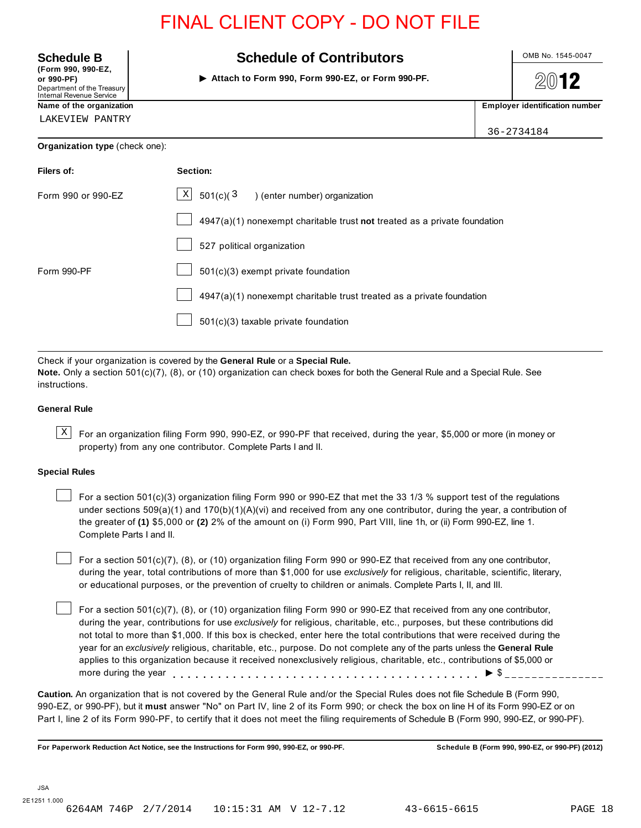| <b>Schedule B</b>                                                                                 | <b>Schedule of Contributors</b>                                           | OMB No. 1545-0047                     |  |  |  |  |
|---------------------------------------------------------------------------------------------------|---------------------------------------------------------------------------|---------------------------------------|--|--|--|--|
| (Form 990, 990-EZ,<br>or 990-PF)<br>Department of the Treasury<br><b>Internal Revenue Service</b> | 2012                                                                      |                                       |  |  |  |  |
| Name of the organization                                                                          |                                                                           | <b>Employer identification number</b> |  |  |  |  |
| LAKEVIEW PANTRY                                                                                   |                                                                           | 36-2734184                            |  |  |  |  |
| Organization type (check one):                                                                    |                                                                           |                                       |  |  |  |  |
| Filers of:                                                                                        | Section:                                                                  |                                       |  |  |  |  |
| Form 990 or 990-EZ                                                                                | $\vert X \vert$<br>501(c)(3)<br>) (enter number) organization             |                                       |  |  |  |  |
|                                                                                                   | 4947(a)(1) nonexempt charitable trust not treated as a private foundation |                                       |  |  |  |  |
|                                                                                                   | 527 political organization                                                |                                       |  |  |  |  |
| Form 990-PF                                                                                       | $501(c)(3)$ exempt private foundation                                     |                                       |  |  |  |  |
|                                                                                                   | 4947(a)(1) nonexempt charitable trust treated as a private foundation     |                                       |  |  |  |  |
|                                                                                                   | 501(c)(3) taxable private foundation                                      |                                       |  |  |  |  |

Check if your organization is covered by the **General Rule** or a **Special Rule. Note.** Only a section 501(c)(7), (8), or (10) organization can check boxes for both the General Rule and a Special Rule. See instructions.

### **General Rule**

 $\text{X}$  For an organization filing Form 990, 990-EZ, or 990-PF that received, during the year, \$5,000 or more (in money or property) from any one contributor. Complete Parts I and II.

### **Special Rules**

For a section  $501(c)(3)$  organization filing Form 990 or 990-EZ that met the 33 1/3 % support test of the regulations under sections  $509(a)(1)$  and  $170(b)(1)(A)(vi)$  and received from any one contributor, during the year, a contribution of the greater of **(1)** \$5,000 or **(2)** 2% of the amount on (i) Form 990, Part VIII, line 1h, or (ii) Form 990-EZ, line 1. Complete Parts I and II.

For a section 501(c)(7), (8), or (10) organization filing Form 990 or 990-EZ that received from any one contributor, during the year, total contributions of more than \$1,000 for use *exclusively* for religious, charitable, scientific, literary, or educational purposes, or the prevention of cruelty to children or animals. Complete Parts I, II, and III.

For a section 501(c)(7), (8), or (10) organization filing Form 990 or 990-EZ that received from any one contributor, during the year, contributions for use *exclusively* for religious, charitable, etc., purposes, but these contributions did not total to more than \$1,000. If this box is checked, enter here the total contributions that were received during the year for an *exclusively* religious, charitable, etc., purpose. Do not complete any of the parts unless the **General Rule** applies to this organization because it received nonexclusively religious, charitable, etc., contributions of \$5,000 or more during the year (8), or (10) organization filing Form 990 or 990-EZ that received from any one concutions for use exclusively for religious, charitable, etc., purposes, but these contributions for use exclusively for religious, charitabl

**Caution.** An organization that is not covered by the General Rule and/or the Special Rules does not file Schedule B (Form 990, 990-EZ, or 990-PF), but it **must** answer "No" on Part IV, line 2 of its Form 990; or check the box on line H of its Form 990-EZ or on Part I, line 2 of its Form 990-PF, to certify that it does not meet the filing requirements of Schedule B (Form 990, 990-EZ, or 990-PF).

**For Paperwork Reduction Act Notice, see the Instructions for Form 990, 990-EZ, or 990-PF. Schedule B (Form 990, 990-EZ, or 990-PF) (2012)**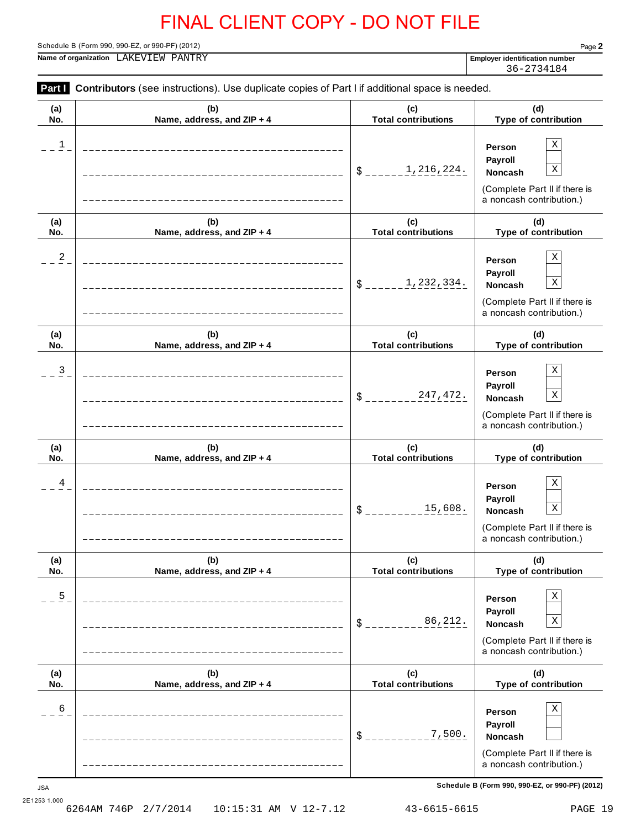**Part I** Contributors (see instructions). Use duplicate copies of Part I if additional space is needed.

Schedule B (Form 990, 990-EZ, or 990-PF) (2012) Page **2**

**Name of organization Employer identification number** LAKEVIEW PANTRY

36-2734184

| (a)      | (b)                        | (c)                        | (d)                                                                                                                                                         |  |
|----------|----------------------------|----------------------------|-------------------------------------------------------------------------------------------------------------------------------------------------------------|--|
| No.      | Name, address, and ZIP + 4 | <b>Total contributions</b> | Type of contribution                                                                                                                                        |  |
| 1        |                            | 1,216,224.<br>$S$ _____    | $\mathbf X$<br>Person<br>Payroll<br>$\mathbf X$<br><b>Noncash</b><br>(Complete Part II if there is<br>a noncash contribution.)                              |  |
| (a)      | (b)                        | (c)                        | (d)                                                                                                                                                         |  |
| No.      | Name, address, and ZIP + 4 | <b>Total contributions</b> | Type of contribution                                                                                                                                        |  |
| 2        |                            | 1,232,334.<br>$S$ ______   | $\mathbf X$<br>Person<br>Payroll<br>$\mathbf X$<br><b>Noncash</b><br>(Complete Part II if there is<br>a noncash contribution.)                              |  |
| (a)      | (b)                        | (c)                        | (d)                                                                                                                                                         |  |
| No.      | Name, address, and ZIP + 4 | <b>Total contributions</b> | Type of contribution                                                                                                                                        |  |
| 3        |                            | 247,472.<br>$S_{--}$       | $\mathbf X$<br>Person<br>Payroll<br>$\mathbf X$<br><b>Noncash</b><br>(Complete Part II if there is<br>a noncash contribution.)                              |  |
| (a)      | (b)                        | (c)                        | (d)                                                                                                                                                         |  |
| No.      | Name, address, and ZIP + 4 | <b>Total contributions</b> | Type of contribution                                                                                                                                        |  |
| 4        |                            | 15,608.<br>$\delta$        | $\mathbf X$<br>Person<br>Payroll<br>$\mathbf X$<br><b>Noncash</b><br>(Complete Part II if there is<br>a noncash contribution.)                              |  |
| (a)      | (b)                        | (c)                        | (d)                                                                                                                                                         |  |
| No.      | Name, address, and ZIP + 4 | <b>Total contributions</b> | Type of contribution                                                                                                                                        |  |
| 5        |                            | 86,212.<br>\$              | $\mathbf X$<br>Person<br>Payroll<br>$\mathbf X$<br><b>Noncash</b><br>(Complete Part II if there is<br>a noncash contribution.)                              |  |
| (a)      | (b)                        | (c)                        | (d)                                                                                                                                                         |  |
| No.      | Name, address, and ZIP + 4 | <b>Total contributions</b> | Type of contribution                                                                                                                                        |  |
| б<br>JSA |                            | 7,500.<br>\$               | $\mathbf X$<br>Person<br>Payroll<br>Noncash<br>(Complete Part II if there is<br>a noncash contribution.)<br>Schedule B (Form 990, 990-EZ, or 990-PF) (2012) |  |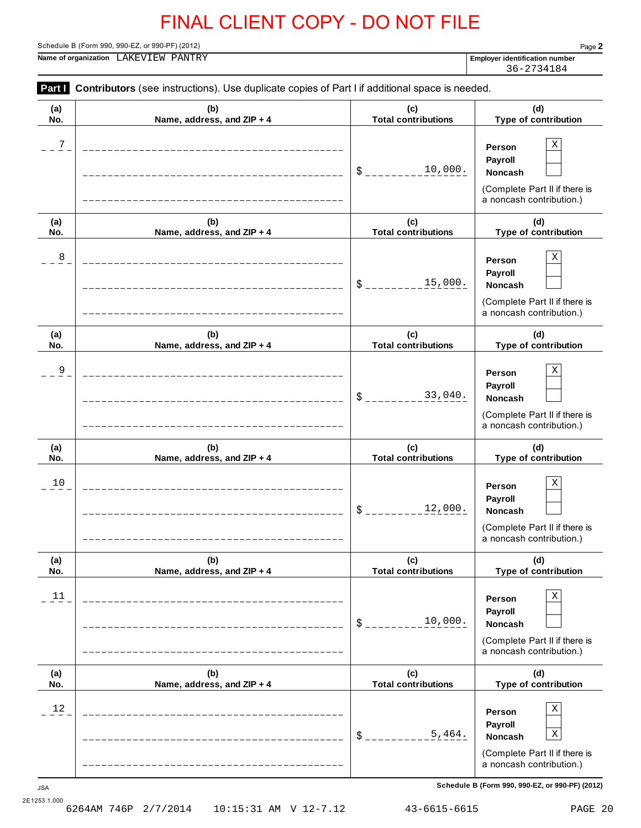**Part I** Contributors (see instructions). Use duplicate copies of Part I if additional space is needed.

Schedule B (Form 990, 990-EZ, or 990-PF) (2012) Page **2**

**Name of organization Employer identification number** LAKEVIEW PANTRY

36-2734184

| (a)                | (b)                        | (c)                        | (d)                                                                                                                                                    |
|--------------------|----------------------------|----------------------------|--------------------------------------------------------------------------------------------------------------------------------------------------------|
| No.                | Name, address, and ZIP + 4 | <b>Total contributions</b> | Type of contribution                                                                                                                                   |
| 7                  |                            | 10,000.<br>\$              | Χ<br>Person<br>Payroll<br>Noncash<br>(Complete Part II if there is<br>a noncash contribution.)                                                         |
| (a)                | (b)                        | (c)                        | (d)                                                                                                                                                    |
| No.                | Name, address, and ZIP + 4 | <b>Total contributions</b> | Type of contribution                                                                                                                                   |
| 8                  |                            | 15,000.<br>\$              | Χ<br>Person<br>Payroll<br>Noncash<br>(Complete Part II if there is<br>a noncash contribution.)                                                         |
| (a)                | (b)                        | (c)                        | (d)                                                                                                                                                    |
| No.                | Name, address, and ZIP + 4 | <b>Total contributions</b> | Type of contribution                                                                                                                                   |
| 9                  |                            | 33,040.<br>\$              | Χ<br>Person<br>Payroll<br><b>Noncash</b><br>(Complete Part II if there is<br>a noncash contribution.)                                                  |
| (a)                | (b)                        | (c)                        | (d)                                                                                                                                                    |
| No.                | Name, address, and ZIP + 4 | <b>Total contributions</b> | Type of contribution                                                                                                                                   |
| 10                 |                            | 12,000.<br>\$              | Χ<br>Person<br>Payroll<br><b>Noncash</b><br>(Complete Part II if there is<br>a noncash contribution.)                                                  |
| (a)                | (b)                        | (c)                        | (d)                                                                                                                                                    |
| No.                | Name, address, and ZIP + 4 | <b>Total contributions</b> | Type of contribution                                                                                                                                   |
| 11                 |                            | 10,000.<br>\$              | Χ<br>Person<br>Payroll<br>Noncash<br>(Complete Part II if there is<br>a noncash contribution.)                                                         |
| (a)                | (b)                        | (c)                        | (d)                                                                                                                                                    |
| No.                | Name, address, and ZIP + 4 | <b>Total contributions</b> | Type of contribution                                                                                                                                   |
| $12$<br><b>JSA</b> |                            | 5,464.<br>\$               | Χ<br>Person<br>Payroll<br>Χ<br>Noncash<br>(Complete Part II if there is<br>a noncash contribution.)<br>Schedule B (Form 990, 990-EZ, or 990-PF) (2012) |

2E1253 1.000<br>6264AM 746P 2/7/2014 6264AM 746P 2/7/2014 10:15:31 AM V 12-7.12 43-6615-6615 PAGE 20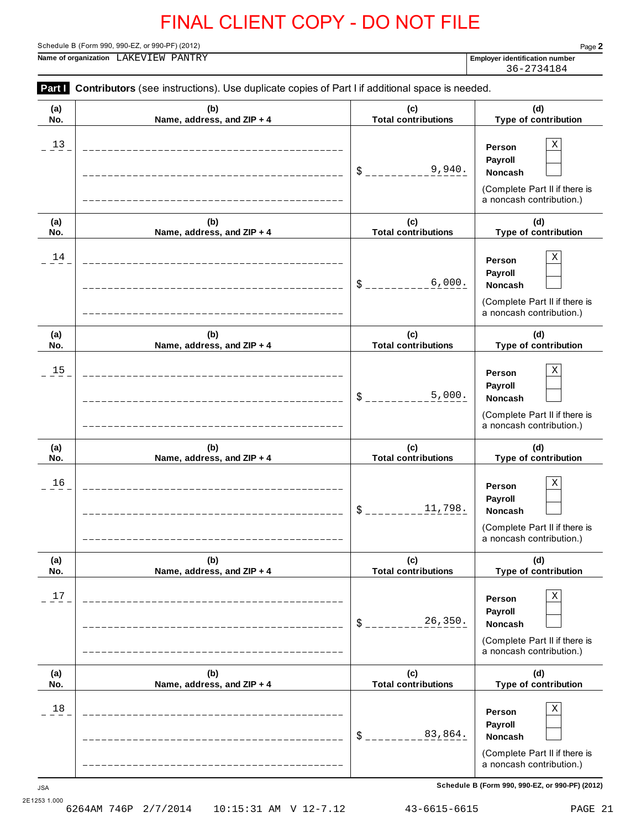**Part I** Contributors (see instructions). Use duplicate copies of Part I if additional space is needed.

Schedule B (Form 990, 990-EZ, or 990-PF) (2012) Page **2**

**Name of organization Employer identification number** LAKEVIEW PANTRY

36-2734184

| (a)              | (b)                        | (c)                        | (d)                                                                                                                                               |
|------------------|----------------------------|----------------------------|---------------------------------------------------------------------------------------------------------------------------------------------------|
| No.              | Name, address, and ZIP + 4 | <b>Total contributions</b> | Type of contribution                                                                                                                              |
| 13               |                            | 9,940.<br>$S_{--}$         | X<br>Person<br>Payroll<br>Noncash<br>(Complete Part II if there is<br>a noncash contribution.)                                                    |
| (a)              | (b)                        | (c)                        | (d)                                                                                                                                               |
| No.              | Name, address, and ZIP + 4 | <b>Total contributions</b> | Type of contribution                                                                                                                              |
| 14               |                            | 6,000.<br>$\delta$ $=$     | Χ<br>Person<br>Payroll<br><b>Noncash</b><br>(Complete Part II if there is<br>a noncash contribution.)                                             |
| (a)              | (b)                        | (c)                        | (d)                                                                                                                                               |
| No.              | Name, address, and ZIP + 4 | <b>Total contributions</b> | Type of contribution                                                                                                                              |
| 15               |                            | 5,000.<br>$\delta$ .       | Χ<br>Person<br>Payroll<br><b>Noncash</b><br>(Complete Part II if there is<br>a noncash contribution.)                                             |
| (a)              | (b)                        | (c)                        | (d)                                                                                                                                               |
| No.              | Name, address, and ZIP + 4 | <b>Total contributions</b> | Type of contribution                                                                                                                              |
| 16               |                            | 11,798.<br>$\delta$        | Χ<br>Person<br>Payroll<br>Noncash<br>(Complete Part II if there is<br>a noncash contribution.)                                                    |
| (a)              | (b)                        | (c)                        | (d)                                                                                                                                               |
| No.              | Name, address, and ZIP + 4 | <b>Total contributions</b> | Type of contribution                                                                                                                              |
| $17$             |                            | 26,350.<br>$\frac{1}{2}$   | Χ<br>Person<br>Payroll<br>Noncash<br>(Complete Part II if there is<br>a noncash contribution.)                                                    |
| (a)              | (b)                        | (c)                        | (d)                                                                                                                                               |
| No.              | Name, address, and ZIP + 4 | <b>Total contributions</b> | Type of contribution                                                                                                                              |
| 18<br><b>JSA</b> |                            | 83,864.<br>$\frac{1}{2}$   | Χ<br>Person<br>Payroll<br>Noncash<br>(Complete Part II if there is<br>a noncash contribution.)<br>Schedule B (Form 990, 990-EZ, or 990-PF) (2012) |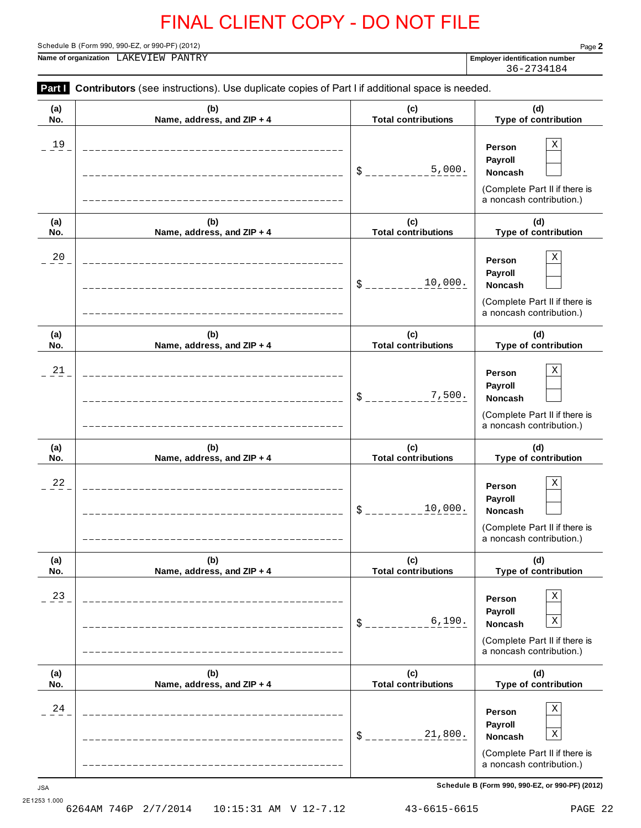**Part I** Contributors (see instructions). Use duplicate copies of Part I if additional space is needed.

Schedule B (Form 990, 990-EZ, or 990-PF) (2012) Page **2**

**Name of organization Employer identification number** LAKEVIEW PANTRY

36-2734184

| (a)              | (b)                        | (c)                        | (d)                                                                                                                                                                               |
|------------------|----------------------------|----------------------------|-----------------------------------------------------------------------------------------------------------------------------------------------------------------------------------|
| No.              | Name, address, and ZIP + 4 | <b>Total contributions</b> | Type of contribution                                                                                                                                                              |
| 19               |                            | 5,000.<br>$S_{--}$         | $\mathbf X$<br>Person<br>Payroll<br><b>Noncash</b><br>(Complete Part II if there is<br>a noncash contribution.)                                                                   |
| (a)              | (b)                        | (c)                        | (d)                                                                                                                                                                               |
| No.              | Name, address, and ZIP + 4 | <b>Total contributions</b> | Type of contribution                                                                                                                                                              |
| 20               |                            | 10,000.<br>$S_{--}$        | $\mathbf X$<br>Person<br>Payroll<br><b>Noncash</b><br>(Complete Part II if there is<br>a noncash contribution.)                                                                   |
| (a)              | (b)                        | (c)                        | (d)                                                                                                                                                                               |
| No.              | Name, address, and ZIP + 4 | <b>Total contributions</b> | Type of contribution                                                                                                                                                              |
| 21               |                            | 7,500.<br>$\mathsf{S}$     | $\mathbf X$<br>Person<br>Payroll<br><b>Noncash</b><br>(Complete Part II if there is<br>a noncash contribution.)                                                                   |
| (a)              | (b)                        | (c)                        | (d)                                                                                                                                                                               |
| No.              | Name, address, and ZIP + 4 | <b>Total contributions</b> | Type of contribution                                                                                                                                                              |
| 22               |                            | 10,000.<br>\$              | $\mathbf X$<br>Person<br>Payroll<br><b>Noncash</b><br>(Complete Part II if there is<br>a noncash contribution.)                                                                   |
| (a)              | (b)                        | (c)                        | (d)                                                                                                                                                                               |
| No.              | Name, address, and ZIP + 4 | <b>Total contributions</b> | Type of contribution                                                                                                                                                              |
| 23               |                            | 6,190.<br>\$               | $\mathbf X$<br>Person<br>Payroll<br>$\mathbf X$<br>Noncash<br>(Complete Part II if there is<br>a noncash contribution.)                                                           |
| (a)              | (b)                        | (c)                        | (d)                                                                                                                                                                               |
| No.              | Name, address, and ZIP + 4 | <b>Total contributions</b> | Type of contribution                                                                                                                                                              |
| 24<br><b>JSA</b> |                            | 21,800.<br>\$              | $\mathbf X$<br>Person<br>Payroll<br>$\mathbf X$<br><b>Noncash</b><br>(Complete Part II if there is<br>a noncash contribution.)<br>Schedule B (Form 990, 990-EZ, or 990-PF) (2012) |

2E1253 1.000<br>6264AM 746P 2/7/2014 10:15:31 AM V 12-7.12 43-6615-6615 PAGE 22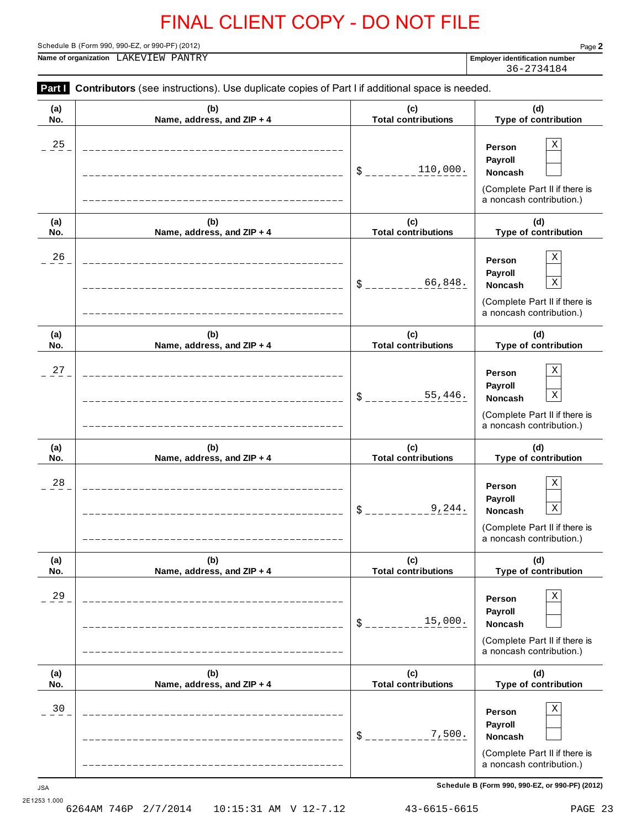**Part I** Contributors (see instructions). Use duplicate copies of Part I if additional space is needed.

Schedule B (Form 990, 990-EZ, or 990-PF) (2012) Page **2**

**Name of organization Employer identification number** LAKEVIEW PANTRY

36-2734184

| (a)              | (b)                        | (c)                        | (d)                                                                                                                                               |
|------------------|----------------------------|----------------------------|---------------------------------------------------------------------------------------------------------------------------------------------------|
| No.              | Name, address, and ZIP + 4 | <b>Total contributions</b> | Type of contribution                                                                                                                              |
| 25               |                            | 110,000.<br>\$             | Χ<br>Person<br>Payroll<br><b>Noncash</b><br>(Complete Part II if there is<br>a noncash contribution.)                                             |
| (a)              | (b)                        | (c)                        | (d)                                                                                                                                               |
| No.              | Name, address, and ZIP + 4 | <b>Total contributions</b> | Type of contribution                                                                                                                              |
| 26               |                            | 66,848.<br>\$              | Χ<br>Person<br>Payroll<br>$\mathbf X$<br>Noncash<br>(Complete Part II if there is<br>a noncash contribution.)                                     |
| (a)              | (b)                        | (c)                        | (d)                                                                                                                                               |
| No.              | Name, address, and ZIP + 4 | <b>Total contributions</b> | Type of contribution                                                                                                                              |
| 27               |                            | 55,446.<br>\$              | Χ<br>Person<br>Payroll<br>$\mathbf X$<br>Noncash<br>(Complete Part II if there is<br>a noncash contribution.)                                     |
| (a)              | (b)                        | (c)                        | (d)                                                                                                                                               |
| No.              | Name, address, and ZIP + 4 | <b>Total contributions</b> | Type of contribution                                                                                                                              |
| 28               |                            | 9,244.<br>\$               | Χ<br>Person<br>Payroll<br>$\mathbf X$<br><b>Noncash</b><br>(Complete Part II if there is<br>a noncash contribution.)                              |
| (a)              | (b)                        | (c)                        | (d)                                                                                                                                               |
| NO.              | Name, address, and ZIP + 4 | <b>Total contributions</b> | <b>Type of contribution</b>                                                                                                                       |
| 29               |                            | 15,000.<br>\$              | Χ<br>Person<br>Payroll<br>Noncash<br>(Complete Part II if there is<br>a noncash contribution.)                                                    |
| (a)              | (b)                        | (c)                        | (d)                                                                                                                                               |
| No.              | Name, address, and ZIP + 4 | <b>Total contributions</b> | Type of contribution                                                                                                                              |
| 30<br><b>JSA</b> |                            | 7,500.<br>\$               | Χ<br>Person<br>Payroll<br>Noncash<br>(Complete Part II if there is<br>a noncash contribution.)<br>Schedule B (Form 990, 990-EZ, or 990-PF) (2012) |

<sup>2</sup>E1253 1.000<br>6264AM 746P 2/7/2014 6264AM 746P 2/7/2014 10:15:31 AM V 12-7.12 43-6615-6615 PAGE 23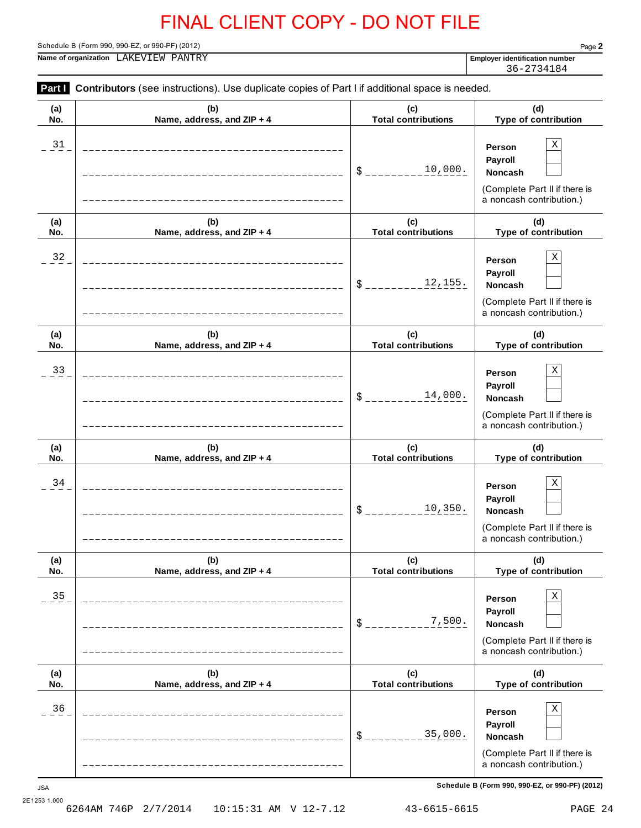**Part I** Contributors (see instructions). Use duplicate copies of Part I if additional space is needed.

Schedule B (Form 990, 990-EZ, or 990-PF) (2012) Page **2**

**Name of organization Employer identification number** LAKEVIEW PANTRY

36-2734184

| (a)              | (b)                        | (c)                        | (d)                                                                                                                                               |
|------------------|----------------------------|----------------------------|---------------------------------------------------------------------------------------------------------------------------------------------------|
| No.              | Name, address, and ZIP + 4 | <b>Total contributions</b> | Type of contribution                                                                                                                              |
| $\frac{31}{1}$   |                            | 10,000.<br>\$              | Χ<br>Person<br>Payroll<br>Noncash<br>(Complete Part II if there is<br>a noncash contribution.)                                                    |
| (a)              | (b)                        | (c)                        | (d)                                                                                                                                               |
| No.              | Name, address, and ZIP + 4 | <b>Total contributions</b> | Type of contribution                                                                                                                              |
| $32 -$           |                            | 12,155.<br>\$              | Χ<br>Person<br>Payroll<br>Noncash<br>(Complete Part II if there is<br>a noncash contribution.)                                                    |
| (a)              | (b)                        | (c)                        | (d)                                                                                                                                               |
| No.              | Name, address, and ZIP + 4 | <b>Total contributions</b> | Type of contribution                                                                                                                              |
| 33               |                            | 14,000.<br>\$              | Χ<br>Person<br>Payroll<br>Noncash<br>(Complete Part II if there is<br>a noncash contribution.)                                                    |
| (a)              | (b)                        | (c)                        | (d)                                                                                                                                               |
| No.              | Name, address, and ZIP + 4 | <b>Total contributions</b> | Type of contribution                                                                                                                              |
| 34               |                            | 10,350.<br>\$              | Χ<br>Person<br>Payroll<br>Noncash<br>(Complete Part II if there is<br>a noncash contribution.)                                                    |
| (a)              | (b)                        | (c)                        | (d)                                                                                                                                               |
| No.              | Name, address, and ZIP + 4 | <b>Total contributions</b> | Type of contribution                                                                                                                              |
| 35               |                            | 7,500.<br>\$               | Χ<br>Person<br>Payroll<br>Noncash<br>(Complete Part II if there is<br>a noncash contribution.)                                                    |
| (a)              | (b)                        | (c)                        | (d)                                                                                                                                               |
| No.              | Name, address, and ZIP + 4 | <b>Total contributions</b> | Type of contribution                                                                                                                              |
| 36<br><b>JSA</b> |                            | 35,000.<br>$$\mathbb{S}$ . | Χ<br>Person<br>Payroll<br>Noncash<br>(Complete Part II if there is<br>a noncash contribution.)<br>Schedule B (Form 990, 990-EZ, or 990-PF) (2012) |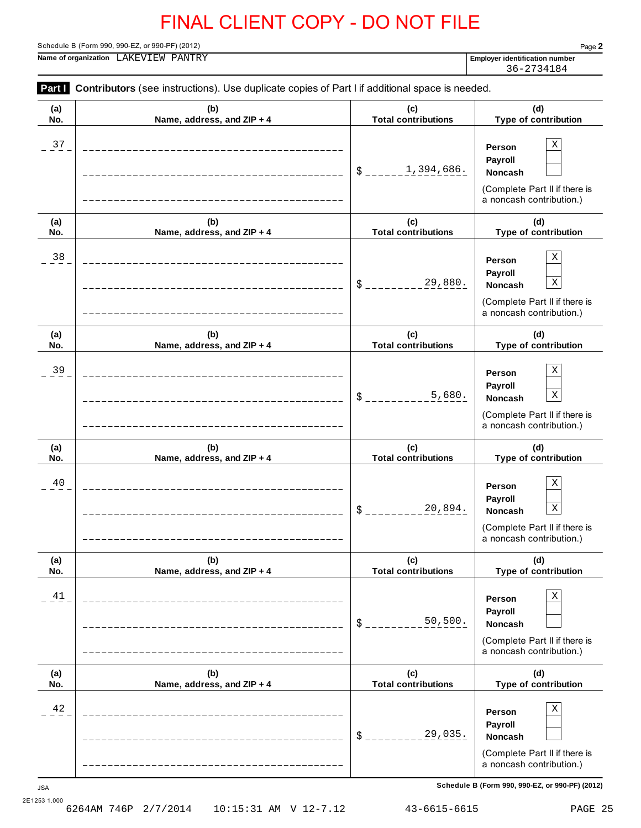Schedule B (Form 990, 990-EZ, or 990-PF) (2012) Page **2**

**Name of organization Employer identification number** LAKEVIEW PANTRY

36-2734184

| Part I     | Contributors (see instructions). Use duplicate copies of Part I if additional space is needed. |                                   |                                                                                                                                |
|------------|------------------------------------------------------------------------------------------------|-----------------------------------|--------------------------------------------------------------------------------------------------------------------------------|
| (a)<br>No. | (b)<br>Name, address, and ZIP + 4                                                              | (c)<br><b>Total contributions</b> | (d)<br>Type of contribution                                                                                                    |
| 37         |                                                                                                | 1,394,686.<br>$\mathsf{\$}$ .     | $\mathbf X$<br>Person<br>Payroll<br>Noncash<br>(Complete Part II if there is<br>a noncash contribution.)                       |
| (a)<br>No. | (b)<br>Name, address, and ZIP + 4                                                              | (c)<br><b>Total contributions</b> | (d)<br>Type of contribution                                                                                                    |
| $38\,$     |                                                                                                | 29,880.<br>\$                     | $\mathbf X$<br>Person<br>Payroll<br>$\mathbf X$<br>Noncash<br>(Complete Part II if there is<br>a noncash contribution.)        |
| (a)<br>No. | (b)<br>Name, address, and ZIP + 4                                                              | (c)<br><b>Total contributions</b> | (d)<br>Type of contribution                                                                                                    |
| 39         |                                                                                                | 5,680.<br>\$                      | $\mathbf X$<br>Person<br>Payroll<br>$\mathbf X$<br>Noncash<br>(Complete Part II if there is<br>a noncash contribution.)        |
| (a)<br>No. | (b)<br>Name, address, and ZIP + 4                                                              | (c)<br><b>Total contributions</b> | (d)<br>Type of contribution                                                                                                    |
| 40         |                                                                                                | 20,894.<br>\$                     | $\mathbf X$<br>Person<br>Payroll<br>$\mathbf X$<br><b>Noncash</b><br>(Complete Part II if there is<br>a noncash contribution.) |
| (a)<br>No. | (b)<br>Name, address, and ZIP + 4                                                              | (c)<br><b>Total contributions</b> | (d)<br>Type of contribution                                                                                                    |
| 41         |                                                                                                | 50,500.<br>\$                     | $\mathbf X$<br>Person<br>Payroll<br>Noncash<br>(Complete Part II if there is<br>a noncash contribution.)                       |
| (a)<br>No. | (b)<br>Name, address, and ZIP + 4                                                              | (c)<br><b>Total contributions</b> | (d)<br>Type of contribution                                                                                                    |
| 42         |                                                                                                | 29,035.<br>\$                     | $\mathbf X$<br>Person<br>Payroll<br><b>Noncash</b><br>(Complete Part II if there is<br>a noncash contribution.)                |

**Schedule B (Form 990, 990-EZ, or 990-PF) (2012)** JSA

2E1253 1.000<br>6264AM 746P 2/7/2014 10:15:31 AM V 12-7.12 43-6615-6615 PAGE 25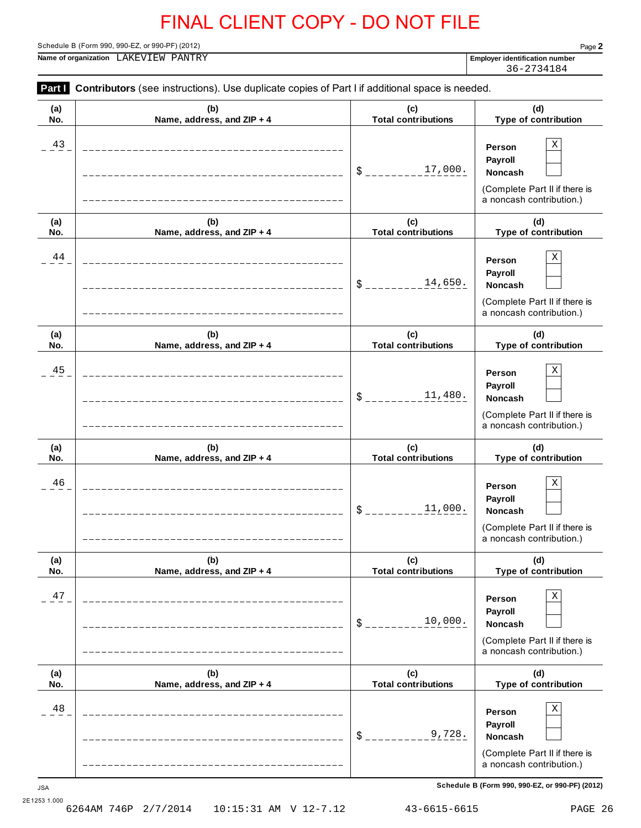**Part I** Contributors (see instructions). Use duplicate copies of Part I if additional space is needed.

Schedule B (Form 990, 990-EZ, or 990-PF) (2012) Page **2**

**Name of organization Employer identification number** LAKEVIEW PANTRY

36-2734184

| (a)              | (b)                        | (c)                        | (d)                                                                                                                                               |
|------------------|----------------------------|----------------------------|---------------------------------------------------------------------------------------------------------------------------------------------------|
| No.              | Name, address, and ZIP + 4 | <b>Total contributions</b> | Type of contribution                                                                                                                              |
| 43               |                            | 17,000.<br>\$              | Χ<br>Person<br>Payroll<br>Noncash<br>(Complete Part II if there is<br>a noncash contribution.)                                                    |
| (a)              | (b)                        | (c)                        | (d)                                                                                                                                               |
| No.              | Name, address, and ZIP + 4 | <b>Total contributions</b> | Type of contribution                                                                                                                              |
| 44               |                            | 14,650.<br>\$              | Χ<br>Person<br>Payroll<br>Noncash<br>(Complete Part II if there is<br>a noncash contribution.)                                                    |
| (a)              | (b)                        | (c)                        | (d)                                                                                                                                               |
| No.              | Name, address, and ZIP + 4 | <b>Total contributions</b> | Type of contribution                                                                                                                              |
| 45               |                            | 11,480.<br>\$              | Χ<br>Person<br>Payroll<br>Noncash<br>(Complete Part II if there is<br>a noncash contribution.)                                                    |
| (a)              | (b)                        | (c)                        | (d)                                                                                                                                               |
| No.              | Name, address, and ZIP + 4 | <b>Total contributions</b> | Type of contribution                                                                                                                              |
| 46               |                            | 11,000.<br>\$              | Χ<br>Person<br>Payroll<br><b>Noncash</b><br>(Complete Part II if there is<br>a noncash contribution.)                                             |
| (a)              | (b)                        | (c)                        | (d)                                                                                                                                               |
| No.              | Name, address, and ZIP + 4 | <b>Total contributions</b> | Type of contribution                                                                                                                              |
| 47               |                            | 10,000.<br>\$              | Χ<br>Person<br>Payroll<br>Noncash<br>(Complete Part II if there is<br>a noncash contribution.)                                                    |
| (a)              | (b)                        | (c)                        | (d)                                                                                                                                               |
| No.              | Name, address, and ZIP + 4 | <b>Total contributions</b> | <b>Type of contribution</b>                                                                                                                       |
| 48<br><b>JSA</b> |                            | 9,728.<br>\$               | Χ<br>Person<br>Payroll<br>Noncash<br>(Complete Part II if there is<br>a noncash contribution.)<br>Schedule B (Form 990, 990-EZ, or 990-PF) (2012) |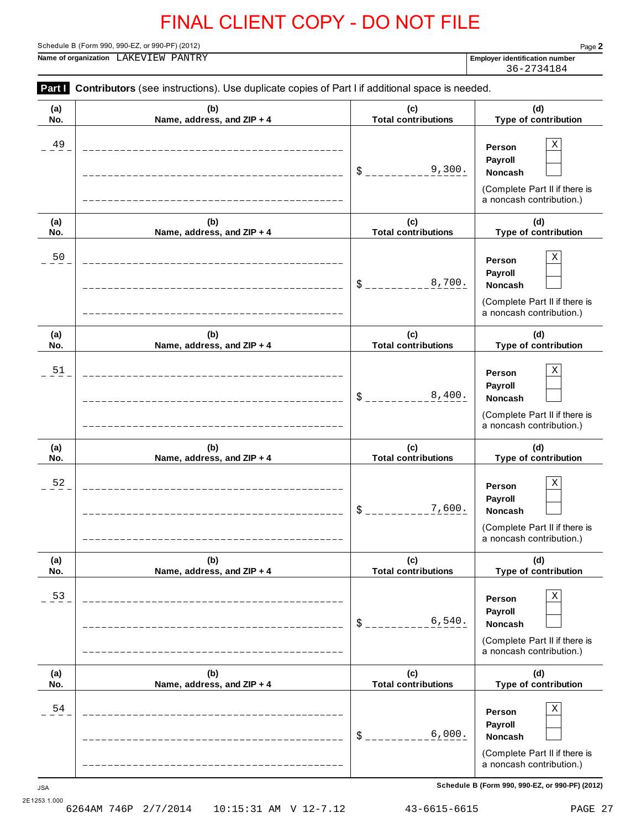**Part I** Contributors (see instructions). Use duplicate copies of Part I if additional space is needed.

Schedule B (Form 990, 990-EZ, or 990-PF) (2012) Page **2**

**Name of organization Employer identification number** LAKEVIEW PANTRY

36-2734184

| (a)<br>No. | (b)<br>Name, address, and ZIP + 4 | (c)<br><b>Total contributions</b> | (d)<br>Type of contribution                                                                              |
|------------|-----------------------------------|-----------------------------------|----------------------------------------------------------------------------------------------------------|
| 49         |                                   | 9,300.<br>\$                      | $\mathbf X$<br>Person<br>Payroll<br>Noncash<br>(Complete Part II if there is<br>a noncash contribution.) |
| (a)<br>No. | (b)<br>Name, address, and ZIP + 4 | (c)<br><b>Total contributions</b> | (d)<br>Type of contribution                                                                              |
| 50         |                                   | 8,700.<br>\$                      | Χ<br>Person<br>Payroll<br>Noncash<br>(Complete Part II if there is<br>a noncash contribution.)           |
| (a)<br>No. | (b)<br>Name, address, and ZIP + 4 | (c)<br><b>Total contributions</b> | (d)<br>Type of contribution                                                                              |
| 51         |                                   | 8,400.<br>\$                      | Χ<br>Person<br>Payroll<br>Noncash<br>(Complete Part II if there is<br>a noncash contribution.)           |
| (a)<br>No. | (b)<br>Name, address, and ZIP + 4 | (c)<br><b>Total contributions</b> | (d)<br>Type of contribution                                                                              |
| 52         |                                   | 7,600.<br>\$                      | Χ<br>Person<br>Payroll<br>Noncash<br>(Complete Part II if there is<br>a noncash contribution.)           |
| (a)<br>No. | (b)<br>Name, address, and ZIP + 4 | (c)<br><b>Total contributions</b> | (d)<br><b>Type of contribution</b>                                                                       |
| 53         |                                   | 6,540.<br>\$                      | Х<br>Person<br>Payroll<br>Noncash<br>(Complete Part II if there is<br>a noncash contribution.)           |
| (a)<br>No. | (b)<br>Name, address, and ZIP + 4 | (c)<br><b>Total contributions</b> | (d)<br>Type of contribution                                                                              |
| 54         |                                   | 6,000.<br>\$                      | Х<br>Person<br>Payroll<br>Noncash<br>(Complete Part II if there is<br>a noncash contribution.)           |
| <b>JSA</b> |                                   |                                   | Schedule B (Form 990, 990-EZ, or 990-PF) (2012)                                                          |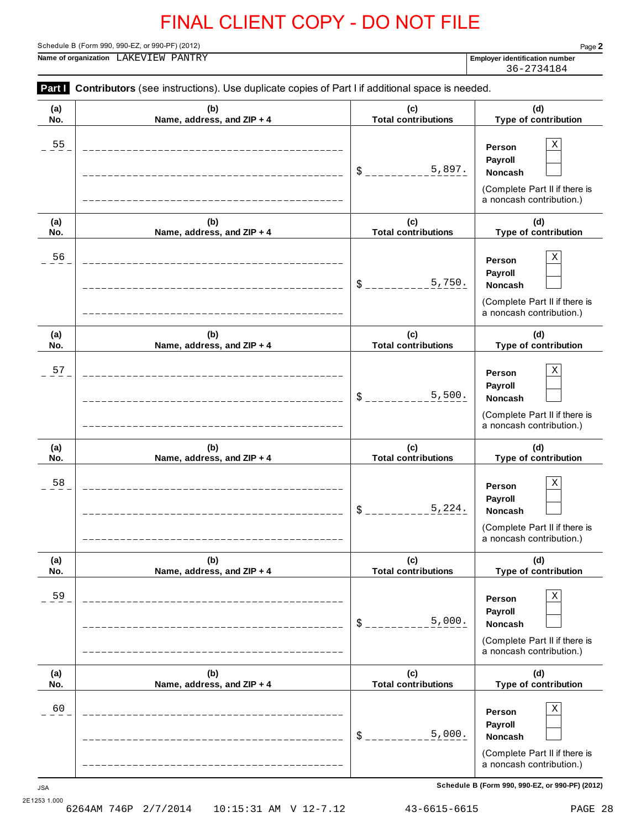**Part I** Contributors (see instructions). Use duplicate copies of Part I if additional space is needed.

Schedule B (Form 990, 990-EZ, or 990-PF) (2012) Page **2**

**Name of organization Employer identification number** LAKEVIEW PANTRY

36-2734184

| (a)              | (b)                        | (c)                        | (d)                                                                                                                                               |
|------------------|----------------------------|----------------------------|---------------------------------------------------------------------------------------------------------------------------------------------------|
| No.              | Name, address, and ZIP + 4 | <b>Total contributions</b> | Type of contribution                                                                                                                              |
| 55               |                            | 5,897.<br>$S$ _________    | X<br>Person<br><b>Payroll</b><br>Noncash<br>(Complete Part II if there is<br>a noncash contribution.)                                             |
| (a)              | (b)                        | (c)                        | (d)                                                                                                                                               |
| No.              | Name, address, and ZIP + 4 | <b>Total contributions</b> | Type of contribution                                                                                                                              |
| 56               |                            | 5,750.<br>$\delta$ $=$     | X<br>Person<br>Payroll<br>Noncash<br>(Complete Part II if there is<br>a noncash contribution.)                                                    |
| (a)              | (b)                        | (c)                        | (d)                                                                                                                                               |
| No.              | Name, address, and ZIP + 4 | <b>Total contributions</b> | Type of contribution                                                                                                                              |
| 57               |                            | 5,500.<br>$S_{-}$          | X<br>Person<br>Payroll<br>Noncash<br>(Complete Part II if there is<br>a noncash contribution.)                                                    |
| (a)              | (b)                        | (c)                        | (d)                                                                                                                                               |
| No.              | Name, address, and ZIP + 4 | <b>Total contributions</b> | Type of contribution                                                                                                                              |
| 58               |                            | 5,224.<br>$\delta$         | X<br>Person<br>Payroll<br>Noncash<br>(Complete Part II if there is<br>a noncash contribution.)                                                    |
| (a)              | (b)                        | (c)                        | (d)                                                                                                                                               |
| No.              | Name, address, and ZIP + 4 | <b>Total contributions</b> | Type of contribution                                                                                                                              |
| 59               |                            | 5,000.<br>$\frac{1}{2}$    | $\rm X$<br>Person<br>Payroll<br>Noncash<br>(Complete Part II if there is<br>a noncash contribution.)                                              |
| (a)              | (b)                        | (c)                        | (d)                                                                                                                                               |
| No.              | Name, address, and ZIP + 4 | <b>Total contributions</b> | Type of contribution                                                                                                                              |
| 60<br><b>JSA</b> |                            | 5,000.<br>$\frac{1}{2}$    | Х<br>Person<br>Payroll<br>Noncash<br>(Complete Part II if there is<br>a noncash contribution.)<br>Schedule B (Form 990, 990-EZ, or 990-PF) (2012) |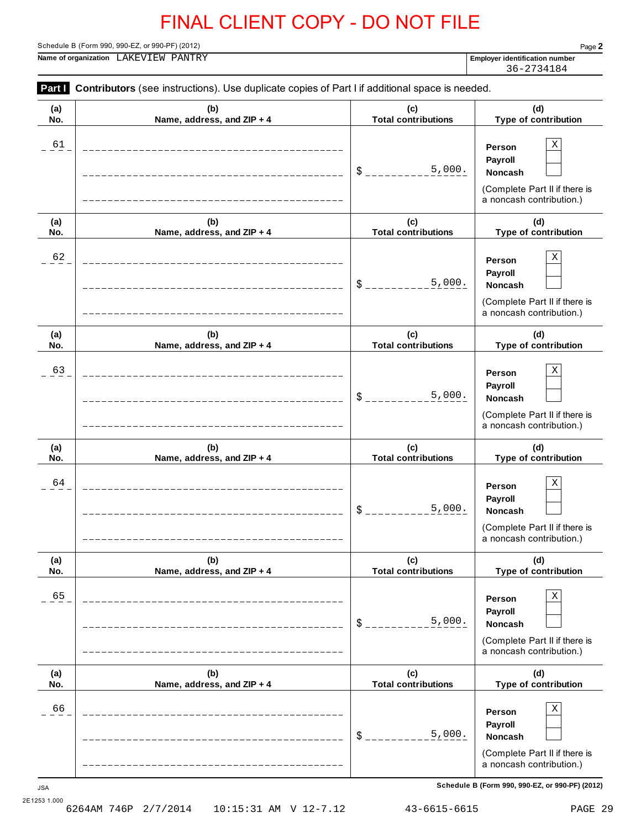**Part I** Contributors (see instructions). Use duplicate copies of Part I if additional space is needed.

Schedule B (Form 990, 990-EZ, or 990-PF) (2012) Page **2**

**Name of organization Employer identification number** LAKEVIEW PANTRY

36-2734184

| (a)              | (b)                        | (c)                           | (d)                                                                                                                                               |
|------------------|----------------------------|-------------------------------|---------------------------------------------------------------------------------------------------------------------------------------------------|
| No.              | Name, address, and ZIP + 4 | <b>Total contributions</b>    | Type of contribution                                                                                                                              |
| 61               |                            | 5,000.<br>$S$ <sub>----</sub> | Χ<br>Person<br>Payroll<br>Noncash<br>(Complete Part II if there is<br>a noncash contribution.)                                                    |
| (a)              | (b)                        | (c)                           | (d)                                                                                                                                               |
| No.              | Name, address, and ZIP + 4 | <b>Total contributions</b>    | Type of contribution                                                                                                                              |
| 62               |                            | 5,000.<br>$S_{---}$           | Χ<br>Person<br>Payroll<br>Noncash<br>(Complete Part II if there is<br>a noncash contribution.)                                                    |
| (a)              | (b)                        | (c)                           | (d)                                                                                                                                               |
| No.              | Name, address, and ZIP + 4 | <b>Total contributions</b>    | Type of contribution                                                                                                                              |
| 63               |                            | 5,000.<br>$\delta$ $_{--}$    | Χ<br>Person<br>Payroll<br><b>Noncash</b><br>(Complete Part II if there is<br>a noncash contribution.)                                             |
| (a)              | (b)                        | (c)                           | (d)                                                                                                                                               |
| No.              | Name, address, and ZIP + 4 | <b>Total contributions</b>    | Type of contribution                                                                                                                              |
| 64               |                            | 5,000.<br>$$^{\circ}$         | Χ<br>Person<br>Payroll<br>Noncash<br>(Complete Part II if there is<br>a noncash contribution.)                                                    |
| (a)              | (b)                        | (c)                           | (d)                                                                                                                                               |
| No.              | Name, address, and ZIP + 4 | Total contributions           | Type of contribution                                                                                                                              |
| 65               |                            | 5,000.<br>\$                  | Χ<br>Person<br>Payroll<br>Noncash<br>(Complete Part II if there is<br>a noncash contribution.)                                                    |
| (a)              | (b)                        | (c)                           | (d)                                                                                                                                               |
| No.              | Name, address, and ZIP + 4 | <b>Total contributions</b>    | Type of contribution                                                                                                                              |
| 66<br><b>JSA</b> |                            | 5,000.<br>$$^{\circ}$         | Χ<br>Person<br>Payroll<br>Noncash<br>(Complete Part II if there is<br>a noncash contribution.)<br>Schedule B (Form 990, 990-EZ, or 990-PF) (2012) |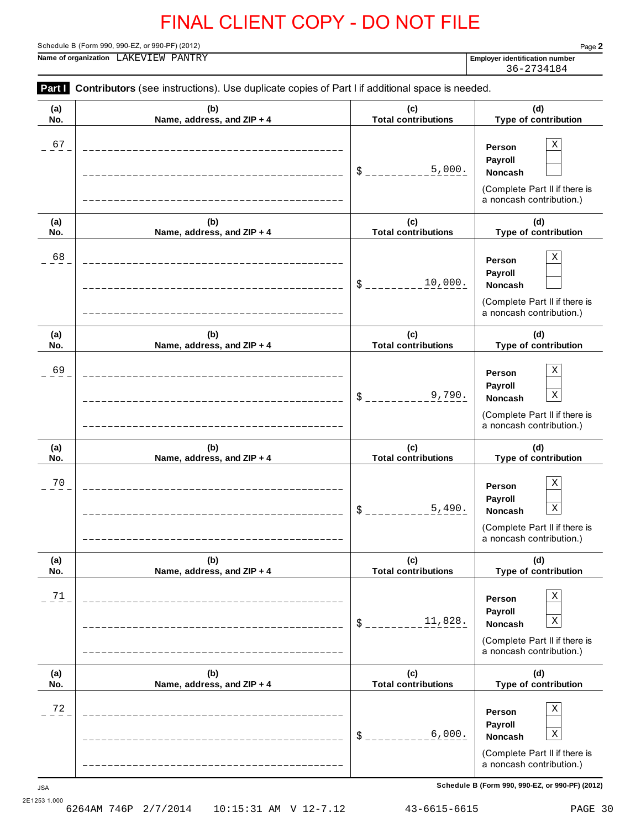**Part I** Contributors (see instructions). Use duplicate copies of Part I if additional space is needed.

Schedule B (Form 990, 990-EZ, or 990-PF) (2012) Page **2**

**Name of organization Employer identification number** LAKEVIEW PANTRY

36-2734184

| (a)              | (b)                                | (c)                        | (d)                                                                                                                                                    |
|------------------|------------------------------------|----------------------------|--------------------------------------------------------------------------------------------------------------------------------------------------------|
| No.              | Name, address, and ZIP + 4         | <b>Total contributions</b> | Type of contribution                                                                                                                                   |
| 67               |                                    | 5,000.<br>\$               | Χ<br>Person<br>Payroll<br>Noncash<br>(Complete Part II if there is<br>a noncash contribution.)                                                         |
| (a)              | (b)                                | (c)                        | (d)                                                                                                                                                    |
| No.              | Name, address, and ZIP + 4         | <b>Total contributions</b> | Type of contribution                                                                                                                                   |
| 68               |                                    | 10,000.<br>\$              | Χ<br>Person<br>Payroll<br>Noncash<br>(Complete Part II if there is<br>a noncash contribution.)                                                         |
| (a)              | (b)                                | (c)                        | (d)                                                                                                                                                    |
| No.              | Name, address, and ZIP + 4         | <b>Total contributions</b> | Type of contribution                                                                                                                                   |
| 69               |                                    | 9,790.<br>\$               | Χ<br>Person<br>Payroll<br>$\mathbf X$<br>Noncash<br>(Complete Part II if there is<br>a noncash contribution.)                                          |
| (a)              | (b)                                | (c)                        | (d)                                                                                                                                                    |
| No.              | Name, address, and ZIP + 4         | <b>Total contributions</b> | Type of contribution                                                                                                                                   |
| 70               |                                    | 5,490.<br>\$               | Χ<br>Person<br>Payroll<br>$\mathbf X$<br>Noncash<br>(Complete Part II if there is<br>a noncash contribution.)                                          |
| (a)              | (b)                                | (c)                        | (d)                                                                                                                                                    |
| No.              | Name, address, and ZIP + 4         | <b>Total contributions</b> | Type of contribution                                                                                                                                   |
| 71               | __________________________________ | 11,828.<br>\$              | Χ<br>Person<br>Payroll<br>$\mathbf X$<br>Noncash<br>(Complete Part II if there is<br>a noncash contribution.)                                          |
| (a)              | (b)                                | (c)                        | (d)                                                                                                                                                    |
| No.              | Name, address, and ZIP + 4         | <b>Total contributions</b> | Type of contribution                                                                                                                                   |
| 72<br><b>JSA</b> |                                    | 6,000.<br>\$               | Χ<br>Person<br>Payroll<br>X<br>Noncash<br>(Complete Part II if there is<br>a noncash contribution.)<br>Schedule B (Form 990, 990-EZ, or 990-PF) (2012) |

2E1253 1.000<br>6264AM 746P 2/7/2014 6264AM 746P 2/7/2014 10:15:31 AM V 12-7.12 43-6615-6615 PAGE 30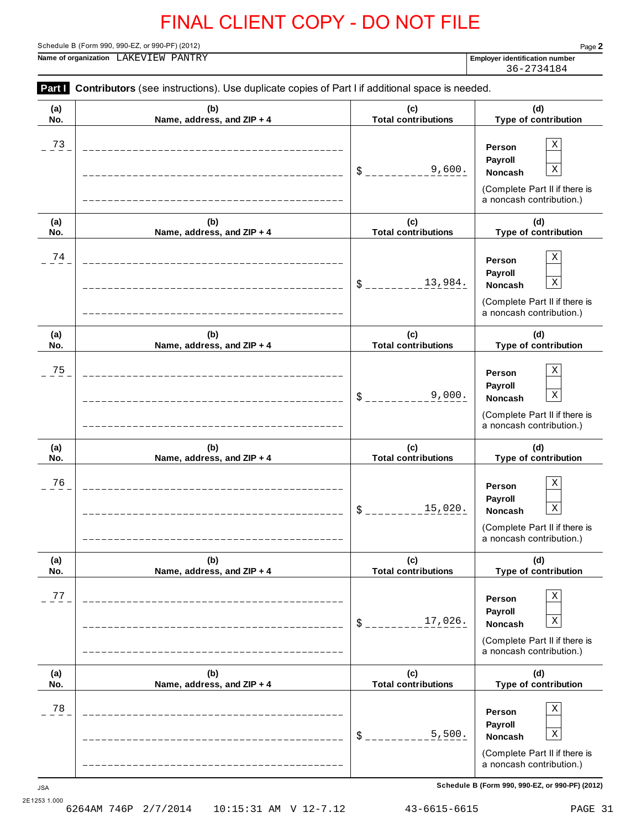**Part I** Contributors (see instructions). Use duplicate copies of Part I if additional space is needed.

Schedule B (Form 990, 990-EZ, or 990-PF) (2012) Page **2**

**Name of organization Employer identification number** LAKEVIEW PANTRY

36-2734184

| (a)                  | (b)                        | (c)                        | (d)                                                                                                                                                    |
|----------------------|----------------------------|----------------------------|--------------------------------------------------------------------------------------------------------------------------------------------------------|
| No.                  | Name, address, and ZIP + 4 | <b>Total contributions</b> | Type of contribution                                                                                                                                   |
| 73                   |                            | 9,600.<br>$S$ ______       | X<br>Person<br><b>Payroll</b><br>$\mathbf X$<br>Noncash<br>(Complete Part II if there is<br>a noncash contribution.)                                   |
| (a)                  | (b)                        | (c)                        | (d)                                                                                                                                                    |
| No.                  | Name, address, and ZIP + 4 | <b>Total contributions</b> | Type of contribution                                                                                                                                   |
| 74                   |                            | 13,984.<br>$S_{--}$        | X<br>Person<br>Payroll<br>$\mathbf X$<br>Noncash<br>(Complete Part II if there is<br>a noncash contribution.)                                          |
| (a)                  | (b)                        | (c)                        | (d)                                                                                                                                                    |
| No.                  | Name, address, and ZIP + 4 | <b>Total contributions</b> | Type of contribution                                                                                                                                   |
| 75                   |                            | 9,000.<br>$S_{-}$          | Х<br>Person<br>Payroll<br>$\mathbf X$<br>Noncash<br>(Complete Part II if there is<br>a noncash contribution.)                                          |
| (a)                  | (b)                        | (c)                        | (d)                                                                                                                                                    |
| No.                  | Name, address, and ZIP + 4 | <b>Total contributions</b> | Type of contribution                                                                                                                                   |
| 76                   |                            | 15,020.<br>$\frac{1}{2}$   | Х<br>Person<br>Payroll<br>$\mathbf X$<br>Noncash<br>(Complete Part II if there is<br>a noncash contribution.)                                          |
| (a)                  | (b)                        | (c)                        | (d)                                                                                                                                                    |
| No.                  | Name, address, and ZIP + 4 | <b>Total contributions</b> | Type of contribution                                                                                                                                   |
| $7\,7$               |                            | 17,026.<br>$\frac{1}{2}$   | Χ<br>Person<br>Payroll<br>X<br>Noncash<br>(Complete Part II if there is<br>a noncash contribution.)                                                    |
| (a)                  | (b)                        | (c)                        | (d)                                                                                                                                                    |
| No.                  | Name, address, and ZIP + 4 | <b>Total contributions</b> | Type of contribution                                                                                                                                   |
| $7\,8$<br><b>JSA</b> |                            | 5,500.<br>$\frac{1}{2}$    | Х<br>Person<br>Payroll<br>X<br>Noncash<br>(Complete Part II if there is<br>a noncash contribution.)<br>Schedule B (Form 990, 990-EZ, or 990-PF) (2012) |

2E1253 1.000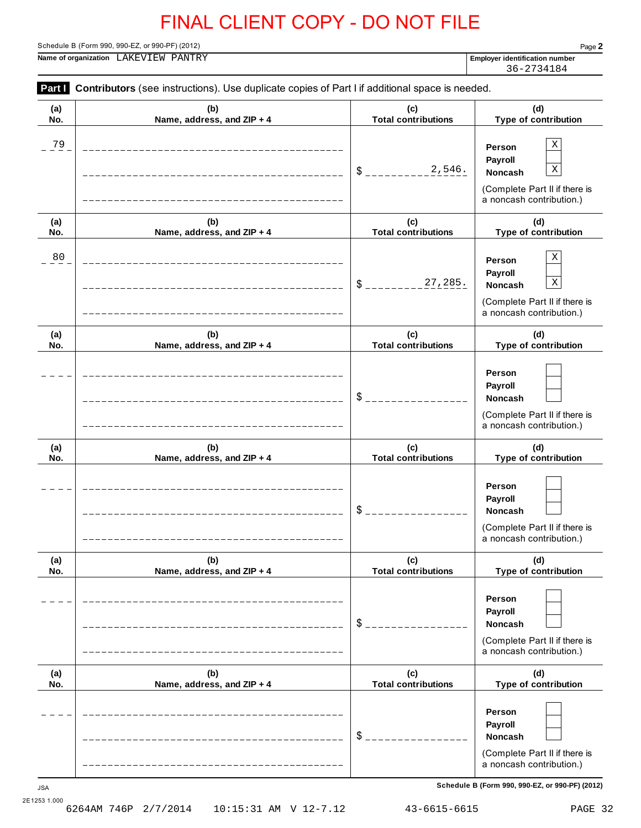Schedule B (Form 990, 990-EZ, or 990-PF) (2012) Page **2**

**Name of organization Employer identification number** LAKEVIEW PANTRY

36-2734184

|            | Part Contributors (see instructions). Use duplicate copies of Part I if additional space is needed. |                                   |                                                                                                               |
|------------|-----------------------------------------------------------------------------------------------------|-----------------------------------|---------------------------------------------------------------------------------------------------------------|
| (a)<br>No. | (b)<br>Name, address, and ZIP + 4                                                                   | (c)<br><b>Total contributions</b> | (d)<br>Type of contribution                                                                                   |
| $^{79}$    |                                                                                                     | 2,546.<br>$\frac{1}{2}$           | Χ<br>Person<br>Payroll<br>$\mathbf X$<br>Noncash<br>(Complete Part II if there is<br>a noncash contribution.) |
| (a)<br>No. | (b)<br>Name, address, and ZIP + 4                                                                   | (c)<br><b>Total contributions</b> | (d)<br>Type of contribution                                                                                   |
| 80         |                                                                                                     | 27,285.<br>$\frac{1}{2}$          | $\mathbf X$<br>Person<br>Payroll<br>X<br>Noncash<br>(Complete Part II if there is<br>a noncash contribution.) |
| (a)<br>No. | (b)<br>Name, address, and ZIP + 4                                                                   | (c)<br><b>Total contributions</b> | (d)<br>Type of contribution                                                                                   |
|            |                                                                                                     | $\frac{1}{2}$                     | Person<br>Payroll<br>Noncash<br>(Complete Part II if there is<br>a noncash contribution.)                     |
| (a)<br>No. | (b)<br>Name, address, and ZIP + 4                                                                   | (c)<br><b>Total contributions</b> | (d)<br>Type of contribution                                                                                   |
|            |                                                                                                     | \$                                | Person<br>Payroll<br>Noncash<br>(Complete Part II if there is<br>a noncash contribution.)                     |
| (a)<br>No. | (b)<br>Name, address, and ZIP + 4                                                                   | (c)<br><b>Total contributions</b> | (d)<br>Type of contribution                                                                                   |
|            | -------------------                                                                                 | $\frac{1}{2}$                     | Person<br>Payroll<br><b>Noncash</b><br>(Complete Part II if there is<br>a noncash contribution.)              |
| (a)<br>No. | (b)<br>Name, address, and ZIP + 4                                                                   | (c)<br><b>Total contributions</b> | (d)<br>Type of contribution                                                                                   |
|            | ______________________                                                                              | $\frac{1}{2}$                     | Person<br>Payroll<br><b>Noncash</b><br>(Complete Part II if there is<br>a noncash contribution.)              |

**Schedule B (Form 990, 990-EZ, or 990-PF) (2012)** JSA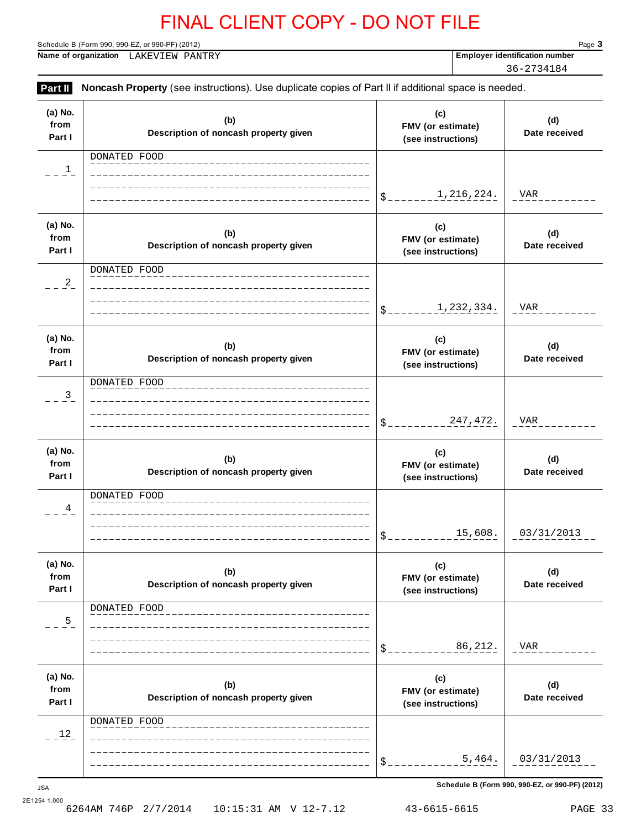Schedule B (Form 990, 990-EZ, or 990-PF) (2012) Page **3**

**Name of organization Employer identification number** LAKEVIEW PANTRY

36-2734184

| Part II                   | Noncash Property (see instructions). Use duplicate copies of Part II if additional space is needed. |                                                |                      |
|---------------------------|-----------------------------------------------------------------------------------------------------|------------------------------------------------|----------------------|
| (a) No.<br>from<br>Part I | (b)<br>Description of noncash property given                                                        | (c)<br>FMV (or estimate)<br>(see instructions) | (d)<br>Date received |
| $\mathbf{1}$              | DONATED FOOD                                                                                        | 1,216,224.<br>\$_                              | VAR                  |
| (a) No.<br>from<br>Part I | (b)<br>Description of noncash property given                                                        | (c)<br>FMV (or estimate)<br>(see instructions) | (d)<br>Date received |
| $^{2}$                    | DONATED FOOD                                                                                        | 1,232,334.<br>\$_                              | VAR                  |
| (a) No.<br>from<br>Part I | (b)<br>Description of noncash property given                                                        | (c)<br>FMV (or estimate)<br>(see instructions) | (d)<br>Date received |
| $\frac{3}{2}$             | DONATED FOOD                                                                                        | 247, 472.<br>\$_                               | VAR                  |
| (a) No.<br>from<br>Part I | (b)<br>Description of noncash property given                                                        | (c)<br>FMV (or estimate)<br>(see instructions) | (d)<br>Date received |
| 4                         | DONATED FOOD                                                                                        | 15,608.<br>\$                                  | 03/31/2013           |
| (a) No.<br>from<br>Part I | (b)<br>Description of noncash property given                                                        | (c)<br>FMV (or estimate)<br>(see instructions) | (d)<br>Date received |
| $\frac{5}{1}$             | DONATED FOOD                                                                                        | 86,212.<br>\$                                  | VAR                  |
| (a) No.<br>from<br>Part I | (b)<br>Description of noncash property given                                                        | (c)<br>FMV (or estimate)<br>(see instructions) | (d)<br>Date received |
| 12                        | DONATED FOOD                                                                                        | 5,464.<br>\$                                   | 03/31/2013           |
|                           |                                                                                                     |                                                |                      |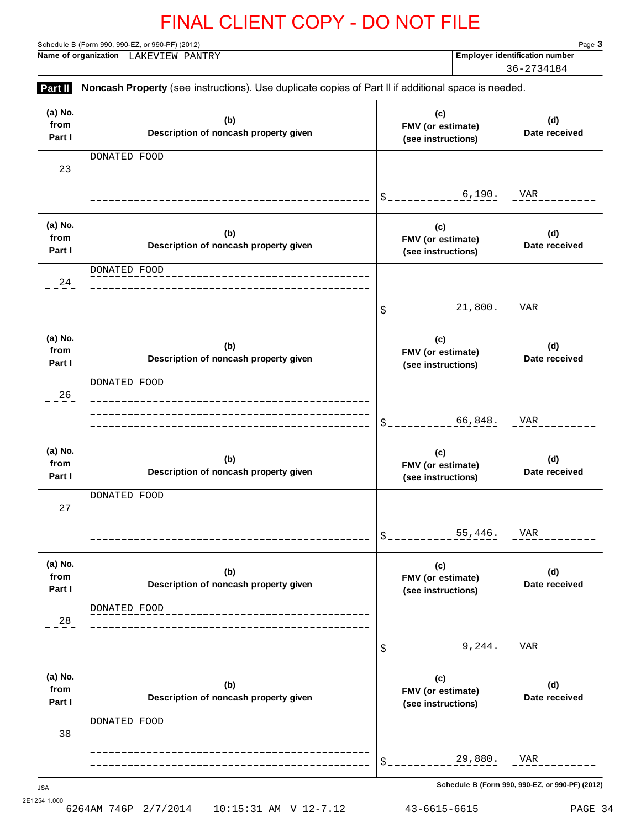Schedule B (Form 990, 990-EZ, or 990-PF) (2012) Page **3**

**Name of organization Employer identification number** LAKEVIEW PANTRY

36-2734184

**Part II** Noncash Property (see instructions). Use duplicate copies of Part II if additional space is needed. **(a) No. from Part I (c) FMV (or estimate) (see instructions) (b) Description of noncash property given (d) Date received** \$ **(a) No. from Part I (c) FMV (or estimate) (see instructions) (b) Description of noncash property given (d) Date received** \$ **(a) No. from Part I (c) FMV (or estimate) (see instructions) (b) Description of noncash property given (d) Date received** \$ **(a) No. from Part I (c) FMV (or estimate) (see instructions) (b) Description of noncash property given (d) Date received** \$ **(a) No. from Part I (c) FMV (or estimate) (see instructions) (b) Description of noncash property given (d) Date received** \$ **(a) No. from Part I (c) FMV (or estimate) (see instructions) (b) Description of noncash property given (d) Date received** \$ **Schedule B (Form 990, 990-EZ, or 990-PF) (2012)** JSA DONATED FOOD  $-23$ 6,190. VAR DONATED FOOD  $-24$ 21,800. VAR DONATED FOOD  $-26$ 66,848. VAR DONATED FOOD  $-27$ 55,446. VAR DONATED FOOD  $-28$ 9,244. VAR DONATED FOOD  $-38$ 29,880. VAR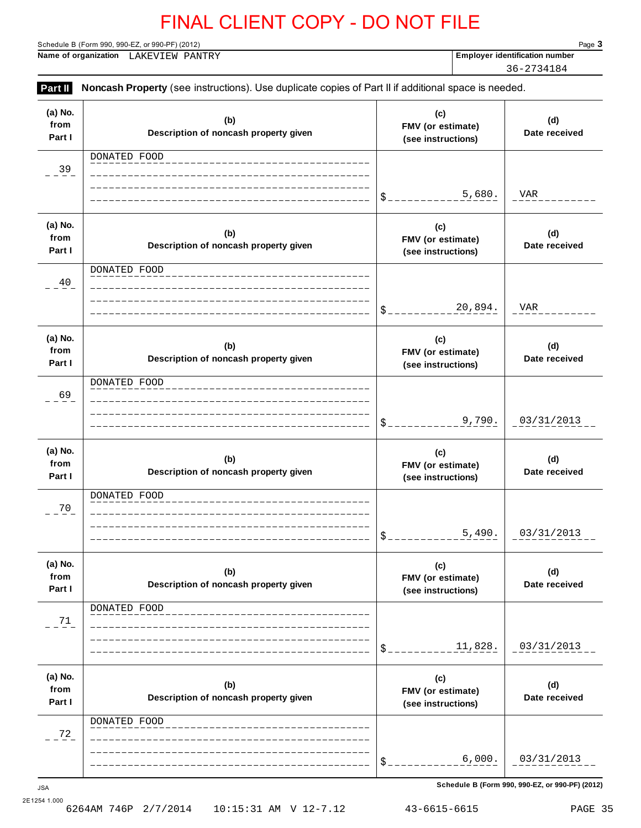Schedule B (Form 990, 990-EZ, or 990-PF) (2012) Page **3**

**Name of organization Employer identification number** LAKEVIEW PANTRY

36-2734184

| Part II                   | Noncash Property (see instructions). Use duplicate copies of Part II if additional space is needed. |                                                |                      |
|---------------------------|-----------------------------------------------------------------------------------------------------|------------------------------------------------|----------------------|
| (a) No.<br>from<br>Part I | (b)<br>Description of noncash property given                                                        | (c)<br>FMV (or estimate)<br>(see instructions) | (d)<br>Date received |
| 39                        | DONATED FOOD                                                                                        | 5,680.<br>\$                                   | VAR                  |
| (a) No.<br>from<br>Part I | (b)<br>Description of noncash property given                                                        | (c)<br>FMV (or estimate)<br>(see instructions) | (d)<br>Date received |
| 40                        | DONATED FOOD                                                                                        | 20,894.<br>\$                                  | VAR                  |
| (a) No.<br>from<br>Part I | (b)<br>Description of noncash property given                                                        | (c)<br>FMV (or estimate)<br>(see instructions) | (d)<br>Date received |
| 69                        | DONATED FOOD                                                                                        | 9,790.<br>\$                                   | 03/31/2013           |
| (a) No.<br>from<br>Part I | (b)<br>Description of noncash property given                                                        | (c)<br>FMV (or estimate)<br>(see instructions) | (d)<br>Date received |
| 70                        | DONATED FOOD                                                                                        | 5,490.<br>\$                                   | 03/31/2013           |
| (a) No.<br>from<br>Part I | (b)<br>Description of noncash property given                                                        | (c)<br>FMV (or estimate)<br>(see instructions) | (d)<br>Date received |
| 71                        | DONATED FOOD                                                                                        | 11,828.                                        | 03/31/2013           |
| (a) No.<br>from<br>Part I | (b)<br>Description of noncash property given                                                        | (c)<br>FMV (or estimate)<br>(see instructions) | (d)<br>Date received |
| 72                        | DONATED FOOD                                                                                        | 6,000.<br>\$                                   | 03/31/2013           |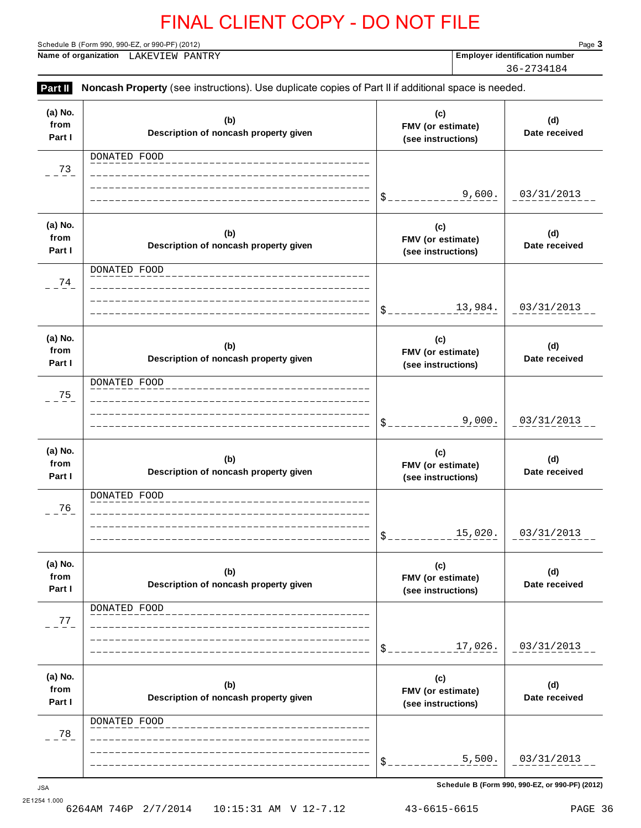Schedule B (Form 990, 990-EZ, or 990-PF) (2012) Page **3**

**Name of organization Employer identification number** LAKEVIEW PANTRY

36-2734184

**Part II** Noncash Property (see instructions). Use duplicate copies of Part II if additional space is needed. **(a) No. from Part I (c) FMV (or estimate) (see instructions) (b) Description of noncash property given (d) Date received**  $\texttt{\$}_{---}$ **(a) No. from Part I (c) FMV (or estimate) (see instructions) (b) Description of noncash property given (d) Date received** \$ **(a) No. from Part I (c) FMV (or estimate) (see instructions) (b) Description of noncash property given (d) Date received** \$ **(a) No. from Part I (c) FMV (or estimate) (see instructions) (b) Description of noncash property given (d) Date received** \$ **(a) No. from Part I (c) FMV (or estimate) (see instructions) (b) Description of noncash property given (d) Date received** \$ **(a) No. from Part I (c) FMV (or estimate) (see instructions) (b) Description of noncash property given (d) Date received** \$ DONATED FOOD  $-23$ 9,600. 03/31/2013 DONATED FOOD  $-24$ 13,984. 03/31/2013 DONATED FOOD  $-25$ 9,000. 03/31/2013 DONATED FOOD  $- - \frac{76}{7}$ 15,020. 03/31/2013 DONATED FOOD  $-27$ 17,026. 03/31/2013 DONATED FOOD  $-28$ 5,500. 03/31/2013

**Schedule B (Form 990, 990-EZ, or 990-PF) (2012)** JSA

2E1254 1.000<br>6264AM 746P 2/7/2014 6264AM 746P 2/7/2014 10:15:31 AM V 12-7.12 43-6615-6615 PAGE 36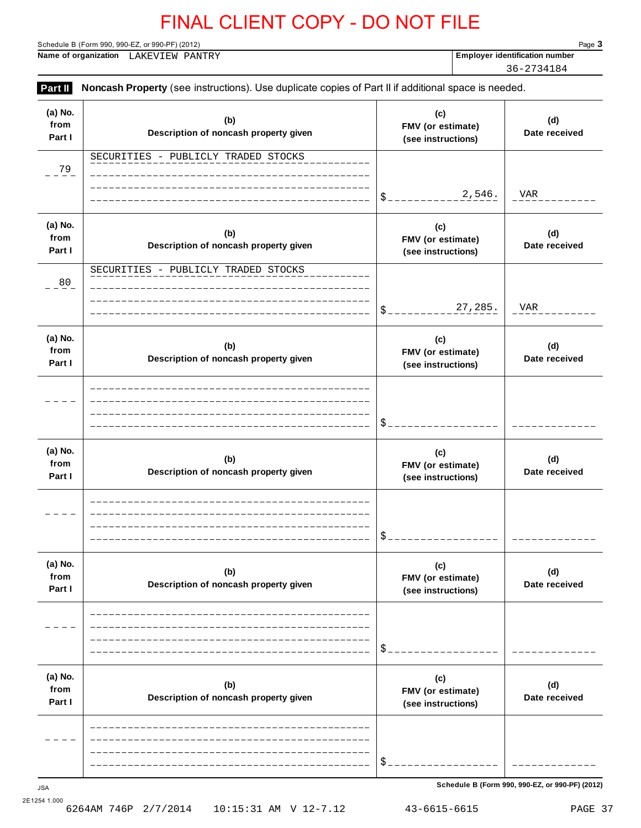Schedule B (Form 990, 990-EZ, or 990-PF) (2012) Page **3**

**Name of organization Employer identification number** LAKEVIEW PANTRY

36-2734184

| from<br>Part I            | (b)<br>Description of noncash property given | (c)<br>FMV (or estimate)<br>(see instructions) | (d)<br>Date received |
|---------------------------|----------------------------------------------|------------------------------------------------|----------------------|
| 79                        | SECURITIES - PUBLICLY TRADED STOCKS          |                                                |                      |
|                           |                                              | 2,546.<br>$S_{--}$                             | VAR                  |
| (a) No.<br>from<br>Part I | (b)<br>Description of noncash property given | (c)<br>FMV (or estimate)<br>(see instructions) | (d)<br>Date received |
| 80                        | SECURITIES - PUBLICLY TRADED STOCKS          | 27,285.<br>$\$$ $\_$                           | VAR                  |
| (a) No.<br>from<br>Part I | (b)<br>Description of noncash property given | (c)<br>FMV (or estimate)<br>(see instructions) | (d)<br>Date received |
|                           |                                              | \$                                             |                      |
| (a) No.<br>from<br>Part I | (b)<br>Description of noncash property given | (c)<br>FMV (or estimate)<br>(see instructions) | (d)<br>Date received |
|                           |                                              | \$                                             |                      |
| (a) No.<br>from<br>Part I | (b)<br>Description of noncash property given | (c)<br>FMV (or estimate)<br>(see instructions) | (d)<br>Date received |
|                           |                                              |                                                |                      |
| (a) No.<br>from<br>Part I | (b)<br>Description of noncash property given | (c)<br>FMV (or estimate)<br>(see instructions) | (d)<br>Date received |
|                           |                                              |                                                |                      |

2E1254 1.000<br>6264AM 746P 2/7/2014 6264AM 746P 2/7/2014 10:15:31 AM V 12-7.12 43-6615-6615 PAGE 37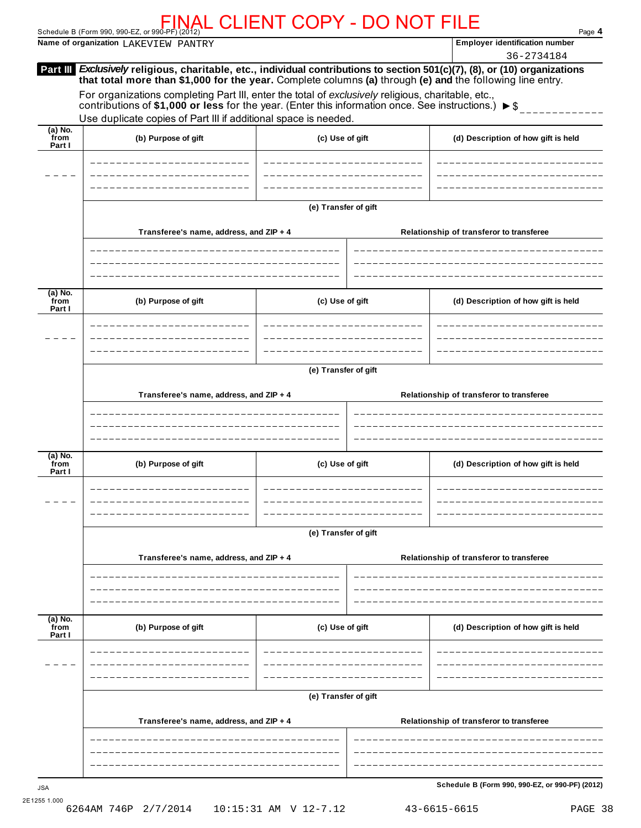Schedule B (Form 990, 990-EZ, or 990-PF) (2012) Page **4** FINAL CLIENT COPY - DO NOT FILE

**Name of organization**  $\text{LAKEVIEW}$  PANTRY

*Exclusively* **religious, charitable, etc., individual contributions to section 501(c)(7), (8), or (10) organizations Part III that total more than \$1,000 for the year.** Complete columns **(a)** through **(e) and** the following line entry. For organizations completing Part III, enter the total of *exclusively* religious, charitable, etc., contributions of \$1,000 or less for the year. (Enter this information once. See instructions.)  $\triangleright$  \$ Use duplicate copies of Part III if additional space is needed. **(a) No. from Part I (b) Purpose of gift (c) Use of gift (d) Description of how gift is held (e) Transfer of gift Transferee's name, address, and ZIP + 4 Relationship of transferor to transferee (a) No. from Part I (b) Purpose of gift (c) Use of gift (d) Description of how gift is held (e) Transfer of gift Transferee's name, address, and ZIP + 4 Relationship of transferor to transferee (a) No. from Part I (b) Purpose of gift (c) Use of gift (d) Description of how gift is held (e) Transfer of gift Transferee's name, address, and ZIP + 4 Relationship of transferor to transferee (a) No. from Part I (b) Purpose of gift (c) Use of gift (d) Description of how gift is held (e) Transfer of gift Transferee's name, address, and ZIP + 4 Relationship of transferor to transferee Schedule B (Form 990, 990-EZ, or 990-PF) (2012)** JSA 36-2734184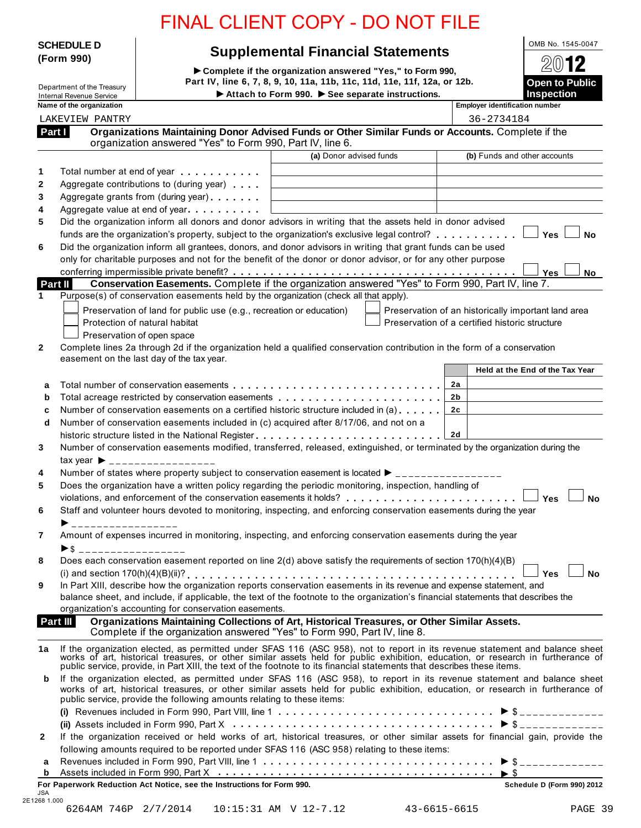|                                                             | <b>FINAL CLIENT COPY - DO NOT FILE</b>                                                                                                                                                                                                                                                                                                                    |                                                                                                                              |                                                     |                                            |
|-------------------------------------------------------------|-----------------------------------------------------------------------------------------------------------------------------------------------------------------------------------------------------------------------------------------------------------------------------------------------------------------------------------------------------------|------------------------------------------------------------------------------------------------------------------------------|-----------------------------------------------------|--------------------------------------------|
| <b>SCHEDULE D</b>                                           |                                                                                                                                                                                                                                                                                                                                                           | <b>Supplemental Financial Statements</b>                                                                                     |                                                     | OMB No. 1545-0047                          |
| (Form 990)                                                  |                                                                                                                                                                                                                                                                                                                                                           | Complete if the organization answered "Yes," to Form 990,                                                                    |                                                     | 12                                         |
| Department of the Treasury                                  |                                                                                                                                                                                                                                                                                                                                                           | Part IV, line 6, 7, 8, 9, 10, 11a, 11b, 11c, 11d, 11e, 11f, 12a, or 12b.<br>Attach to Form 990. > See separate instructions. |                                                     | <b>Open to Public</b><br><b>Inspection</b> |
| <b>Internal Revenue Service</b><br>Name of the organization |                                                                                                                                                                                                                                                                                                                                                           |                                                                                                                              | <b>Employer identification number</b>               |                                            |
| <b>LAKEVIEW PANTRY</b>                                      |                                                                                                                                                                                                                                                                                                                                                           |                                                                                                                              | 36-2734184                                          |                                            |
| Part I                                                      | Organizations Maintaining Donor Advised Funds or Other Similar Funds or Accounts. Complete if the                                                                                                                                                                                                                                                         |                                                                                                                              |                                                     |                                            |
|                                                             | organization answered "Yes" to Form 990, Part IV, line 6.                                                                                                                                                                                                                                                                                                 | (a) Donor advised funds                                                                                                      |                                                     | (b) Funds and other accounts               |
|                                                             |                                                                                                                                                                                                                                                                                                                                                           |                                                                                                                              |                                                     |                                            |
| 1<br>2                                                      | Total number at end of year example.<br>Aggregate contributions to (during year)                                                                                                                                                                                                                                                                          |                                                                                                                              |                                                     |                                            |
| 3                                                           | Aggregate grants from (during year)                                                                                                                                                                                                                                                                                                                       |                                                                                                                              |                                                     |                                            |
| 4                                                           | Aggregate value at end of year                                                                                                                                                                                                                                                                                                                            |                                                                                                                              |                                                     |                                            |
| 5                                                           | Did the organization inform all donors and donor advisors in writing that the assets held in donor advised                                                                                                                                                                                                                                                |                                                                                                                              |                                                     |                                            |
|                                                             | funds are the organization's property, subject to the organization's exclusive legal control?                                                                                                                                                                                                                                                             |                                                                                                                              |                                                     | Yes l<br><b>No</b>                         |
| 6                                                           | Did the organization inform all grantees, donors, and donor advisors in writing that grant funds can be used<br>only for charitable purposes and not for the benefit of the donor or donor advisor, or for any other purpose                                                                                                                              |                                                                                                                              |                                                     |                                            |
|                                                             |                                                                                                                                                                                                                                                                                                                                                           |                                                                                                                              |                                                     | Yes<br>No                                  |
| <b>Part II</b>                                              |                                                                                                                                                                                                                                                                                                                                                           |                                                                                                                              |                                                     |                                            |
| 1                                                           | Purpose(s) of conservation easements held by the organization (check all that apply).                                                                                                                                                                                                                                                                     |                                                                                                                              |                                                     |                                            |
|                                                             | Preservation of land for public use (e.g., recreation or education)                                                                                                                                                                                                                                                                                       |                                                                                                                              | Preservation of an historically important land area |                                            |
|                                                             | Protection of natural habitat<br>Preservation of open space                                                                                                                                                                                                                                                                                               |                                                                                                                              | Preservation of a certified historic structure      |                                            |
| $\mathbf{2}$                                                | Complete lines 2a through 2d if the organization held a qualified conservation contribution in the form of a conservation                                                                                                                                                                                                                                 |                                                                                                                              |                                                     |                                            |
|                                                             | easement on the last day of the tax year.                                                                                                                                                                                                                                                                                                                 |                                                                                                                              |                                                     |                                            |
|                                                             |                                                                                                                                                                                                                                                                                                                                                           |                                                                                                                              |                                                     | Held at the End of the Tax Year            |
| a                                                           | Total number of conservation easements entitled in the set of the set of the set of the set of the set of the s                                                                                                                                                                                                                                           |                                                                                                                              | 2a                                                  |                                            |
| b<br>c                                                      | Total acreage restricted by conservation easements<br>Number of conservation easements on a certified historic structure included in (a)                                                                                                                                                                                                                  |                                                                                                                              | 2b<br>2c                                            |                                            |
| d                                                           | Number of conservation easements included in (c) acquired after 8/17/06, and not on a                                                                                                                                                                                                                                                                     |                                                                                                                              |                                                     |                                            |
|                                                             |                                                                                                                                                                                                                                                                                                                                                           |                                                                                                                              | 2d                                                  |                                            |
| 3                                                           | Number of conservation easements modified, transferred, released, extinguished, or terminated by the organization during the                                                                                                                                                                                                                              |                                                                                                                              |                                                     |                                            |
| tax year $\blacktriangleright$                              | _________________                                                                                                                                                                                                                                                                                                                                         |                                                                                                                              |                                                     |                                            |
| 4                                                           | Number of states where property subject to conservation easement is located $\blacktriangleright$ _______________                                                                                                                                                                                                                                         |                                                                                                                              |                                                     |                                            |
| 5                                                           | Does the organization have a written policy regarding the periodic monitoring, inspection, handling of                                                                                                                                                                                                                                                    |                                                                                                                              |                                                     | <b>Yes</b><br><b>No</b>                    |
| 6                                                           | Staff and volunteer hours devoted to monitoring, inspecting, and enforcing conservation easements during the year                                                                                                                                                                                                                                         |                                                                                                                              |                                                     |                                            |
| ▶ ___________________                                       |                                                                                                                                                                                                                                                                                                                                                           |                                                                                                                              |                                                     |                                            |
| 7                                                           | Amount of expenses incurred in monitoring, inspecting, and enforcing conservation easements during the year                                                                                                                                                                                                                                               |                                                                                                                              |                                                     |                                            |
| $\triangleright$ \$ ___________________                     |                                                                                                                                                                                                                                                                                                                                                           |                                                                                                                              |                                                     |                                            |
| 8                                                           | Does each conservation easement reported on line 2(d) above satisfy the requirements of section 170(h)(4)(B)                                                                                                                                                                                                                                              |                                                                                                                              |                                                     | <b>No</b><br><b>Yes</b>                    |
| 9                                                           | In Part XIII, describe how the organization reports conservation easements in its revenue and expense statement, and                                                                                                                                                                                                                                      |                                                                                                                              |                                                     |                                            |
|                                                             | balance sheet, and include, if applicable, the text of the footnote to the organization's financial statements that describes the                                                                                                                                                                                                                         |                                                                                                                              |                                                     |                                            |
|                                                             | organization's accounting for conservation easements.                                                                                                                                                                                                                                                                                                     |                                                                                                                              |                                                     |                                            |
| Part III                                                    | Organizations Maintaining Collections of Art, Historical Treasures, or Other Similar Assets.<br>Complete if the organization answered "Yes" to Form 990, Part IV, line 8.                                                                                                                                                                                 |                                                                                                                              |                                                     |                                            |
| 1a                                                          |                                                                                                                                                                                                                                                                                                                                                           |                                                                                                                              |                                                     |                                            |
|                                                             | If the organization elected, as permitted under SFAS 116 (ASC 958), not to report in its revenue statement and balance sheet works of art, historical treasures, or other similar assets held for public exhibition, education<br>public service, provide, in Part XIII, the text of the footnote to its financial statements that describes these items. |                                                                                                                              |                                                     |                                            |
| b                                                           | If the organization elected, as permitted under SFAS 116 (ASC 958), to report in its revenue statement and balance sheet<br>works of art, historical treasures, or other similar assets held for public exhibition, education, or research in furtherance of<br>public service, provide the following amounts relating to these items:                    |                                                                                                                              |                                                     |                                            |
|                                                             |                                                                                                                                                                                                                                                                                                                                                           |                                                                                                                              |                                                     |                                            |
|                                                             |                                                                                                                                                                                                                                                                                                                                                           |                                                                                                                              |                                                     |                                            |
| $\mathbf{2}$                                                | If the organization received or held works of art, historical treasures, or other similar assets for financial gain, provide the                                                                                                                                                                                                                          |                                                                                                                              |                                                     |                                            |
| a                                                           | following amounts required to be reported under SFAS 116 (ASC 958) relating to these items:                                                                                                                                                                                                                                                               |                                                                                                                              |                                                     |                                            |
| b                                                           | Assets included in Form 990, Part X $\dots\dots\dots\dots\dots\dots\dots\dots\dots\dots\dots\dots\dots\dots\blacktriangleright\$                                                                                                                                                                                                                          |                                                                                                                              |                                                     |                                            |
| <b>JSA</b>                                                  | For Paperwork Reduction Act Notice, see the Instructions for Form 990.                                                                                                                                                                                                                                                                                    |                                                                                                                              |                                                     | Schedule D (Form 990) 2012                 |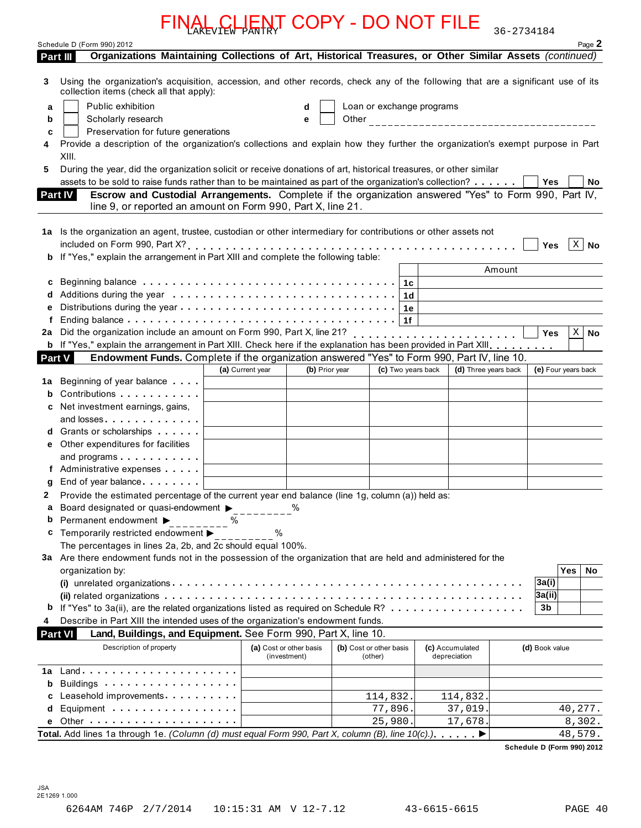|          | FINAL CLIENT COPY - DO NOT FILE                                                                                                                                              |                                         |                |                                    |                                 | 36-2734184                                  |
|----------|------------------------------------------------------------------------------------------------------------------------------------------------------------------------------|-----------------------------------------|----------------|------------------------------------|---------------------------------|---------------------------------------------|
|          | Schedule D (Form 990) 2012                                                                                                                                                   |                                         |                |                                    |                                 | Page 2                                      |
| Part III | Organizations Maintaining Collections of Art, Historical Treasures, or Other Similar Assets (continued)                                                                      |                                         |                |                                    |                                 |                                             |
| 3        | Using the organization's acquisition, accession, and other records, check any of the following that are a significant use of its<br>collection items (check all that apply): |                                         |                |                                    |                                 |                                             |
| a        | Public exhibition                                                                                                                                                            | d                                       |                | Loan or exchange programs          |                                 |                                             |
| b        | Scholarly research                                                                                                                                                           | e                                       |                |                                    |                                 |                                             |
| c        | Preservation for future generations                                                                                                                                          |                                         |                |                                    |                                 |                                             |
|          | Provide a description of the organization's collections and explain how they further the organization's exempt purpose in Part                                               |                                         |                |                                    |                                 |                                             |
|          | XIII.                                                                                                                                                                        |                                         |                |                                    |                                 |                                             |
| 5        | During the year, did the organization solicit or receive donations of art, historical treasures, or other similar                                                            |                                         |                |                                    |                                 |                                             |
|          | assets to be sold to raise funds rather than to be maintained as part of the organization's collection?                                                                      |                                         |                |                                    |                                 | Yes<br>No                                   |
|          | Escrow and Custodial Arrangements. Complete if the organization answered "Yes" to Form 990, Part IV,<br><b>Part IV</b>                                                       |                                         |                |                                    |                                 |                                             |
|          | line 9, or reported an amount on Form 990, Part X, line 21.                                                                                                                  |                                         |                |                                    |                                 |                                             |
|          |                                                                                                                                                                              |                                         |                |                                    |                                 |                                             |
|          | 1a Is the organization an agent, trustee, custodian or other intermediary for contributions or other assets not                                                              |                                         |                |                                    |                                 |                                             |
|          |                                                                                                                                                                              |                                         |                |                                    |                                 | $\vert$ X $\vert$ No<br>Yes                 |
|          | <b>b</b> If "Yes," explain the arrangement in Part XIII and complete the following table:                                                                                    |                                         |                |                                    |                                 | Amount                                      |
|          | Beginning balance $\ldots \ldots \ldots \ldots \ldots \ldots \ldots \ldots \ldots \ldots \ldots \ldots \mid 1c$                                                              |                                         |                |                                    |                                 |                                             |
| c        |                                                                                                                                                                              |                                         |                |                                    |                                 |                                             |
|          |                                                                                                                                                                              |                                         |                |                                    |                                 |                                             |
|          |                                                                                                                                                                              |                                         |                | 1f                                 |                                 |                                             |
| 2a       |                                                                                                                                                                              |                                         |                |                                    |                                 | Yes<br>$\mathbf{X}$<br><b>No</b>            |
|          | b If "Yes," explain the arrangement in Part XIII. Check here if the explanation has been provided in Part XIII.                                                              |                                         |                |                                    |                                 |                                             |
| Part V   | Endowment Funds. Complete if the organization answered "Yes" to Form 990, Part IV, line 10.                                                                                  |                                         |                |                                    |                                 |                                             |
|          |                                                                                                                                                                              | (a) Current year                        | (b) Prior year | (c) Two years back                 |                                 | (d) Three years back<br>(e) Four years back |
| 1a       | Beginning of year balance                                                                                                                                                    |                                         |                |                                    |                                 |                                             |
| b        | Contributions                                                                                                                                                                |                                         |                |                                    |                                 |                                             |
|          | Net investment earnings, gains,                                                                                                                                              |                                         |                |                                    |                                 |                                             |
|          | and losses                                                                                                                                                                   |                                         |                |                                    |                                 |                                             |
|          | Grants or scholarships                                                                                                                                                       |                                         |                |                                    |                                 |                                             |
| е        | Other expenditures for facilities                                                                                                                                            |                                         |                |                                    |                                 |                                             |
|          | and programs                                                                                                                                                                 |                                         |                |                                    |                                 |                                             |
|          | f Administrative expenses                                                                                                                                                    |                                         |                |                                    |                                 |                                             |
|          |                                                                                                                                                                              |                                         |                |                                    |                                 |                                             |
| 2        | Provide the estimated percentage of the current year end balance (line 1g, column (a)) held as:                                                                              |                                         |                |                                    |                                 |                                             |
| а        | Board designated or quasi-endowment $\blacktriangleright$<br>Permanent endowment ▶                                                                                           |                                         |                |                                    |                                 |                                             |
| b<br>c   | ℅<br>Temporarily restricted endowment ▶                                                                                                                                      | %                                       |                |                                    |                                 |                                             |
|          | The percentages in lines 2a, 2b, and 2c should equal 100%.                                                                                                                   |                                         |                |                                    |                                 |                                             |
|          | 3a Are there endowment funds not in the possession of the organization that are held and administered for the                                                                |                                         |                |                                    |                                 |                                             |
|          | organization by:                                                                                                                                                             |                                         |                |                                    |                                 | <b>Yes</b><br>No                            |
|          |                                                                                                                                                                              |                                         |                |                                    |                                 | 3a(i)                                       |
|          |                                                                                                                                                                              |                                         |                |                                    |                                 | 3a(ii)                                      |
| b        | If "Yes" to 3a(ii), are the related organizations listed as required on Schedule R?                                                                                          |                                         |                |                                    |                                 | 3b                                          |
| 4        | Describe in Part XIII the intended uses of the organization's endowment funds.                                                                                               |                                         |                |                                    |                                 |                                             |
|          | Land, Buildings, and Equipment. See Form 990, Part X, line 10.<br>Part VI                                                                                                    |                                         |                |                                    |                                 |                                             |
|          | Description of property                                                                                                                                                      | (a) Cost or other basis<br>(investment) |                | (b) Cost or other basis<br>(other) | (c) Accumulated<br>depreciation | (d) Book value                              |
| 1a       |                                                                                                                                                                              |                                         |                |                                    |                                 |                                             |
| b        | Buildings                                                                                                                                                                    |                                         |                |                                    |                                 |                                             |
| с        | Leasehold improvements                                                                                                                                                       |                                         |                | 114,832.                           | 114,832.                        |                                             |
|          | Equipment                                                                                                                                                                    |                                         |                | 77,896.                            | 37,019.                         | 40, 277.                                    |
| d        |                                                                                                                                                                              |                                         |                |                                    |                                 |                                             |
|          | Total. Add lines 1a through 1e. (Column (d) must equal Form 990, Part X, column (B), line 10(c).). ▶                                                                         |                                         |                | 25,980.                            | 17,678.                         | 8,302.<br>48,579.                           |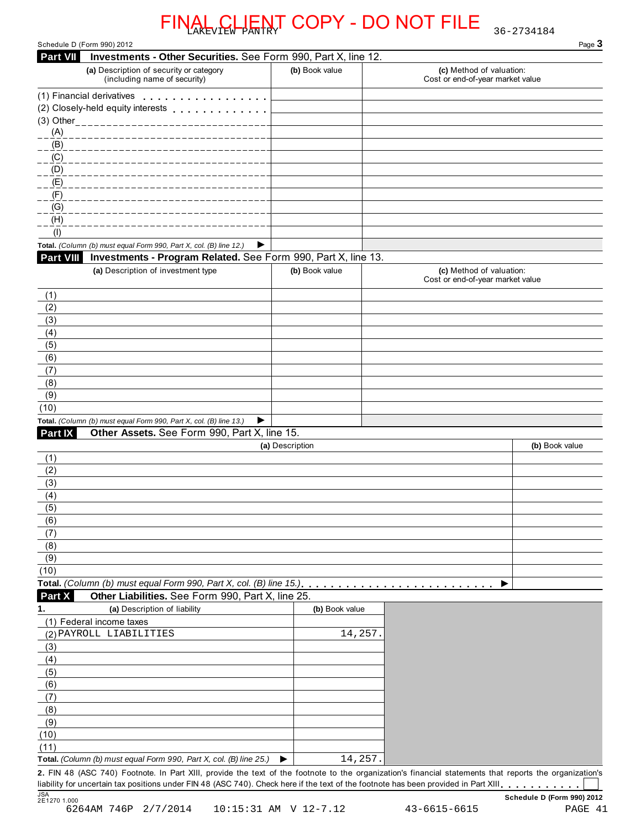|                                                                    |                                                                |                 | <u>CLIENT COPY - DO NOT FILE</u>                                                                                                                        | 36-2734184     |
|--------------------------------------------------------------------|----------------------------------------------------------------|-----------------|---------------------------------------------------------------------------------------------------------------------------------------------------------|----------------|
| Schedule D (Form 990) 2012<br><b>Part VII</b>                      |                                                                |                 |                                                                                                                                                         | Page 3         |
| (a) Description of security or category                            | Investments - Other Securities. See Form 990, Part X, line 12. |                 | (c) Method of valuation:                                                                                                                                |                |
| (including name of security)                                       |                                                                | (b) Book value  | Cost or end-of-year market value                                                                                                                        |                |
| (1) Financial derivatives                                          |                                                                |                 |                                                                                                                                                         |                |
| (2) Closely-held equity interests                                  |                                                                |                 |                                                                                                                                                         |                |
| (3) Other__________________                                        |                                                                |                 |                                                                                                                                                         |                |
| (A)                                                                |                                                                |                 |                                                                                                                                                         |                |
| (B)                                                                |                                                                |                 |                                                                                                                                                         |                |
| (C)                                                                |                                                                |                 |                                                                                                                                                         |                |
| (D)                                                                |                                                                |                 |                                                                                                                                                         |                |
| (E)                                                                |                                                                |                 |                                                                                                                                                         |                |
| (F)                                                                |                                                                |                 |                                                                                                                                                         |                |
| (G)                                                                |                                                                |                 |                                                                                                                                                         |                |
| (H)                                                                |                                                                |                 |                                                                                                                                                         |                |
| (1)                                                                |                                                                |                 |                                                                                                                                                         |                |
| Total. (Column (b) must equal Form 990, Part X, col. (B) line 12.) | ▶                                                              |                 |                                                                                                                                                         |                |
| Part VIII                                                          | Investments - Program Related. See Form 990, Part X, line 13.  |                 |                                                                                                                                                         |                |
| (a) Description of investment type                                 |                                                                | (b) Book value  | (c) Method of valuation:<br>Cost or end-of-year market value                                                                                            |                |
| (1)                                                                |                                                                |                 |                                                                                                                                                         |                |
| (2)                                                                |                                                                |                 |                                                                                                                                                         |                |
| (3)                                                                |                                                                |                 |                                                                                                                                                         |                |
| (4)                                                                |                                                                |                 |                                                                                                                                                         |                |
| (5)                                                                |                                                                |                 |                                                                                                                                                         |                |
| (6)                                                                |                                                                |                 |                                                                                                                                                         |                |
| (7)                                                                |                                                                |                 |                                                                                                                                                         |                |
| (8)                                                                |                                                                |                 |                                                                                                                                                         |                |
| (9)                                                                |                                                                |                 |                                                                                                                                                         |                |
| (10)                                                               |                                                                |                 |                                                                                                                                                         |                |
| Total. (Column (b) must equal Form 990, Part X, col. (B) line 13.) | ▶                                                              |                 |                                                                                                                                                         |                |
| Part IX                                                            | Other Assets. See Form 990, Part X, line 15.                   |                 |                                                                                                                                                         |                |
|                                                                    |                                                                | (a) Description |                                                                                                                                                         | (b) Book value |
| (1)<br>(2)                                                         |                                                                |                 |                                                                                                                                                         |                |
| (3)                                                                |                                                                |                 |                                                                                                                                                         |                |
| (4)                                                                |                                                                |                 |                                                                                                                                                         |                |
| (5)                                                                |                                                                |                 |                                                                                                                                                         |                |
| (6)                                                                |                                                                |                 |                                                                                                                                                         |                |
| (7)                                                                |                                                                |                 |                                                                                                                                                         |                |
| (8)                                                                |                                                                |                 |                                                                                                                                                         |                |
| (9)                                                                |                                                                |                 |                                                                                                                                                         |                |
| (10)                                                               |                                                                |                 |                                                                                                                                                         |                |
| Total. (Column (b) must equal Form 990, Part X, col. (B) line 15.) |                                                                |                 |                                                                                                                                                         |                |
| Part X                                                             | Other Liabilities. See Form 990, Part X, line 25.              |                 |                                                                                                                                                         |                |
| (a) Description of liability<br>1.                                 |                                                                | (b) Book value  |                                                                                                                                                         |                |
| (1) Federal income taxes                                           |                                                                |                 |                                                                                                                                                         |                |
| (2) PAYROLL LIABILITIES                                            |                                                                |                 | 14,257                                                                                                                                                  |                |
| (3)                                                                |                                                                |                 |                                                                                                                                                         |                |
| (4)                                                                |                                                                |                 |                                                                                                                                                         |                |
| (5)                                                                |                                                                |                 |                                                                                                                                                         |                |
| (6)                                                                |                                                                |                 |                                                                                                                                                         |                |
| (7)                                                                |                                                                |                 |                                                                                                                                                         |                |
| (8)                                                                |                                                                |                 |                                                                                                                                                         |                |
| (9)                                                                |                                                                |                 |                                                                                                                                                         |                |
| (10)                                                               |                                                                |                 |                                                                                                                                                         |                |
| (11)                                                               |                                                                |                 |                                                                                                                                                         |                |
| Total. (Column (b) must equal Form 990, Part X, col. (B) line 25.) |                                                                | ▶               | 14,257.                                                                                                                                                 |                |
|                                                                    |                                                                |                 | 2. FIN 48 (ASC 740) Footnote. In Part XIII, provide the text of the footnote to the organization's financial statements that reports the organization's |                |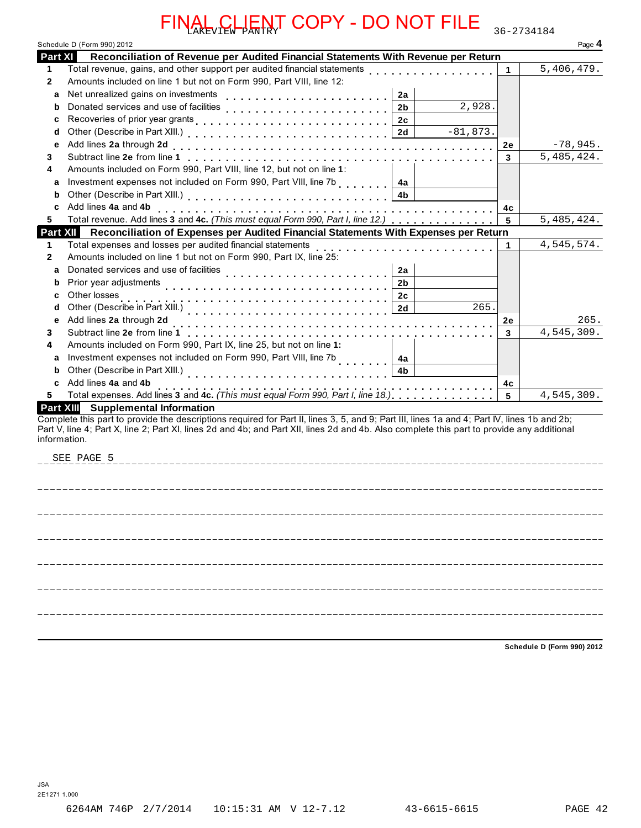|              | Schedule D (Form 990) 2012                                                                                                                                                                                                                                                                                              |    | Page 4     |
|--------------|-------------------------------------------------------------------------------------------------------------------------------------------------------------------------------------------------------------------------------------------------------------------------------------------------------------------------|----|------------|
| Part XI      | Reconciliation of Revenue per Audited Financial Statements With Revenue per Return                                                                                                                                                                                                                                      |    |            |
| 1.           | Total revenue, gains, and other support per audited financial statements                                                                                                                                                                                                                                                | 1  | 5,406,479. |
| $\mathbf{2}$ | Amounts included on line 1 but not on Form 990, Part VIII, line 12:                                                                                                                                                                                                                                                     |    |            |
| a            | Net unrealized gains on investments<br>2a                                                                                                                                                                                                                                                                               |    |            |
| b            | 2,928.<br>Donated services and use of facilities<br>2 <sub>b</sub>                                                                                                                                                                                                                                                      |    |            |
| c            | 2 <sub>c</sub>                                                                                                                                                                                                                                                                                                          |    |            |
| d            | $-81,873.$<br>2d                                                                                                                                                                                                                                                                                                        |    |            |
| e<br>3       | Add lines 2a through 2d                                                                                                                                                                                                                                                                                                 | 2e | $-78,945.$ |
|              | Subtract line 2e from line 1                                                                                                                                                                                                                                                                                            | 3  | 5,485,424. |
| 4            | Amounts included on Form 990, Part VIII, line 12, but not on line 1:                                                                                                                                                                                                                                                    |    |            |
| a            | Investment expenses not included on Form 990, Part VIII, line 7b<br>4a                                                                                                                                                                                                                                                  |    |            |
| b            | 4 <sub>b</sub>                                                                                                                                                                                                                                                                                                          |    |            |
| c            | Add lines 4a and 4b<br>Total revenue. Add lines 3 and 4c. (This must equal Form 990, Part I, line 12.)                                                                                                                                                                                                                  | 4c |            |
|              | Reconciliation of Expenses per Audited Financial Statements With Expenses per Return<br><b>Part XIII</b>                                                                                                                                                                                                                | 5  | 5,485,424. |
| 1            | Total expenses and losses per audited financial statements                                                                                                                                                                                                                                                              |    | 4,545,574. |
|              | Amounts included on line 1 but not on Form 990, Part IX, line 25:                                                                                                                                                                                                                                                       | 1  |            |
| a            | Donated services and use of facilities<br>2a                                                                                                                                                                                                                                                                            |    |            |
| b            | .<br>Prior year adjustments<br>2 <sub>b</sub>                                                                                                                                                                                                                                                                           |    |            |
| c            | Other losses<br>2c                                                                                                                                                                                                                                                                                                      |    |            |
| d            | Other (Describe in Part XIII.)<br>265.<br>2d                                                                                                                                                                                                                                                                            |    |            |
| е            | Add lines 2a through 2d                                                                                                                                                                                                                                                                                                 | 2e | 265.       |
| 3.           | Subtract line 2e from line 1<br>distribution distribution                                                                                                                                                                                                                                                               | 3  | 4,545,309. |
| 4            | Amounts included on Form 990, Part IX, line 25, but not on line 1:                                                                                                                                                                                                                                                      |    |            |
| a            | Investment expenses not included on Form 990, Part VIII, line 7b<br>4a                                                                                                                                                                                                                                                  |    |            |
| b            | Other (Describe in Part XIII.)<br>4b                                                                                                                                                                                                                                                                                    |    |            |
| C            | Add lines 4a and 4b                                                                                                                                                                                                                                                                                                     | 4c |            |
|              | Total expenses. Add lines 3 and 4c. (This must equal Form 990, Part I, line 18.)                                                                                                                                                                                                                                        | 5  | 4,545,309. |
|              | <b>Supplemental Information</b><br><b>Part XIII</b>                                                                                                                                                                                                                                                                     |    |            |
|              | Complete this part to provide the descriptions required for Part II, lines 3, 5, and 9; Part III, lines 1a and 4; Part IV, lines 1b and 2b;<br>Part V, line 4; Part X, line 2; Part XI, lines 2d and 4b; and Part XII, lines 2d and 4b. Also complete this part to provide any additional<br>information.<br>SEE PAGE 5 |    |            |
|              |                                                                                                                                                                                                                                                                                                                         |    |            |
|              |                                                                                                                                                                                                                                                                                                                         |    |            |
|              |                                                                                                                                                                                                                                                                                                                         |    |            |
|              |                                                                                                                                                                                                                                                                                                                         |    |            |
|              |                                                                                                                                                                                                                                                                                                                         |    |            |

**Schedule D (Form 990) 2012**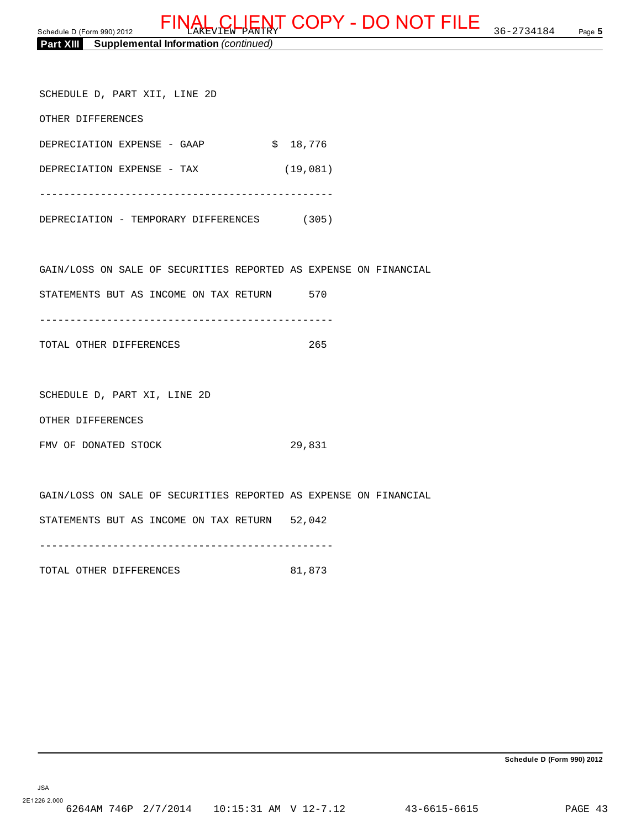|  | <b>Part XIII</b> | <b>Supplemental Information (continued)</b> |  |
|--|------------------|---------------------------------------------|--|
|--|------------------|---------------------------------------------|--|

| SCHEDULE D, PART XII, LINE 2D                                    |          |          |     |  |
|------------------------------------------------------------------|----------|----------|-----|--|
| OTHER DIFFERENCES                                                |          |          |     |  |
| DEPRECIATION EXPENSE - GAAP                                      | \$18,776 |          |     |  |
| DEPRECIATION EXPENSE - TAX                                       |          | (19,081) |     |  |
|                                                                  |          |          |     |  |
| DEPRECIATION - TEMPORARY DIFFERENCES (305)                       |          |          |     |  |
|                                                                  |          |          |     |  |
| GAIN/LOSS ON SALE OF SECURITIES REPORTED AS EXPENSE ON FINANCIAL |          |          |     |  |
| STATEMENTS BUT AS INCOME ON TAX RETURN 570                       |          |          |     |  |
|                                                                  |          |          |     |  |
| TOTAL OTHER DIFFERENCES                                          |          |          | 265 |  |
|                                                                  |          |          |     |  |
| SCHEDULE D, PART XI, LINE 2D                                     |          |          |     |  |
| OTHER DIFFERENCES                                                |          |          |     |  |
| FMV OF DONATED STOCK                                             |          | 29,831   |     |  |
|                                                                  |          |          |     |  |
| GAIN/LOSS ON SALE OF SECURITIES REPORTED AS EXPENSE ON FINANCIAL |          |          |     |  |
| STATEMENTS BUT AS INCOME ON TAX RETURN 52,042                    |          |          |     |  |

------------------------------------------------

TOTAL OTHER DIFFERENCES 81,873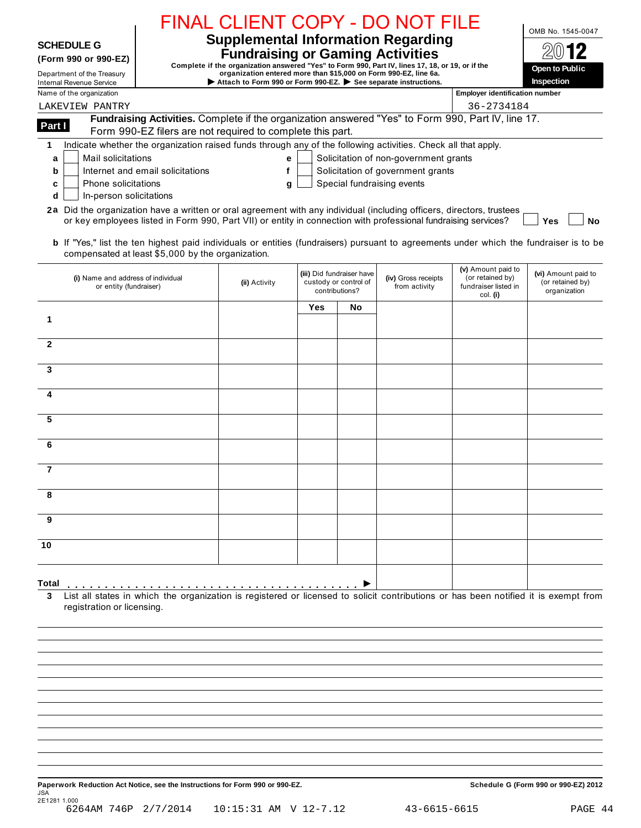|                                                               |                                                                                                                                                                                                                                                                                                                                                                                                                                        | FINAL CLIENT COPY - DO NOT FILE                                                                                                                                                                                                       |     |                                                                      |                                       |                                                                            | OMB No. 1545-0047                                       |
|---------------------------------------------------------------|----------------------------------------------------------------------------------------------------------------------------------------------------------------------------------------------------------------------------------------------------------------------------------------------------------------------------------------------------------------------------------------------------------------------------------------|---------------------------------------------------------------------------------------------------------------------------------------------------------------------------------------------------------------------------------------|-----|----------------------------------------------------------------------|---------------------------------------|----------------------------------------------------------------------------|---------------------------------------------------------|
| <b>SCHEDULE G</b>                                             |                                                                                                                                                                                                                                                                                                                                                                                                                                        | <b>Supplemental Information Regarding</b>                                                                                                                                                                                             |     |                                                                      |                                       |                                                                            |                                                         |
| (Form 990 or 990-EZ)                                          |                                                                                                                                                                                                                                                                                                                                                                                                                                        | <b>Fundraising or Gaming Activities</b>                                                                                                                                                                                               |     |                                                                      |                                       |                                                                            |                                                         |
| Department of the Treasury<br><b>Internal Revenue Service</b> |                                                                                                                                                                                                                                                                                                                                                                                                                                        | Complete if the organization answered "Yes" to Form 990, Part IV, lines 17, 18, or 19, or if the<br>organization entered more than \$15,000 on Form 990-EZ, line 6a.<br>Attach to Form 990 or Form 990-EZ. See separate instructions. |     |                                                                      |                                       |                                                                            | Open to Public<br>Inspection                            |
| Name of the organization                                      |                                                                                                                                                                                                                                                                                                                                                                                                                                        |                                                                                                                                                                                                                                       |     |                                                                      |                                       | <b>Employer identification number</b>                                      |                                                         |
| LAKEVIEW PANTRY                                               |                                                                                                                                                                                                                                                                                                                                                                                                                                        |                                                                                                                                                                                                                                       |     |                                                                      |                                       | 36-2734184                                                                 |                                                         |
| Part I                                                        | Fundraising Activities. Complete if the organization answered "Yes" to Form 990, Part IV, line 17.<br>Form 990-EZ filers are not required to complete this part.                                                                                                                                                                                                                                                                       |                                                                                                                                                                                                                                       |     |                                                                      |                                       |                                                                            |                                                         |
| 1                                                             | Indicate whether the organization raised funds through any of the following activities. Check all that apply.                                                                                                                                                                                                                                                                                                                          |                                                                                                                                                                                                                                       |     |                                                                      |                                       |                                                                            |                                                         |
| Mail solicitations<br>a                                       |                                                                                                                                                                                                                                                                                                                                                                                                                                        | е                                                                                                                                                                                                                                     |     |                                                                      | Solicitation of non-government grants |                                                                            |                                                         |
| b                                                             | Internet and email solicitations                                                                                                                                                                                                                                                                                                                                                                                                       | f                                                                                                                                                                                                                                     |     |                                                                      | Solicitation of government grants     |                                                                            |                                                         |
| <b>Phone solicitations</b><br>c<br>d                          | In-person solicitations                                                                                                                                                                                                                                                                                                                                                                                                                | g                                                                                                                                                                                                                                     |     |                                                                      | Special fundraising events            |                                                                            |                                                         |
|                                                               | 2a Did the organization have a written or oral agreement with any individual (including officers, directors, trustees<br>or key employees listed in Form 990, Part VII) or entity in connection with professional fundraising services?<br>b If "Yes," list the ten highest paid individuals or entities (fundraisers) pursuant to agreements under which the fundraiser is to be<br>compensated at least \$5,000 by the organization. |                                                                                                                                                                                                                                       |     |                                                                      |                                       |                                                                            | <b>No</b><br>Yes                                        |
|                                                               | (i) Name and address of individual<br>or entity (fundraiser)                                                                                                                                                                                                                                                                                                                                                                           | (ii) Activity                                                                                                                                                                                                                         |     | (iii) Did fundraiser have<br>custody or control of<br>contributions? | (iv) Gross receipts<br>from activity  | (v) Amount paid to<br>(or retained by)<br>fundraiser listed in<br>col. (i) | (vi) Amount paid to<br>(or retained by)<br>organization |
|                                                               |                                                                                                                                                                                                                                                                                                                                                                                                                                        |                                                                                                                                                                                                                                       | Yes | No                                                                   |                                       |                                                                            |                                                         |
| 1                                                             |                                                                                                                                                                                                                                                                                                                                                                                                                                        |                                                                                                                                                                                                                                       |     |                                                                      |                                       |                                                                            |                                                         |
|                                                               |                                                                                                                                                                                                                                                                                                                                                                                                                                        |                                                                                                                                                                                                                                       |     |                                                                      |                                       |                                                                            |                                                         |
| $\mathbf{2}$                                                  |                                                                                                                                                                                                                                                                                                                                                                                                                                        |                                                                                                                                                                                                                                       |     |                                                                      |                                       |                                                                            |                                                         |
| 3                                                             |                                                                                                                                                                                                                                                                                                                                                                                                                                        |                                                                                                                                                                                                                                       |     |                                                                      |                                       |                                                                            |                                                         |
|                                                               |                                                                                                                                                                                                                                                                                                                                                                                                                                        |                                                                                                                                                                                                                                       |     |                                                                      |                                       |                                                                            |                                                         |
| 4                                                             |                                                                                                                                                                                                                                                                                                                                                                                                                                        |                                                                                                                                                                                                                                       |     |                                                                      |                                       |                                                                            |                                                         |
|                                                               |                                                                                                                                                                                                                                                                                                                                                                                                                                        |                                                                                                                                                                                                                                       |     |                                                                      |                                       |                                                                            |                                                         |
| 5                                                             |                                                                                                                                                                                                                                                                                                                                                                                                                                        |                                                                                                                                                                                                                                       |     |                                                                      |                                       |                                                                            |                                                         |
|                                                               |                                                                                                                                                                                                                                                                                                                                                                                                                                        |                                                                                                                                                                                                                                       |     |                                                                      |                                       |                                                                            |                                                         |
| 6                                                             |                                                                                                                                                                                                                                                                                                                                                                                                                                        |                                                                                                                                                                                                                                       |     |                                                                      |                                       |                                                                            |                                                         |
| $\overline{7}$                                                |                                                                                                                                                                                                                                                                                                                                                                                                                                        |                                                                                                                                                                                                                                       |     |                                                                      |                                       |                                                                            |                                                         |
|                                                               |                                                                                                                                                                                                                                                                                                                                                                                                                                        |                                                                                                                                                                                                                                       |     |                                                                      |                                       |                                                                            |                                                         |
| 8                                                             |                                                                                                                                                                                                                                                                                                                                                                                                                                        |                                                                                                                                                                                                                                       |     |                                                                      |                                       |                                                                            |                                                         |
| 9                                                             |                                                                                                                                                                                                                                                                                                                                                                                                                                        |                                                                                                                                                                                                                                       |     |                                                                      |                                       |                                                                            |                                                         |
| 10                                                            |                                                                                                                                                                                                                                                                                                                                                                                                                                        |                                                                                                                                                                                                                                       |     |                                                                      |                                       |                                                                            |                                                         |
| Total                                                         |                                                                                                                                                                                                                                                                                                                                                                                                                                        |                                                                                                                                                                                                                                       |     |                                                                      |                                       |                                                                            |                                                         |
|                                                               | List all states in which the organization is registered or licensed to solicit contributions or has been notified it is exempt from<br>registration or licensing.                                                                                                                                                                                                                                                                      |                                                                                                                                                                                                                                       |     |                                                                      |                                       |                                                                            |                                                         |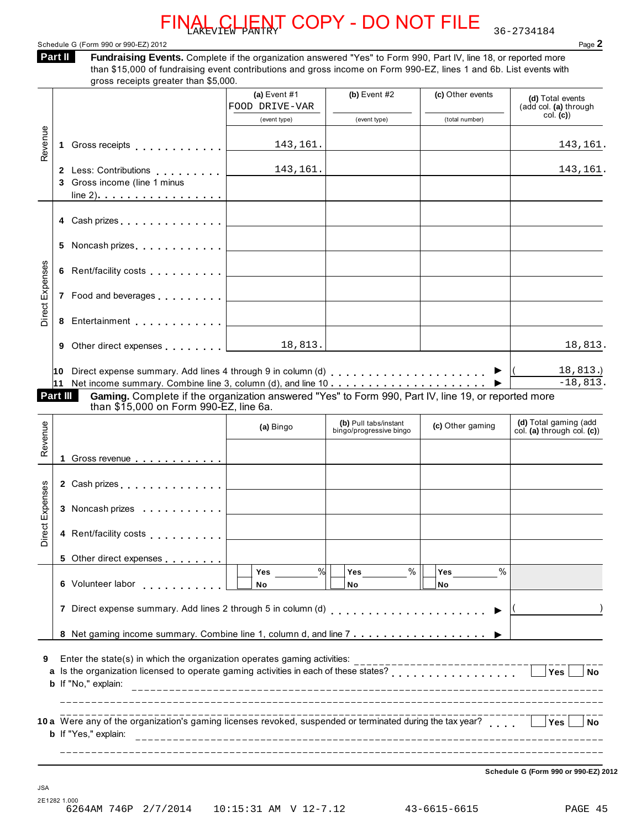Schedule G (Form 990 or 990-EZ) 2012 **Page 2** 

**Fundraising Events.** Complete if the organization answered "Yes" to Form 990, Part IV, line 18, or reported more than \$15,000 of fundraising event contributions and gross income on Form 990-EZ, lines 1 and 6b. List events with **Part II** 

|                        |    | gross receipts greater than \$5,000.                                                                                                                                                    |                                  |                                         |                   |                                           |
|------------------------|----|-----------------------------------------------------------------------------------------------------------------------------------------------------------------------------------------|----------------------------------|-----------------------------------------|-------------------|-------------------------------------------|
|                        |    |                                                                                                                                                                                         | (a) Event $#1$<br>FOOD DRIVE-VAR | (b) Event $#2$                          | (c) Other events  | (d) Total events<br>(add col. (a) through |
|                        |    |                                                                                                                                                                                         | (event type)                     | (event type)                            | (total number)    | col. (c)                                  |
| Revenue                |    |                                                                                                                                                                                         | 143,161.                         |                                         |                   | 143,161.                                  |
|                        |    | 2 Less: Contributions 143, 161.                                                                                                                                                         |                                  |                                         |                   | 143,161.                                  |
|                        |    | 3 Gross income (line 1 minus                                                                                                                                                            |                                  |                                         |                   |                                           |
|                        |    |                                                                                                                                                                                         |                                  |                                         |                   |                                           |
|                        |    |                                                                                                                                                                                         |                                  |                                         |                   |                                           |
|                        | 5. |                                                                                                                                                                                         |                                  |                                         |                   |                                           |
|                        |    |                                                                                                                                                                                         |                                  |                                         |                   |                                           |
| <b>Direct Expenses</b> |    |                                                                                                                                                                                         |                                  |                                         |                   |                                           |
|                        | 8  |                                                                                                                                                                                         |                                  | <u> 1989 - Johann Barbara, martxa a</u> |                   |                                           |
|                        |    |                                                                                                                                                                                         |                                  |                                         |                   | 18, 813.                                  |
|                        |    |                                                                                                                                                                                         |                                  |                                         |                   |                                           |
|                        |    |                                                                                                                                                                                         |                                  |                                         |                   | 18,813.)<br>$-18,813.$                    |
|                        |    | 11 Net income summary. Combine line 3, column (d), and line $10$<br>Part III<br>Gaming. Complete if the organization answered "Yes" to Form 990, Part IV, line 19, or reported more     |                                  |                                         |                   |                                           |
|                        |    | than \$15,000 on Form 990-EZ, line 6a.                                                                                                                                                  |                                  |                                         |                   |                                           |
| Revenue                |    |                                                                                                                                                                                         | (a) Bingo                        | (b) Pull tabs/instant                   | (c) Other gaming  | (d) Total gaming (add                     |
|                        |    |                                                                                                                                                                                         |                                  | bingo/progressive bingo                 |                   | col. (a) through col. (c))                |
|                        |    | 1 Gross revenue                                                                                                                                                                         |                                  |                                         |                   |                                           |
|                        |    |                                                                                                                                                                                         |                                  |                                         |                   |                                           |
|                        |    |                                                                                                                                                                                         |                                  |                                         |                   |                                           |
|                        |    | 3 Noncash prizes <u>  _ _ _ _ _ _ _ _ _</u> _ _ _ _                                                                                                                                     |                                  |                                         |                   |                                           |
|                        |    | 4 Rent/facility costs                                                                                                                                                                   |                                  |                                         |                   |                                           |
|                        |    | 5 Other direct expenses                                                                                                                                                                 |                                  |                                         |                   |                                           |
|                        |    | 6 Volunteer labor                                                                                                                                                                       | %<br>Yes<br>No                   | $\%$<br>Yes<br>No                       | $\%$<br>Yes<br>No |                                           |
|                        |    | 7 Direct expense summary. Add lines 2 through 5 in column (d)                                                                                                                           |                                  |                                         |                   |                                           |
|                        |    |                                                                                                                                                                                         |                                  |                                         |                   |                                           |
| irect Expenses<br>≏    |    |                                                                                                                                                                                         |                                  |                                         |                   |                                           |
| 9                      |    | Enter the state(s) in which the organization operates gaming activities:<br>a Is the organization licensed to operate gaming activities in each of these states?<br>b If "No," explain: |                                  |                                         |                   | <b>Yes</b><br><b>No</b>                   |
|                        |    |                                                                                                                                                                                         |                                  |                                         |                   |                                           |
|                        |    | 10 a Were any of the organization's gaming licenses revoked, suspended or terminated during the tax year?<br>b If "Yes," explain:                                                       |                                  |                                         |                   | Yes<br>No.                                |

**Schedule G (Form 990 or 990-EZ) 2012**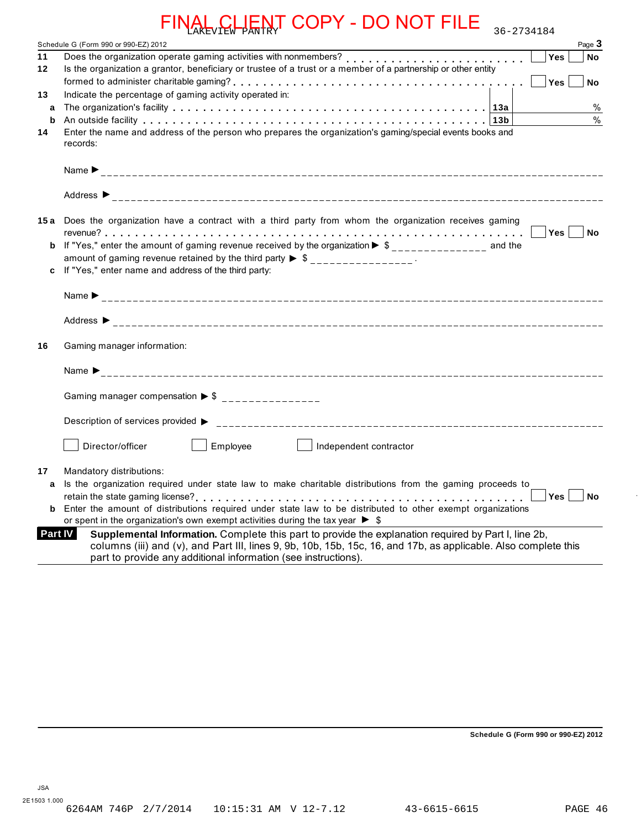|                | CLIENT COPY - DO NOT FILE<br>36-2734184                                                                                                                                                                                 |
|----------------|-------------------------------------------------------------------------------------------------------------------------------------------------------------------------------------------------------------------------|
|                | Page 3<br>Schedule G (Form 990 or 990-EZ) 2012                                                                                                                                                                          |
| 11             | Yes<br>No                                                                                                                                                                                                               |
| 12             | Is the organization a grantor, beneficiary or trustee of a trust or a member of a partnership or other entity                                                                                                           |
|                | Yes<br><b>No</b>                                                                                                                                                                                                        |
| 13             | Indicate the percentage of gaming activity operated in:                                                                                                                                                                 |
| a              | $\%$                                                                                                                                                                                                                    |
| b              | $\frac{0}{0}$                                                                                                                                                                                                           |
| 14             | Enter the name and address of the person who prepares the organization's gaming/special events books and<br>records:                                                                                                    |
|                |                                                                                                                                                                                                                         |
|                |                                                                                                                                                                                                                         |
|                | Address $\triangleright$                                                                                                                                                                                                |
|                | 15a Does the organization have a contract with a third party from whom the organization receives gaming                                                                                                                 |
|                |                                                                                                                                                                                                                         |
| b              | If "Yes," enter the amount of gaming revenue received by the organization $\triangleright$ \$ ______________ and the                                                                                                    |
|                | amount of gaming revenue retained by the third party $\triangleright$ \$ ________________.                                                                                                                              |
|                | If "Yes," enter name and address of the third party:                                                                                                                                                                    |
|                |                                                                                                                                                                                                                         |
|                |                                                                                                                                                                                                                         |
| 16             | Gaming manager information:                                                                                                                                                                                             |
|                |                                                                                                                                                                                                                         |
|                |                                                                                                                                                                                                                         |
|                | Gaming manager compensation $\triangleright$ \$ _______________                                                                                                                                                         |
|                |                                                                                                                                                                                                                         |
|                |                                                                                                                                                                                                                         |
|                | Director/officer<br>Employee<br>Independent contractor                                                                                                                                                                  |
| 17             | Mandatory distributions:                                                                                                                                                                                                |
| a              | Is the organization required under state law to make charitable distributions from the gaming proceeds to                                                                                                               |
|                | Yes<br>No                                                                                                                                                                                                               |
| b              | Enter the amount of distributions required under state law to be distributed to other exempt organizations                                                                                                              |
|                | or spent in the organization's own exempt activities during the tax year $\triangleright$ \$                                                                                                                            |
| <b>Part IV</b> | Supplemental Information. Complete this part to provide the explanation required by Part I, line 2b,<br>columns (iii) and (v), and Part III, lines 9, 9b, 10b, 15b, 15c, 16, and 17b, as applicable. Also complete this |
|                | part to provide any additional information (see instructions).                                                                                                                                                          |
|                |                                                                                                                                                                                                                         |

**Schedule G (Form 990 or 990-EZ) 2012**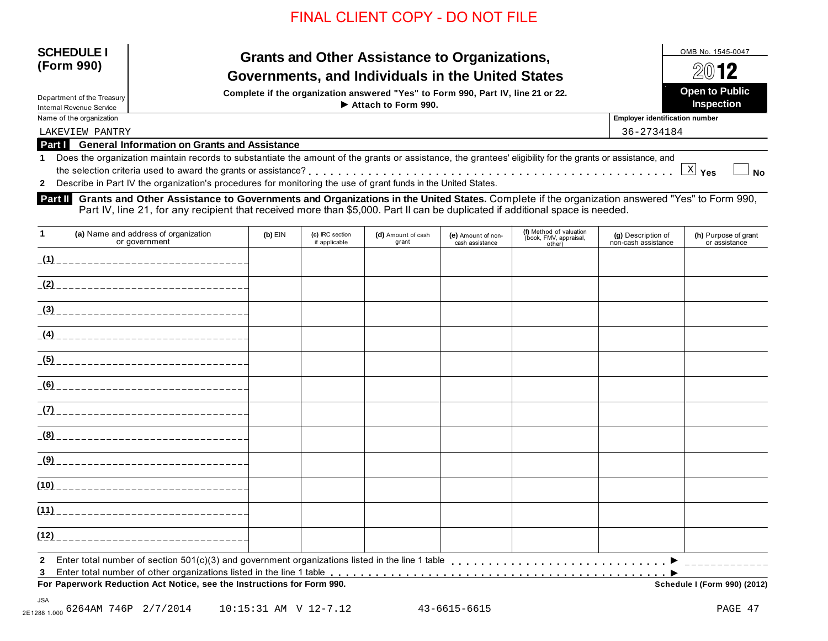| <b>SCHEDULE I</b> |  |
|-------------------|--|
| (Form 990)        |  |

## **SCHEDULE I** OMB No. 1545-0047 **(Form 990) Grants and Other Assistance to Organizations,** Governments, and Individuals in the United States **A&**  $\frac{2012}{ }$

**Complete if the organization answered "Yes" to Form 990, Part IV, line 21 or 22.**<br>Department of the Treasury **Inspection → Propertion → Propertion → Propertion → Propertion Inspection Attach to Form 990.**

| Department of the Treasury                                                                                                                                                                           |                                                                                                                 |                                       |                   |  |  |
|------------------------------------------------------------------------------------------------------------------------------------------------------------------------------------------------------|-----------------------------------------------------------------------------------------------------------------|---------------------------------------|-------------------|--|--|
| <b>Internal Revenue Service</b>                                                                                                                                                                      | $\blacktriangleright$ Attach to Form 990.                                                                       |                                       | <b>Inspection</b> |  |  |
| Name of the organization                                                                                                                                                                             |                                                                                                                 | <b>Employer identification number</b> |                   |  |  |
| LAKEVIEW PANTRY                                                                                                                                                                                      |                                                                                                                 | 36-2734184                            |                   |  |  |
|                                                                                                                                                                                                      | Part I General Information on Grants and Assistance                                                             |                                       |                   |  |  |
| Does the organization maintain records to substantiate the amount of the grants or assistance, the grantees' eligibility for the grants or assistance, and<br>$X _{\text{Yes}}$<br>$\blacksquare$ No |                                                                                                                 |                                       |                   |  |  |
|                                                                                                                                                                                                      | 2 Describe in Part IV the organization's procedures for monitoring the use of grant funds in the United States. |                                       |                   |  |  |

**Grants and Other Assistance to Governments and Organizations in the United States.** Complete if the organization answered "Yes" to Form 990, **Part II**  Part IV, line 21, for any recipient that received more than \$5,000. Part II can be duplicated if additional space is needed.

| $\mathbf{1}$ | (a) Name and address of organization<br>or government                  | $(b)$ EIN | (c) IRC section<br>if applicable | (d) Amount of cash<br>grant | (e) Amount of non-<br>cash assistance | (f) Method of valuation<br>(book, FMV, appraisal,<br>other) | (g) Description of<br>non-cash assistance | (h) Purpose of grant<br>or assistance |
|--------------|------------------------------------------------------------------------|-----------|----------------------------------|-----------------------------|---------------------------------------|-------------------------------------------------------------|-------------------------------------------|---------------------------------------|
|              |                                                                        |           |                                  |                             |                                       |                                                             |                                           |                                       |
|              |                                                                        |           |                                  |                             |                                       |                                                             |                                           |                                       |
|              |                                                                        |           |                                  |                             |                                       |                                                             |                                           |                                       |
|              |                                                                        |           |                                  |                             |                                       |                                                             |                                           |                                       |
|              |                                                                        |           |                                  |                             |                                       |                                                             |                                           |                                       |
|              |                                                                        |           |                                  |                             |                                       |                                                             |                                           |                                       |
|              |                                                                        |           |                                  |                             |                                       |                                                             |                                           |                                       |
|              |                                                                        |           |                                  |                             |                                       |                                                             |                                           |                                       |
|              |                                                                        |           |                                  |                             |                                       |                                                             |                                           |                                       |
|              |                                                                        |           |                                  |                             |                                       |                                                             |                                           |                                       |
|              |                                                                        |           |                                  |                             |                                       |                                                             |                                           |                                       |
| (12)         | _________________________________                                      |           |                                  |                             |                                       |                                                             |                                           |                                       |
| 3            |                                                                        |           |                                  |                             |                                       |                                                             |                                           |                                       |
|              | For Paperwork Reduction Act Notice, see the Instructions for Form 990. |           |                                  |                             |                                       |                                                             |                                           | Schedule I (Form 990) (2012)          |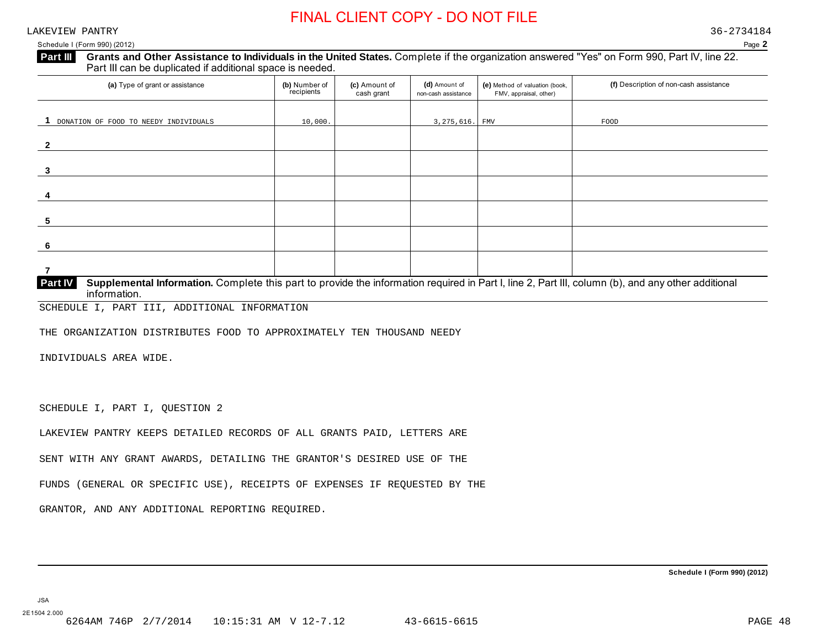LAKEVIEW PANTRY 36-2734184

Schedule I (Form 990) (2012) Page **2**

| Part III | Grants and Other Assistance to Individuals in the United States. Complete if the organization answered "Yes" on Form 990, Part IV, line 22. |  |
|----------|---------------------------------------------------------------------------------------------------------------------------------------------|--|
|          | Part III can be duplicated if additional space is needed.                                                                                   |  |

| (a) Type of grant or assistance       | (b) Number of<br>recipients | (c) Amount of<br>cash grant | (d) Amount of<br>non-cash assistance | (e) Method of valuation (book,<br>FMV, appraisal, other) | (f) Description of non-cash assistance |
|---------------------------------------|-----------------------------|-----------------------------|--------------------------------------|----------------------------------------------------------|----------------------------------------|
| DONATION OF FOOD TO NEEDY INDIVIDUALS | 10,000.                     |                             | 3,275,616. FMV                       |                                                          | FOOD                                   |
| $\overline{2}$                        |                             |                             |                                      |                                                          |                                        |
| 3                                     |                             |                             |                                      |                                                          |                                        |
|                                       |                             |                             |                                      |                                                          |                                        |
| 5                                     |                             |                             |                                      |                                                          |                                        |
| 6                                     |                             |                             |                                      |                                                          |                                        |
|                                       |                             |                             |                                      |                                                          |                                        |

| Part IV I | <b>Supplemental Information.</b> Complete this part to provide the information required in Part I, line 2, Part III, column (b), and any other additional |
|-----------|-----------------------------------------------------------------------------------------------------------------------------------------------------------|
|           | information.                                                                                                                                              |
|           |                                                                                                                                                           |

SCHEDULE I, PART III, ADDITIONAL INFORMATION

THE ORGANIZATION DISTRIBUTES FOOD TO APPROXIMATELY TEN THOUSAND NEEDY

INDIVIDUALS AREA WIDE.

SCHEDULE I, PART I, QUESTION 2

LAKEVIEW PANTRY KEEPS DETAILED RECORDS OF ALL GRANTS PAID, LETTERS ARE

SENT WITH ANY GRANT AWARDS, DETAILING THE GRANTOR'S DESIRED USE OF THE

FUNDS (GENERAL OR SPECIFIC USE), RECEIPTS OF EXPENSES IF REQUESTED BY THE

GRANTOR, AND ANY ADDITIONAL REPORTING REQUIRED.

**Schedule I (Form 990) (2012)**

JSA 2E1504 2.000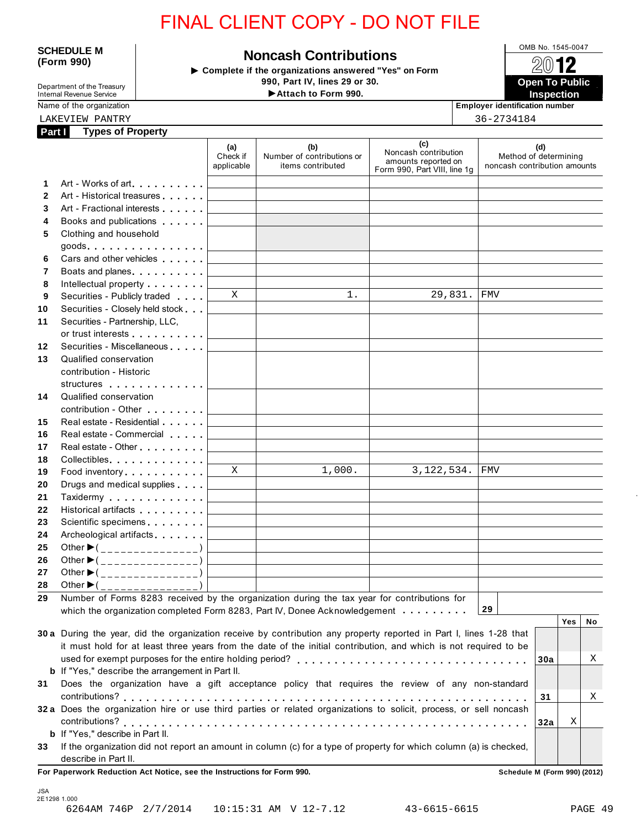**SCHEDULE M Noncash Contributions CONE No. 1545-0047 I Form 990) Complete if the organizations answered "Yes" on Form 990, Part IV, lines 29 or 30.** 

12  **Open To Public** 

Department of the Treasury Internal Revenue Service **Name of the organization** 

| Employer identification |
|-------------------------|
| 36-2734184              |

|              | LAKEVIEW PANTRY                                                                                                                                                                                                                      |                               |                                                        |                                                                                    | 36-2734184 |                                                              |    |
|--------------|--------------------------------------------------------------------------------------------------------------------------------------------------------------------------------------------------------------------------------------|-------------------------------|--------------------------------------------------------|------------------------------------------------------------------------------------|------------|--------------------------------------------------------------|----|
|              | <b>Types of Property</b><br>Part I                                                                                                                                                                                                   |                               |                                                        |                                                                                    |            |                                                              |    |
|              |                                                                                                                                                                                                                                      | (a)<br>Check if<br>applicable | (b)<br>Number of contributions or<br>items contributed | (c)<br>Noncash contribution<br>amounts reported on<br>Form 990, Part VIII, line 1q |            | (d)<br>Method of determining<br>noncash contribution amounts |    |
| 1            | Art - Works of art.                                                                                                                                                                                                                  |                               |                                                        |                                                                                    |            |                                                              |    |
| $\mathbf{2}$ | Art - Historical treasures                                                                                                                                                                                                           |                               |                                                        |                                                                                    |            |                                                              |    |
| 3            | Art - Fractional interests                                                                                                                                                                                                           |                               |                                                        |                                                                                    |            |                                                              |    |
| 4            | Books and publications <b>contains</b>                                                                                                                                                                                               |                               |                                                        |                                                                                    |            |                                                              |    |
| 5            | Clothing and household<br>$goods.$                                                                                                                                                                                                   |                               |                                                        |                                                                                    |            |                                                              |    |
| 6            | Cars and other vehicles <b>Cars</b>                                                                                                                                                                                                  |                               |                                                        |                                                                                    |            |                                                              |    |
| 7            | Boats and planes                                                                                                                                                                                                                     |                               |                                                        |                                                                                    |            |                                                              |    |
| 8            | Intellectual property <b>and the set of the set of the set of the set of the set of the set of the set of the set of the set of the set of the set of the set of the set of the set of the set of the set of the set of the set </b> |                               |                                                        |                                                                                    |            |                                                              |    |
| 9            | Securities - Publicly traded                                                                                                                                                                                                         | $\mathbf X$                   | 1.                                                     | 29,831.                                                                            | FMV        |                                                              |    |
| 10           | Securities - Closely held stock                                                                                                                                                                                                      |                               |                                                        |                                                                                    |            |                                                              |    |
| 11           | Securities - Partnership, LLC,                                                                                                                                                                                                       |                               |                                                        |                                                                                    |            |                                                              |    |
|              | or trust interests experience that the set of the set of the set of the set of the set of the set of the set of the set of the set of the set of the set of the set of the set of the set of the set of the set of the set of        |                               |                                                        |                                                                                    |            |                                                              |    |
| 12           | Securities - Miscellaneous                                                                                                                                                                                                           |                               |                                                        |                                                                                    |            |                                                              |    |
| 13           | Qualified conservation                                                                                                                                                                                                               |                               |                                                        |                                                                                    |            |                                                              |    |
|              | contribution - Historic                                                                                                                                                                                                              |                               |                                                        |                                                                                    |            |                                                              |    |
|              | structures experiences                                                                                                                                                                                                               |                               |                                                        |                                                                                    |            |                                                              |    |
| 14           | Qualified conservation                                                                                                                                                                                                               |                               |                                                        |                                                                                    |            |                                                              |    |
|              | contribution - Other <b>Contribution</b>                                                                                                                                                                                             |                               |                                                        |                                                                                    |            |                                                              |    |
| 15           | Real estate - Residential                                                                                                                                                                                                            |                               |                                                        |                                                                                    |            |                                                              |    |
| 16           | Real estate - Commercial                                                                                                                                                                                                             |                               |                                                        |                                                                                    |            |                                                              |    |
| 17           | Real estate - Other <b>Calculation</b> Real estate - Other                                                                                                                                                                           |                               |                                                        |                                                                                    |            |                                                              |    |
| 18           | Collectibles                                                                                                                                                                                                                         |                               |                                                        |                                                                                    |            |                                                              |    |
| 19           | Food inventory                                                                                                                                                                                                                       | $\mathbf X$                   | 1,000.                                                 | 3, 122, 534.                                                                       | <b>FMV</b> |                                                              |    |
| 20           | Drugs and medical supplies                                                                                                                                                                                                           |                               |                                                        |                                                                                    |            |                                                              |    |
| 21           | Taxidermy                                                                                                                                                                                                                            |                               |                                                        |                                                                                    |            |                                                              |    |
| 22           | Historical artifacts <b>All Accords</b>                                                                                                                                                                                              |                               |                                                        |                                                                                    |            |                                                              |    |
| 23           | Scientific specimens <b>Scientific specimens</b>                                                                                                                                                                                     |                               |                                                        |                                                                                    |            |                                                              |    |
| 24           | Archeological artifacts <b>Archeological</b>                                                                                                                                                                                         |                               |                                                        |                                                                                    |            |                                                              |    |
| 25           | Other $\blacktriangleright$ (_______________)                                                                                                                                                                                        |                               |                                                        |                                                                                    |            |                                                              |    |
| 26           | Other $\blacktriangleright$ (________________)                                                                                                                                                                                       |                               |                                                        |                                                                                    |            |                                                              |    |
| 27           | Other $\blacktriangleright$ (<br>_____________                                                                                                                                                                                       |                               |                                                        |                                                                                    |            |                                                              |    |
| 28           | Other $\blacktriangleright$ (                                                                                                                                                                                                        |                               |                                                        |                                                                                    |            |                                                              |    |
| 29           | Number of Forms 8283 received by the organization during the tax year for contributions for                                                                                                                                          |                               |                                                        |                                                                                    |            |                                                              |    |
|              | which the organization completed Form 8283, Part IV, Donee Acknowledgement                                                                                                                                                           |                               |                                                        |                                                                                    | 29         |                                                              |    |
|              |                                                                                                                                                                                                                                      |                               |                                                        |                                                                                    |            | <b>Yes</b>                                                   | No |
|              | 30 a During the year, did the organization receive by contribution any property reported in Part I, lines 1-28 that                                                                                                                  |                               |                                                        |                                                                                    |            |                                                              |    |
|              | it must hold for at least three years from the date of the initial contribution, and which is not required to be                                                                                                                     |                               |                                                        |                                                                                    |            |                                                              |    |
|              |                                                                                                                                                                                                                                      |                               |                                                        |                                                                                    |            | 30a                                                          | Χ  |
|              | <b>b</b> If "Yes," describe the arrangement in Part II.                                                                                                                                                                              |                               |                                                        |                                                                                    |            |                                                              |    |
| 31           | Does the organization have a gift acceptance policy that requires the review of any non-standard                                                                                                                                     |                               |                                                        |                                                                                    |            |                                                              |    |
|              |                                                                                                                                                                                                                                      |                               |                                                        |                                                                                    |            | 31                                                           | Χ  |
|              | 32 a Does the organization hire or use third parties or related organizations to solicit, process, or sell noncash                                                                                                                   |                               |                                                        |                                                                                    |            |                                                              |    |
|              |                                                                                                                                                                                                                                      |                               |                                                        |                                                                                    |            | Χ<br>32a                                                     |    |
|              | <b>b</b> If "Yes," describe in Part II.                                                                                                                                                                                              |                               |                                                        |                                                                                    |            |                                                              |    |
| 33           | If the organization did not report an amount in column (c) for a type of property for which column (a) is checked,                                                                                                                   |                               |                                                        |                                                                                    |            |                                                              |    |
|              | describe in Part II.                                                                                                                                                                                                                 |                               |                                                        |                                                                                    |            |                                                              |    |
|              | For Paperwork Reduction Act Notice, see the Instructions for Form 990.                                                                                                                                                               |                               |                                                        |                                                                                    |            | Schedule M (Form 990) (2012)                                 |    |

JSA 2E1298 1.000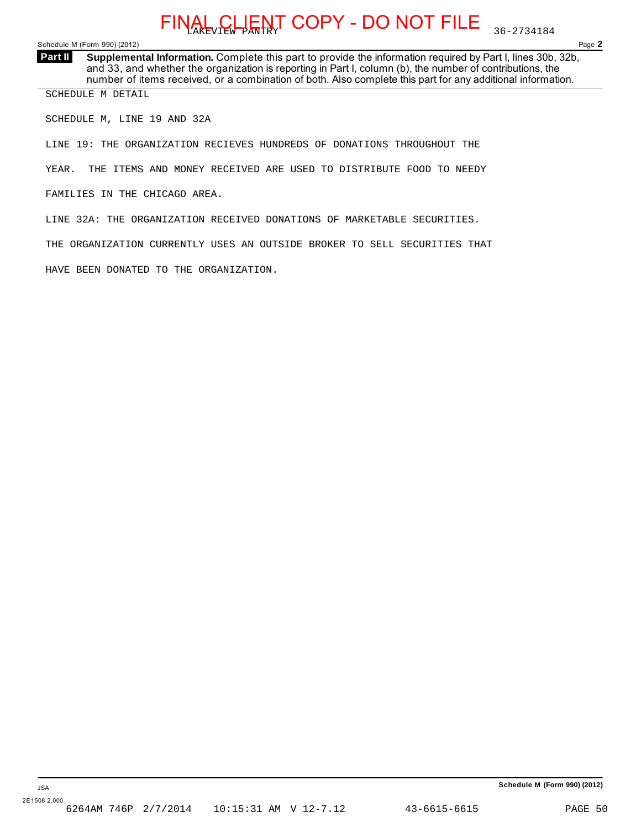Schedule M (Form 990) (2012) Page **2**

**Supplemental Information.** Complete this part to provide the information required by Part I, lines 30b, 32b, and 33, and whether the organization is reporting in Part I, column (b), the number of contributions, the number of items received, or a combination of both. Also complete this part for any additional information. **Part II** 

SCHEDULE M DETAIL

SCHEDULE M, LINE 19 AND 32A

LINE 19: THE ORGANIZATION RECIEVES HUNDREDS OF DONATIONS THROUGHOUT THE

YEAR. THE ITEMS AND MONEY RECEIVED ARE USED TO DISTRIBUTE FOOD TO NEEDY

FAMILIES IN THE CHICAGO AREA.

LINE 32A: THE ORGANIZATION RECEIVED DONATIONS OF MARKETABLE SECURITIES.

THE ORGANIZATION CURRENTLY USES AN OUTSIDE BROKER TO SELL SECURITIES THAT

HAVE BEEN DONATED TO THE ORGANIZATION.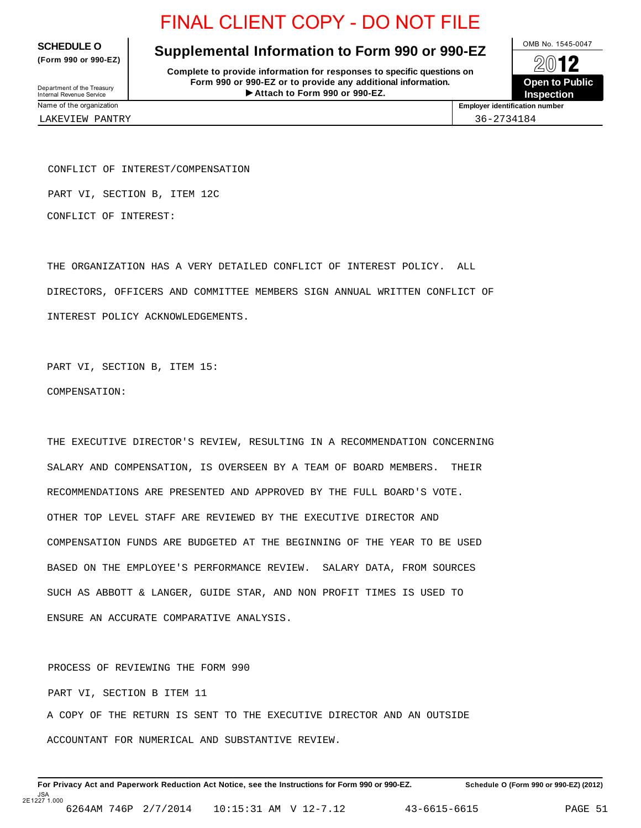**(Form 990 or 990-EZ)**

## **SCHEDULE O** Supplemental Information to Form 990 or 990-EZ  $\frac{1}{2}$

**Complete to provide information for responses to specific questions on Form 990 or 990-EZ or to provide any additional information.** Department of the Treasury<br> **Attach to Form 990 or 990-EZ. Inspection Inspection** 



Department of the Treasury<br>Internal Revenue Service<br>Name of the organization

LAKEVIEW PANTRY 36-2734184

**Employer identification number** 

CONFLICT OF INTEREST/COMPENSATION

PART VI, SECTION B, ITEM 12C

CONFLICT OF INTEREST:

THE ORGANIZATION HAS A VERY DETAILED CONFLICT OF INTEREST POLICY. ALL DIRECTORS, OFFICERS AND COMMITTEE MEMBERS SIGN ANNUAL WRITTEN CONFLICT OF INTEREST POLICY ACKNOWLEDGEMENTS.

PART VI, SECTION B, ITEM 15: COMPENSATION:

THE EXECUTIVE DIRECTOR'S REVIEW, RESULTING IN A RECOMMENDATION CONCERNING SALARY AND COMPENSATION, IS OVERSEEN BY A TEAM OF BOARD MEMBERS. THEIR RECOMMENDATIONS ARE PRESENTED AND APPROVED BY THE FULL BOARD'S VOTE. OTHER TOP LEVEL STAFF ARE REVIEWED BY THE EXECUTIVE DIRECTOR AND COMPENSATION FUNDS ARE BUDGETED AT THE BEGINNING OF THE YEAR TO BE USED BASED ON THE EMPLOYEE'S PERFORMANCE REVIEW. SALARY DATA, FROM SOURCES SUCH AS ABBOTT & LANGER, GUIDE STAR, AND NON PROFIT TIMES IS USED TO ENSURE AN ACCURATE COMPARATIVE ANALYSIS.

PROCESS OF REVIEWING THE FORM 990 PART VI, SECTION B ITEM 11 A COPY OF THE RETURN IS SENT TO THE EXECUTIVE DIRECTOR AND AN OUTSIDE ACCOUNTANT FOR NUMERICAL AND SUBSTANTIVE REVIEW.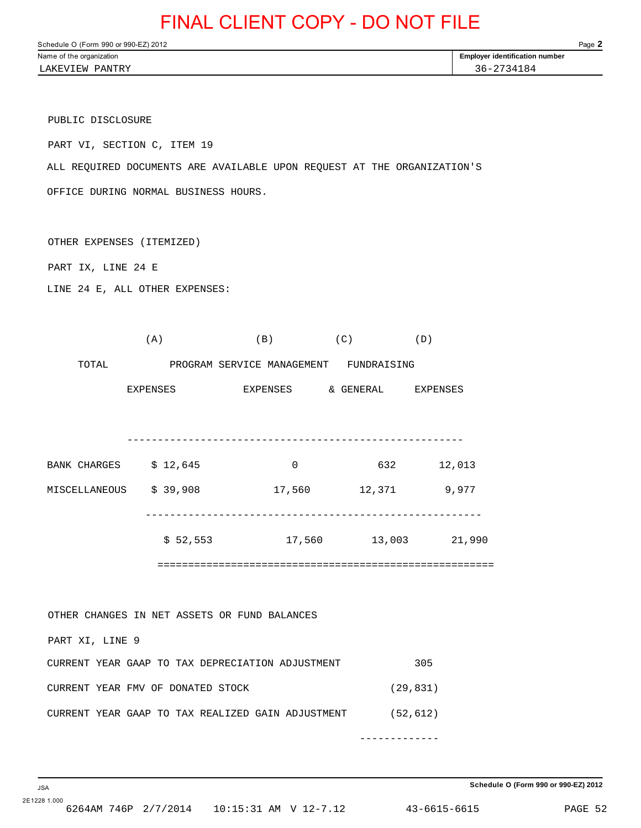Schedule O (Form 990 or 990-EZ) 2012 Page **2** Name of the organization **Employer identification number Employer identification number** 

LAKEVIEW PANTRY 36-2734184

PUBLIC DISCLOSURE

PART VI, SECTION C, ITEM 19

ALL REQUIRED DOCUMENTS ARE AVAILABLE UPON REQUEST AT THE ORGANIZATION'S

OFFICE DURING NORMAL BUSINESS HOURS.

OTHER EXPENSES (ITEMIZED)

PART IX, LINE 24 E

LINE 24 E, ALL OTHER EXPENSES:

 $(A)$  (B)  $(C)$  (D) TOTAL PROGRAM SERVICE MANAGEMENT FUNDRAISING EXPENSES EXPENSES & GENERAL EXPENSES ------------------------------------------------------- BANK CHARGES \$ 12,645 0 632 12,013 MISCELLANEOUS \$ 39,908 17,560 12,371 9,977 ------------------------------------------------------- \$ 52,553 17,560 13,003 21,990 ======================================================= OTHER CHANGES IN NET ASSETS OR FUND BALANCES PART XI, LINE 9 CURRENT YEAR GAAP TO TAX DEPRECIATION ADJUSTMENT 305 CURRENT YEAR FMV OF DONATED STOCK (29,831) CURRENT YEAR GAAP TO TAX REALIZED GAIN ADJUSTMENT (52,612) -------------

2E1228 1.000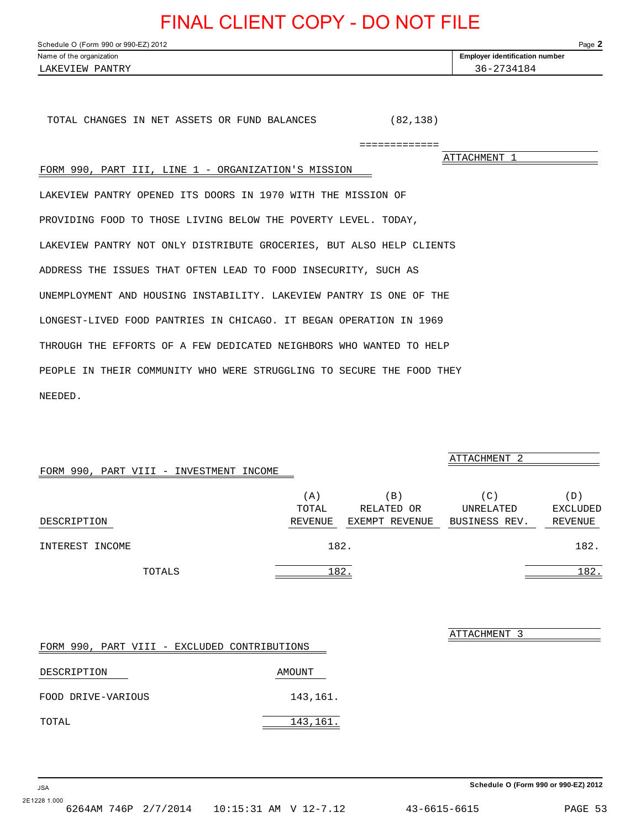<span id="page-51-0"></span>Schedule O (Form 990 or 990-EZ) 2012 Page **2** Name of the organization **Employer identification number Employer identification number** 

TOTAL CHANGES IN NET ASSETS OR FUND BALANCES (82,138)

=============

ATTACHMENT 1

## FORM 990, PART III, LINE 1 - ORGANIZATION'S MISSION

LAKEVIEW PANTRY OPENED ITS DOORS IN 1970 WITH THE MISSION OF PROVIDING FOOD TO THOSE LIVING BELOW THE POVERTY LEVEL. TODAY, LAKEVIEW PANTRY NOT ONLY DISTRIBUTE GROCERIES, BUT ALSO HELP CLIENTS ADDRESS THE ISSUES THAT OFTEN LEAD TO FOOD INSECURITY, SUCH AS UNEMPLOYMENT AND HOUSING INSTABILITY. LAKEVIEW PANTRY IS ONE OF THE LONGEST-LIVED FOOD PANTRIES IN CHICAGO. IT BEGAN OPERATION IN 1969 THROUGH THE EFFORTS OF A FEW DEDICATED NEIGHBORS WHO WANTED TO HELP PEOPLE IN THEIR COMMUNITY WHO WERE STRUGGLING TO SECURE THE FOOD THEY NEEDED.

### FORM 990, PART VIII - INVESTMENT INCOME

|                 | (A)     | ΈB,            | C :           | $\mathbb{D}$ |
|-----------------|---------|----------------|---------------|--------------|
|                 | TOTAL   | RELATED OR     | UNRELATED     | EXCLUDED     |
| DESCRIPTION     | REVENUE | EXEMPT REVENUE | BUSINESS REV. | REVENUE      |
| INTEREST INCOME |         | 182.           |               | 182.         |
| TOTALS          |         | 182.           |               | 182.         |

| FORM  | -990        |                    |  | PART VIII - EXCLUDED CONTRIBUTIONS |
|-------|-------------|--------------------|--|------------------------------------|
|       | DESCRIPTION |                    |  | AMOUNT                             |
|       |             | FOOD DRIVE-VARIOUS |  | 143,161.                           |
| TOTAL |             |                    |  | 143,161.                           |

ATTACHMENT 3

ATTACHMENT 2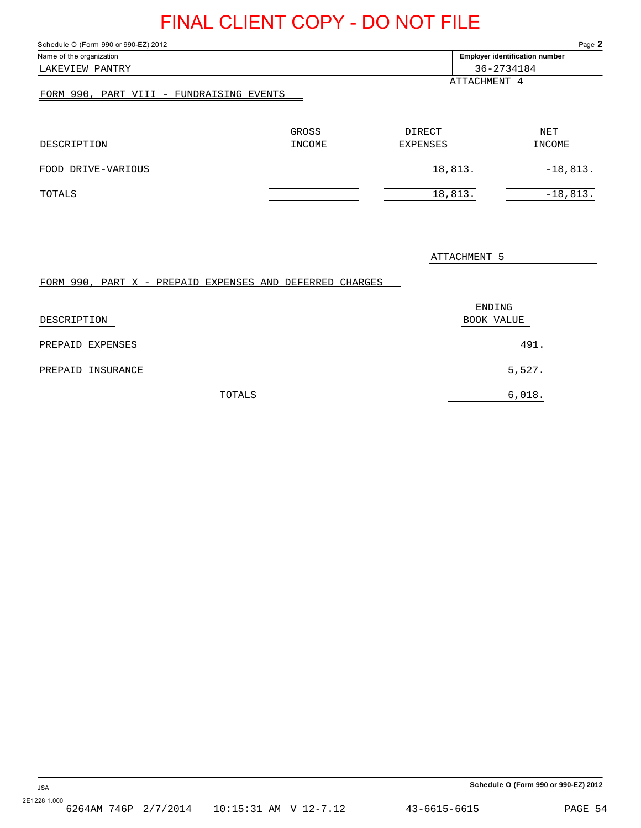<span id="page-52-0"></span>Schedule O (Form 990 or 990-EZ) 2012 Page **2**

|                                          |        |                                       | ູ          |
|------------------------------------------|--------|---------------------------------------|------------|
| Name of the organization                 |        | <b>Employer identification number</b> |            |
| LAKEVIEW PANTRY                          |        |                                       | 36-2734184 |
|                                          |        | ATTACHMENT 4                          |            |
| FORM 990, PART VIII - FUNDRAISING EVENTS |        |                                       |            |
|                                          |        |                                       |            |
|                                          |        |                                       |            |
|                                          | GROSS  | DIRECT                                | NET        |
| DESCRIPTION                              | INCOME | <b>EXPENSES</b>                       | INCOME     |
|                                          |        |                                       |            |
| FOOD DRIVE-VARIOUS                       |        | 18,813.                               | $-18,813.$ |
|                                          |        |                                       |            |
| TOTALS                                   |        | 18,813.                               | $-18,813.$ |

ATTACHMENT 5

### FORM 990, PART X - PREPAID EXPENSES AND DEFERRED CHARGES

| DESCRIPTION       | ENDING<br>BOOK VALUE |
|-------------------|----------------------|
| PREPAID EXPENSES  | 491.                 |
| PREPAID INSURANCE | 5,527.               |
| TOTALS            | 6,018.               |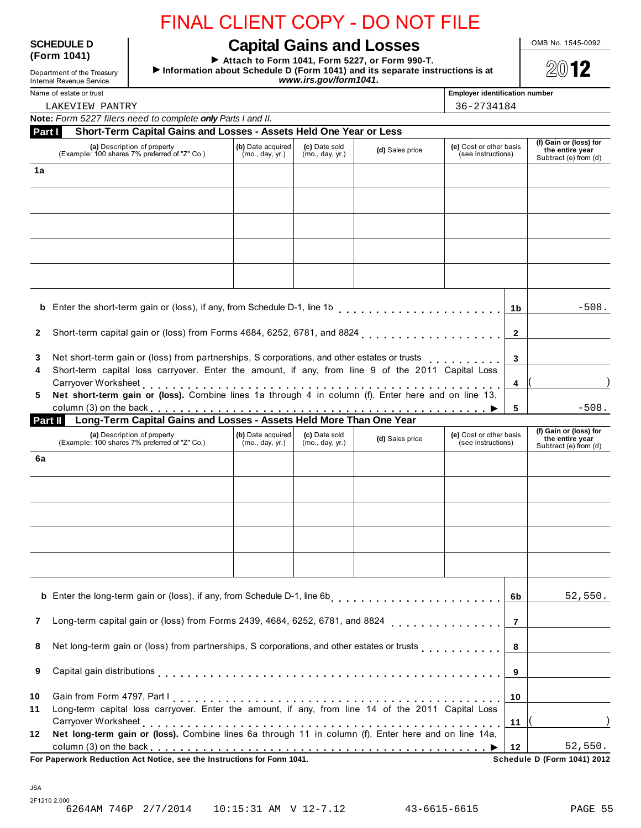# SCHEDULE D<br> **Capital Gains and Losses**<br>
Form 1041)

I **Attach to Form 1041, Form 5227, or Form 990-T.** Form 1041)<br> **Extrach to Form 1041, Form 5227, or Form 990-T.**<br>
Information about Schedule D (Form 1041) and its separate instructions is at<br> *WW.irs.gov/form1041.*<br> *WW.irs.gov/form1041.* www.irs.gov/form1041.

Name of estate or trust **Employer identification number Employer identification number** 

| 36-2734184<br>LAKEVIEW PANTRY                                                                                                                                                                                                                                                                                |                                      |                                  |                 |                                               |                |                                                                    |
|--------------------------------------------------------------------------------------------------------------------------------------------------------------------------------------------------------------------------------------------------------------------------------------------------------------|--------------------------------------|----------------------------------|-----------------|-----------------------------------------------|----------------|--------------------------------------------------------------------|
| Note: Form 5227 filers need to complete only Parts I and II.                                                                                                                                                                                                                                                 |                                      |                                  |                 |                                               |                |                                                                    |
| Short-Term Capital Gains and Losses - Assets Held One Year or Less<br>Part I                                                                                                                                                                                                                                 |                                      |                                  |                 |                                               |                |                                                                    |
| (a) Description of property<br>(Example: 100 shares 7% preferred of "Z" Co.)                                                                                                                                                                                                                                 | (b) Date acquired<br>(mo., day, yr.) | (c) Date sold<br>(mo., day, yr.) | (d) Sales price | (e) Cost or other basis<br>(see instructions) |                | (f) Gain or (loss) for<br>the entire year<br>Subtract (e) from (d) |
| 1a                                                                                                                                                                                                                                                                                                           |                                      |                                  |                 |                                               |                |                                                                    |
|                                                                                                                                                                                                                                                                                                              |                                      |                                  |                 |                                               |                |                                                                    |
|                                                                                                                                                                                                                                                                                                              |                                      |                                  |                 |                                               |                |                                                                    |
|                                                                                                                                                                                                                                                                                                              |                                      |                                  |                 |                                               |                |                                                                    |
|                                                                                                                                                                                                                                                                                                              |                                      |                                  |                 |                                               |                |                                                                    |
| <b>b</b> Enter the short-term gain or (loss), if any, from Schedule D-1, line 1b                                                                                                                                                                                                                             |                                      |                                  |                 |                                               | 1 <sub>b</sub> | $-508.$                                                            |
| $\mathbf{2}$                                                                                                                                                                                                                                                                                                 |                                      |                                  |                 |                                               |                |                                                                    |
| Net short-term gain or (loss) from partnerships, S corporations, and other estates or trusts<br>3                                                                                                                                                                                                            |                                      | 3                                |                 |                                               |                |                                                                    |
| Short-term capital loss carryover. Enter the amount, if any, from line 9 of the 2011 Capital Loss<br>4                                                                                                                                                                                                       |                                      | $\overline{\mathbf{4}}$          |                 |                                               |                |                                                                    |
| Net short-term gain or (loss). Combine lines 1a through 4 in column (f). Enter here and on line 13,<br>5.<br>column (3) on the back et al. et al. et al. et al. et al. et al. et al. et al. et al. et al. et al. et al. et<br><b>Til</b> Long-Term Capital Gains and Losses - Assets Held More Than One Year |                                      |                                  |                 |                                               | 5              | $-508.$                                                            |
| Part II                                                                                                                                                                                                                                                                                                      |                                      |                                  |                 |                                               |                |                                                                    |
|                                                                                                                                                                                                                                                                                                              |                                      |                                  |                 |                                               |                | (f) Cain or (loce) for                                             |

|    | (a) Description of property<br>(Example: 100 shares 7% preferred of "Z" Co.)                                      | (b) Date acquired<br>(mo., day, yr.) | (c) Date sold<br>(mo., day, yr.) | (d) Sales price | (e) Cost or other basis<br>(see instructions) |                | (f) Gain or (loss) for<br>the entire year<br>Subtract (e) from (d) |  |
|----|-------------------------------------------------------------------------------------------------------------------|--------------------------------------|----------------------------------|-----------------|-----------------------------------------------|----------------|--------------------------------------------------------------------|--|
| 6a |                                                                                                                   |                                      |                                  |                 |                                               |                |                                                                    |  |
|    |                                                                                                                   |                                      |                                  |                 |                                               |                |                                                                    |  |
|    |                                                                                                                   |                                      |                                  |                 |                                               |                |                                                                    |  |
|    |                                                                                                                   |                                      |                                  |                 |                                               |                |                                                                    |  |
|    |                                                                                                                   |                                      |                                  |                 |                                               |                |                                                                    |  |
|    |                                                                                                                   |                                      |                                  |                 |                                               |                |                                                                    |  |
|    |                                                                                                                   |                                      |                                  |                 |                                               | 6b             | 52,550.                                                            |  |
|    | Long-term capital gain or (loss) from Forms 2439, 4684, 6252, 6781, and 8824 $\ldots$ , , , , , , , , , , , , , , |                                      |                                  |                 |                                               | $\overline{7}$ |                                                                    |  |
| 8  | Net long-term gain or (loss) from partnerships, S corporations, and other estates or trusts                       |                                      |                                  |                 |                                               | 8              |                                                                    |  |
| 9  |                                                                                                                   |                                      |                                  |                 |                                               |                |                                                                    |  |
| 10 |                                                                                                                   |                                      |                                  |                 |                                               |                |                                                                    |  |
|    | Long-term capital loss carryover. Enter the amount, if any, from line 14 of the 2011 Capital Loss                 |                                      |                                  |                 |                                               |                |                                                                    |  |
| 11 |                                                                                                                   |                                      |                                  |                 |                                               |                |                                                                    |  |
| 12 | Net long-term gain or (loss). Combine lines 6a through 11 in column (f). Enter here and on line 14a,              |                                      |                                  |                 |                                               | 11             |                                                                    |  |

2F1210 2.000<br>6264AM 746P 2/7/2014 10:15:31 AM V 12-7.12 43-6615-6615 PAGE 55

JSA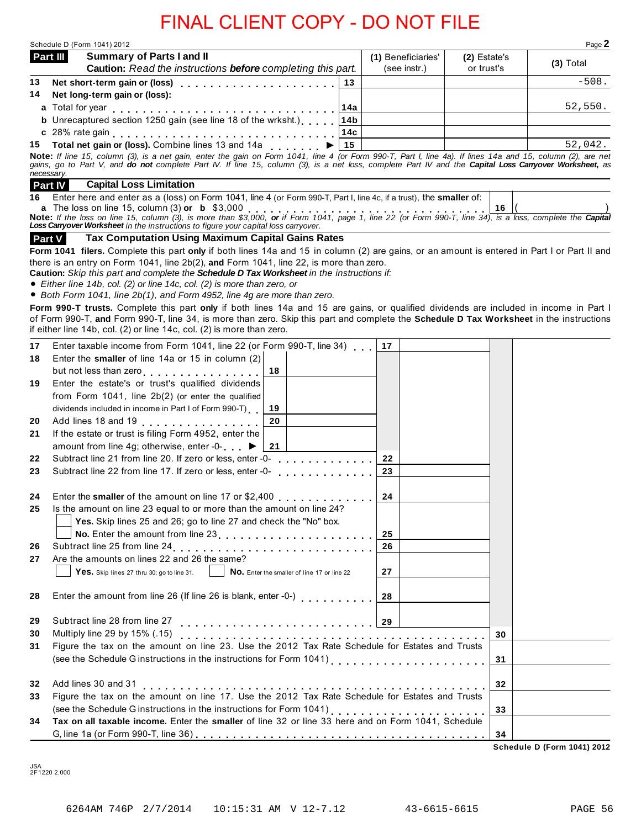|                | Schedule D (Form 1041) 2012                                                                                                                                                                                                                                                                                           |                 |    |                    |              |    | Page 2      |
|----------------|-----------------------------------------------------------------------------------------------------------------------------------------------------------------------------------------------------------------------------------------------------------------------------------------------------------------------|-----------------|----|--------------------|--------------|----|-------------|
| Part III       | Summary of Parts I and II                                                                                                                                                                                                                                                                                             |                 |    | (1) Beneficiaries' | (2) Estate's |    | $(3)$ Total |
| 13             | Caution: Read the instructions before completing this part.                                                                                                                                                                                                                                                           |                 |    | (see instr.)       | or trust's   |    | $-508.$     |
| 14             | Net long-term gain or (loss):                                                                                                                                                                                                                                                                                         | 13              |    |                    |              |    |             |
|                | a Total for year end contact with a street contact with a street contact with a street with a street with a str                                                                                                                                                                                                       | 14a             |    |                    |              |    | 52,550.     |
|                | <b>b</b> Unrecaptured section 1250 gain (see line 18 of the wrksht.)                                                                                                                                                                                                                                                  | 14 <sub>b</sub> |    |                    |              |    |             |
|                |                                                                                                                                                                                                                                                                                                                       | 14с             |    |                    |              |    |             |
|                | 15 Total net gain or (loss). Combine lines 13 and 14a                                                                                                                                                                                                                                                                 | 15              |    |                    |              |    | 52,042.     |
| necessary.     | Note: If line 15, column (3), is a net gain, enter the gain on Form 1041, line 4 (or Form 990-T, Part I, line 4a). If lines 14a and 15, column (2), are net<br>gains, go to Part V, and do not complete Part IV. If line 15, column (3), is a net loss, complete Part IV and the Capital Loss Carryover Worksheet, as |                 |    |                    |              |    |             |
| <b>Part IV</b> | <b>Capital Loss Limitation</b>                                                                                                                                                                                                                                                                                        |                 |    |                    |              |    |             |
| 16             | Enter here and enter as a (loss) on Form 1041, line 4 (or Form 990-T, Part I, line 4c, if a trust), the smaller of:                                                                                                                                                                                                   |                 |    |                    |              |    |             |
|                | <b>a</b> The loss on line 15, column (3) <b>or b</b> \$3,000<br><b>Note:</b> If the loss on line 15, column (3), is more than \$3,000, <b>or</b> if Form 1041, page 1, line 22 (or Form 990-T, line 34), is a loss, complete the Capital<br><b>Loss Car</b>                                                           |                 |    |                    |              |    |             |
|                |                                                                                                                                                                                                                                                                                                                       |                 |    |                    |              |    |             |
| <b>Part V</b>  | <b>Tax Computation Using Maximum Capital Gains Rates</b>                                                                                                                                                                                                                                                              |                 |    |                    |              |    |             |
|                | Form 1041 filers. Complete this part only if both lines 14a and 15 in column (2) are gains, or an amount is entered in Part I or Part II and                                                                                                                                                                          |                 |    |                    |              |    |             |
|                | there is an entry on Form 1041, line $2b(2)$ , and Form 1041, line 22, is more than zero.                                                                                                                                                                                                                             |                 |    |                    |              |    |             |
|                | Caution: Skip this part and complete the Schedule D Tax Worksheet in the instructions if:<br>• Either line 14b, col. (2) or line 14c, col. (2) is more than zero, or                                                                                                                                                  |                 |    |                    |              |    |             |
|                | • Both Form 1041, line 2b(1), and Form 4952, line 4g are more than zero.                                                                                                                                                                                                                                              |                 |    |                    |              |    |             |
|                | Form 990-T trusts. Complete this part only if both lines 14a and 15 are gains, or qualified dividends are included in income in Part I                                                                                                                                                                                |                 |    |                    |              |    |             |
|                | of Form 990-T, and Form 990-T, line 34, is more than zero. Skip this part and complete the Schedule D Tax Worksheet in the instructions                                                                                                                                                                               |                 |    |                    |              |    |             |
|                | if either line 14b, col. (2) or line 14c, col. (2) is more than zero.                                                                                                                                                                                                                                                 |                 |    |                    |              |    |             |
| 17             | Enter taxable income from Form 1041, line 22 (or Form 990-T, line 34)                                                                                                                                                                                                                                                 |                 | 17 |                    |              |    |             |
| 18             | Enter the smaller of line 14a or 15 in column (2)                                                                                                                                                                                                                                                                     |                 |    |                    |              |    |             |
|                | but not less than zero<br>18                                                                                                                                                                                                                                                                                          |                 |    |                    |              |    |             |
| 19             | Enter the estate's or trust's qualified dividends                                                                                                                                                                                                                                                                     |                 |    |                    |              |    |             |
|                | from Form 1041, line 2b(2) (or enter the qualified                                                                                                                                                                                                                                                                    |                 |    |                    |              |    |             |
|                | dividends included in income in Part I of Form 990-T)<br>19                                                                                                                                                                                                                                                           |                 |    |                    |              |    |             |
| 20             | Add lines 18 and 19 [10] Add lines 18 and 19<br>20                                                                                                                                                                                                                                                                    |                 |    |                    |              |    |             |
| 21             | If the estate or trust is filing Form 4952, enter the                                                                                                                                                                                                                                                                 |                 |    |                    |              |    |             |
|                | amount from line 4g; otherwise, enter -0-<br>►<br>21                                                                                                                                                                                                                                                                  |                 |    |                    |              |    |             |
| 22             | Subtract line 21 from line 20. If zero or less, enter -0-                                                                                                                                                                                                                                                             |                 | 22 |                    |              |    |             |
| 23             | Subtract line 22 from line 17. If zero or less, enter -0-                                                                                                                                                                                                                                                             |                 | 23 |                    |              |    |             |
|                |                                                                                                                                                                                                                                                                                                                       |                 |    |                    |              |    |             |
| 24<br>25       |                                                                                                                                                                                                                                                                                                                       |                 | 24 |                    |              |    |             |
|                | Is the amount on line 23 equal to or more than the amount on line 24?<br>Yes. Skip lines 25 and 26; go to line 27 and check the "No" box.                                                                                                                                                                             |                 |    |                    |              |    |             |
|                | No. Enter the amount from line 23 [14] [15] No. Enter the amount from line 23                                                                                                                                                                                                                                         |                 | 25 |                    |              |    |             |
| 26             |                                                                                                                                                                                                                                                                                                                       |                 | 26 |                    |              |    |             |
| 27             | Are the amounts on lines 22 and 26 the same?                                                                                                                                                                                                                                                                          |                 |    |                    |              |    |             |
|                | No. Enter the smaller of line 17 or line 22<br>Yes. Skip lines 27 thru 30; go to line 31.                                                                                                                                                                                                                             |                 | 27 |                    |              |    |             |
|                |                                                                                                                                                                                                                                                                                                                       |                 |    |                    |              |    |             |
| 28             |                                                                                                                                                                                                                                                                                                                       |                 | 28 |                    |              |    |             |
|                |                                                                                                                                                                                                                                                                                                                       |                 |    |                    |              |    |             |
| 29             | Subtract line 28 from line 27                                                                                                                                                                                                                                                                                         |                 |    |                    |              |    |             |
| 30             | Multiply line 29 by 15% (.15)<br>Multiply line 29 by 15% (.15)<br>Figure the tax on the amount on line 23. Use the 2012 Tax Rate Schedule for Estates and Trusts                                                                                                                                                      |                 |    |                    |              | 30 |             |
| 31             |                                                                                                                                                                                                                                                                                                                       |                 |    |                    |              |    |             |
|                |                                                                                                                                                                                                                                                                                                                       |                 |    |                    |              | 31 |             |
|                |                                                                                                                                                                                                                                                                                                                       |                 |    |                    |              |    |             |
|                | Add lines 30 and 31<br>Figure the tax on the amount on line 17. Use the 2012 Tax Rate Schedule for Estates and Trusts                                                                                                                                                                                                 |                 |    |                    |              | 32 |             |
|                |                                                                                                                                                                                                                                                                                                                       |                 |    |                    |              |    |             |
|                |                                                                                                                                                                                                                                                                                                                       |                 |    |                    |              |    |             |
| 32<br>33       |                                                                                                                                                                                                                                                                                                                       |                 |    |                    |              | 33 |             |
| 34             | Tax on all taxable income. Enter the smaller of line 32 or line 33 here and on Form 1041, Schedule                                                                                                                                                                                                                    |                 |    |                    |              | 34 |             |

JSA 2F1220 2.000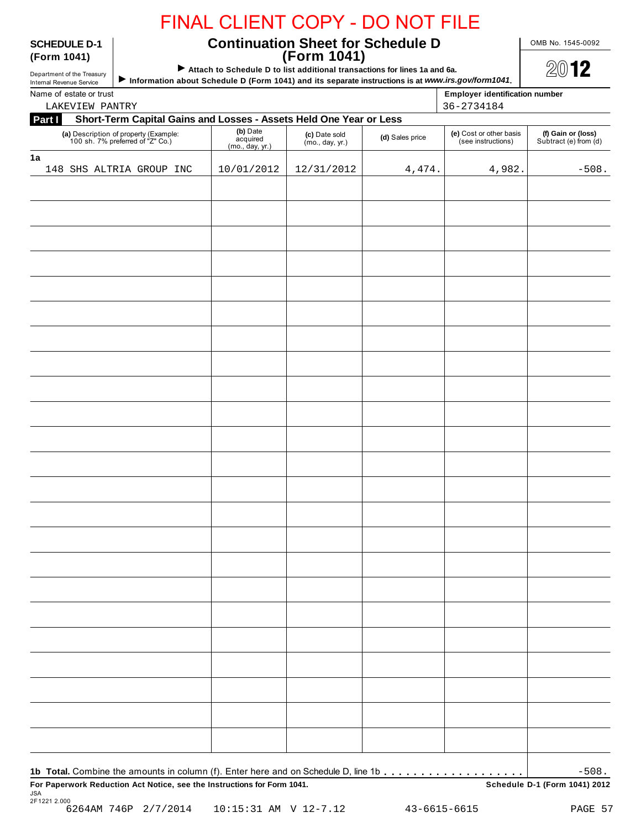## **SCHEDULE D-1 Continuation Sheet for Schedule D** <u>OMB No. 1545-0092</u><br>(Form 1041) **(Form 1041) (Form 1041)**

| Department of the Treasury |  |
|----------------------------|--|
| Internal Revenue Service   |  |

## Attach to Schedule D to list additional transactions for lines 1a and 6a.

| LAKEVIEW PANTRY                                                              |                                         |                                     |                 | 36-2734184                                    |                                             |
|------------------------------------------------------------------------------|-----------------------------------------|-------------------------------------|-----------------|-----------------------------------------------|---------------------------------------------|
| Part I<br>Short-Term Capital Gains and Losses - Assets Held One Year or Less |                                         |                                     |                 |                                               |                                             |
| (a) Description of property (Example:<br>100 sh. 7% preferred of "Z" Co.)    | (b) Date<br>acquired<br>(mo., day, yr.) | (c) Date sold<br>(mo., day, $yr$ .) | (d) Sales price | (e) Cost or other basis<br>(see instructions) | (f) Gain or (loss)<br>Subtract (e) from (d) |
| 148 SHS ALTRIA GROUP INC                                                     | 10/01/2012                              | 12/31/2012                          | 4,474.          | 4,982.                                        | $-508.$                                     |
|                                                                              |                                         |                                     |                 |                                               |                                             |
|                                                                              |                                         |                                     |                 |                                               |                                             |
|                                                                              |                                         |                                     |                 |                                               |                                             |
|                                                                              |                                         |                                     |                 |                                               |                                             |
|                                                                              |                                         |                                     |                 |                                               |                                             |
|                                                                              |                                         |                                     |                 |                                               |                                             |
|                                                                              |                                         |                                     |                 |                                               |                                             |
|                                                                              |                                         |                                     |                 |                                               |                                             |
|                                                                              |                                         |                                     |                 |                                               |                                             |
|                                                                              |                                         |                                     |                 |                                               |                                             |
|                                                                              |                                         |                                     |                 |                                               |                                             |
|                                                                              |                                         |                                     |                 |                                               |                                             |
|                                                                              |                                         |                                     |                 |                                               |                                             |
|                                                                              |                                         |                                     |                 |                                               |                                             |
|                                                                              |                                         |                                     |                 |                                               |                                             |
|                                                                              |                                         |                                     |                 |                                               |                                             |
|                                                                              |                                         |                                     |                 |                                               |                                             |
|                                                                              |                                         |                                     |                 |                                               |                                             |
|                                                                              |                                         |                                     |                 |                                               |                                             |
|                                                                              |                                         |                                     |                 |                                               |                                             |
|                                                                              |                                         |                                     |                 |                                               |                                             |
|                                                                              |                                         |                                     |                 |                                               |                                             |
|                                                                              |                                         |                                     |                 |                                               |                                             |
|                                                                              |                                         |                                     |                 |                                               |                                             |
|                                                                              |                                         |                                     |                 |                                               |                                             |
|                                                                              |                                         |                                     |                 |                                               |                                             |
|                                                                              |                                         |                                     |                 |                                               |                                             |
|                                                                              |                                         |                                     |                 |                                               | $-508.$                                     |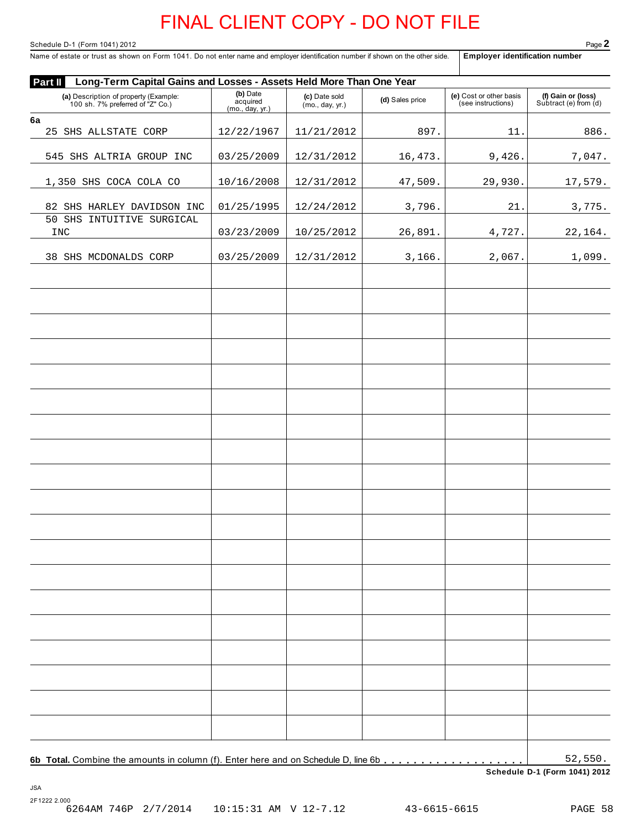Page 2<br>Name of estate or trust as shown on Form 1041. Do not enter name and employer identification number if shown on the other side. | Employer identification number<br>Name of estate or trust as shown on Form 1041. Do not Name of estate or trust as shown on Form 1041. Do not enter name and employer identification number if shown on the other side.

| Part II<br>Long-Term Capital Gains and Losses - Assets Held More Than One Year | (b) Date                    |                                  |                 |                                               |                                             |
|--------------------------------------------------------------------------------|-----------------------------|----------------------------------|-----------------|-----------------------------------------------|---------------------------------------------|
| (a) Description of property (Example:<br>100 sh. 7% preferred of "Z" Co.)      | acquired<br>(mo., day, yr.) | (c) Date sold<br>(mo., day, yr.) | (d) Sales price | (e) Cost or other basis<br>(see instructions) | (f) Gain or (loss)<br>Subtract (e) from (d) |
| 6a                                                                             |                             |                                  |                 |                                               |                                             |
| 25 SHS ALLSTATE CORP                                                           | 12/22/1967                  | 11/21/2012                       | 897.            | 11.                                           | 886.                                        |
| 545 SHS ALTRIA GROUP INC                                                       | 03/25/2009                  | 12/31/2012                       | 16,473.         | 9,426.                                        | 7,047.                                      |
| 1,350 SHS COCA COLA CO                                                         | 10/16/2008                  | 12/31/2012                       | 47,509.         | 29,930.                                       | 17,579.                                     |
| 82 SHS HARLEY DAVIDSON INC                                                     | 01/25/1995                  | 12/24/2012                       | 3,796.          | 21.                                           | 3,775.                                      |
| 50 SHS INTUITIVE SURGICAL<br><b>INC</b>                                        | 03/23/2009                  | 10/25/2012                       | 26,891.         | 4,727.                                        | 22,164.                                     |
| 38 SHS MCDONALDS CORP                                                          | 03/25/2009                  | 12/31/2012                       | 3,166.          | 2,067.                                        | 1,099.                                      |
|                                                                                |                             |                                  |                 |                                               |                                             |
|                                                                                |                             |                                  |                 |                                               |                                             |
|                                                                                |                             |                                  |                 |                                               |                                             |
|                                                                                |                             |                                  |                 |                                               |                                             |
|                                                                                |                             |                                  |                 |                                               |                                             |
|                                                                                |                             |                                  |                 |                                               |                                             |
|                                                                                |                             |                                  |                 |                                               |                                             |
|                                                                                |                             |                                  |                 |                                               |                                             |
|                                                                                |                             |                                  |                 |                                               |                                             |
|                                                                                |                             |                                  |                 |                                               |                                             |
|                                                                                |                             |                                  |                 |                                               |                                             |
|                                                                                |                             |                                  |                 |                                               |                                             |
|                                                                                |                             |                                  |                 |                                               |                                             |
|                                                                                |                             |                                  |                 |                                               |                                             |
|                                                                                |                             |                                  |                 |                                               |                                             |
|                                                                                |                             |                                  |                 |                                               |                                             |
|                                                                                |                             |                                  |                 |                                               | 52,550.                                     |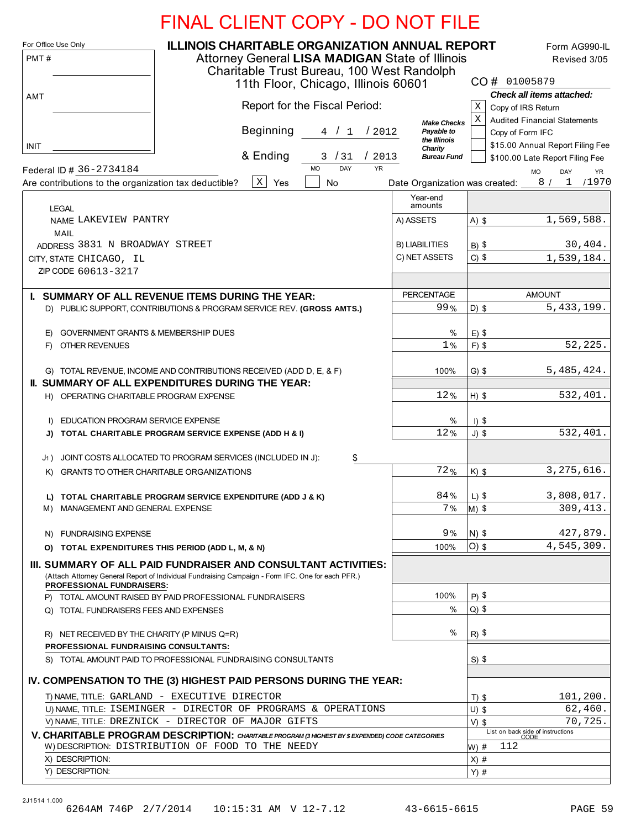|  |  |  | <b>FINAL CLIENT COPY - DO NOT FILE</b> |  |
|--|--|--|----------------------------------------|--|
|--|--|--|----------------------------------------|--|

| For Office Use Only<br>PMT#                                                      | <b>ILLINOIS CHARITABLE ORGANIZATION ANNUAL REPORT</b><br>Attorney General LISA MADIGAN State of Illinois<br>Charitable Trust Bureau, 100 West Randolph<br>11th Floor, Chicago, Illinois 60601 |                                |                                 | Form AG990-IL<br>Revised 3/05<br>CO# 01005879                |
|----------------------------------------------------------------------------------|-----------------------------------------------------------------------------------------------------------------------------------------------------------------------------------------------|--------------------------------|---------------------------------|--------------------------------------------------------------|
| AMT                                                                              | Report for the Fiscal Period:                                                                                                                                                                 |                                | Χ                               | Check all items attached:<br>Copy of IRS Return              |
|                                                                                  |                                                                                                                                                                                               | <b>Make Checks</b>             | Χ                               | <b>Audited Financial Statements</b>                          |
|                                                                                  | <b>Beginning</b><br>4 / 1<br>12012                                                                                                                                                            | Payable to                     |                                 | Copy of Form IFC                                             |
| <b>INIT</b>                                                                      |                                                                                                                                                                                               | the Illinois<br>Charity        |                                 | \$15.00 Annual Report Filing Fee                             |
|                                                                                  | & Ending<br>3/31<br>/2013<br><b>YR</b><br>DAY<br><b>MO</b>                                                                                                                                    | <b>Bureau Fund</b>             |                                 | \$100.00 Late Report Filing Fee                              |
| Federal ID # 36-2734184<br>Are contributions to the organization tax deductible? | $\mathbf X$<br>Yes<br>No                                                                                                                                                                      | Date Organization was created: |                                 | DAY<br><b>MO</b><br><b>YR</b><br>8/<br>$\mathbf{1}$<br>/1970 |
| <b>LEGAL</b>                                                                     |                                                                                                                                                                                               | Year-end<br>amounts            |                                 |                                                              |
| NAME LAKEVIEW PANTRY                                                             |                                                                                                                                                                                               | A) ASSETS                      | $A)$ \$                         | 1,569,588.                                                   |
| <b>MAIL</b>                                                                      |                                                                                                                                                                                               |                                |                                 |                                                              |
| ADDRESS 3831 N BROADWAY STREET                                                   |                                                                                                                                                                                               | <b>B) LIABILITIES</b>          | $B)$ \$                         | 30,404.                                                      |
| CITY, STATE CHICAGO, IL                                                          |                                                                                                                                                                                               | C) NET ASSETS                  | $C)$ \$                         | 1,539,184.                                                   |
| ZIP CODE 60613-3217                                                              |                                                                                                                                                                                               |                                |                                 |                                                              |
|                                                                                  | I. SUMMARY OF ALL REVENUE ITEMS DURING THE YEAR:                                                                                                                                              | <b>PERCENTAGE</b>              |                                 | <b>AMOUNT</b>                                                |
|                                                                                  | D) PUBLIC SUPPORT, CONTRIBUTIONS & PROGRAM SERVICE REV. (GROSS AMTS.)                                                                                                                         | 99%                            | $D)$ \$                         | 5, 433, 199.                                                 |
|                                                                                  |                                                                                                                                                                                               |                                |                                 |                                                              |
| E) GOVERNMENT GRANTS & MEMBERSHIP DUES<br>F) OTHER REVENUES                      |                                                                                                                                                                                               | %<br>1%                        | $E)$ \$<br>$F)$ \$              | 52,225                                                       |
|                                                                                  |                                                                                                                                                                                               |                                |                                 |                                                              |
|                                                                                  | G) TOTAL REVENUE, INCOME AND CONTRIBUTIONS RECEIVED (ADD D, E, & F)                                                                                                                           | 100%                           | $G)$ \$                         | 5,485,424.                                                   |
|                                                                                  | <b>II. SUMMARY OF ALL EXPENDITURES DURING THE YEAR:</b>                                                                                                                                       |                                |                                 |                                                              |
| H) OPERATING CHARITABLE PROGRAM EXPENSE                                          |                                                                                                                                                                                               | 12%                            | $H)$ \$                         | 532,401.                                                     |
|                                                                                  |                                                                                                                                                                                               |                                |                                 |                                                              |
| EDUCATION PROGRAM SERVICE EXPENSE<br>D.<br>J)                                    | TOTAL CHARITABLE PROGRAM SERVICE EXPENSE (ADD H & I)                                                                                                                                          | %<br>12%                       | $I)$ \$<br>$J)$ \$              | 532,401.                                                     |
|                                                                                  |                                                                                                                                                                                               |                                |                                 |                                                              |
| J1)                                                                              | JOINT COSTS ALLOCATED TO PROGRAM SERVICES (INCLUDED IN J):<br>\$                                                                                                                              |                                |                                 |                                                              |
| GRANTS TO OTHER CHARITABLE ORGANIZATIONS<br>K)                                   |                                                                                                                                                                                               | 72%                            | $K)$ \$                         | 3, 275, 616.                                                 |
|                                                                                  |                                                                                                                                                                                               |                                |                                 |                                                              |
| M) MANAGEMENT AND GENERAL EXPENSE                                                | L) TOTAL CHARITABLE PROGRAM SERVICE EXPENDITURE (ADD J & K)                                                                                                                                   | 84%<br>7 %                     | $L)$ \$<br>$\vert M \rangle$ \$ | 3,808,017.<br>309, 413.                                      |
|                                                                                  |                                                                                                                                                                                               |                                |                                 |                                                              |
| N) FUNDRAISING EXPENSE                                                           |                                                                                                                                                                                               | 9%                             | $N)$ \$                         | 427,879.                                                     |
| O) TOTAL EXPENDITURES THIS PERIOD (ADD L, M, & N)                                |                                                                                                                                                                                               | 100%                           | $O$ ) $$$                       | 4,545,309.                                                   |
|                                                                                  | III. SUMMARY OF ALL PAID FUNDRAISER AND CONSULTANT ACTIVITIES:<br>(Attach Attorney General Report of Individual Fundraising Campaign - Form IFC. One for each PFR.)                           |                                |                                 |                                                              |
| <b>PROFESSIONAL FUNDRAISERS:</b>                                                 |                                                                                                                                                                                               | 100%                           | $P)$ \$                         |                                                              |
| Q) TOTAL FUNDRAISERS FEES AND EXPENSES                                           | P) TOTAL AMOUNT RAISED BY PAID PROFESSIONAL FUNDRAISERS                                                                                                                                       | $\%$                           | $Q)$ \$                         |                                                              |
|                                                                                  |                                                                                                                                                                                               |                                |                                 |                                                              |
| R) NET RECEIVED BY THE CHARITY (P MINUS Q=R)                                     |                                                                                                                                                                                               | $\%$                           | $R)$ \$                         |                                                              |
| PROFESSIONAL FUNDRAISING CONSULTANTS:                                            |                                                                                                                                                                                               |                                |                                 |                                                              |
|                                                                                  | S) TOTAL AMOUNT PAID TO PROFESSIONAL FUNDRAISING CONSULTANTS                                                                                                                                  |                                | $S)$ \$                         |                                                              |
|                                                                                  | IV. COMPENSATION TO THE (3) HIGHEST PAID PERSONS DURING THE YEAR:                                                                                                                             |                                |                                 |                                                              |
|                                                                                  | T) NAME, TITLE: GARLAND - EXECUTIVE DIRECTOR                                                                                                                                                  |                                | $T)$ \$                         | 101,200.                                                     |
|                                                                                  | U) NAME, TITLE: ISEMINGER - DIRECTOR OF PROGRAMS & OPERATIONS                                                                                                                                 |                                | $U)$ \$                         | 62,460.                                                      |
|                                                                                  | V) NAME, TITLE: DREZNICK - DIRECTOR OF MAJOR GIFTS                                                                                                                                            |                                | $V)$ \$                         | 70,725.                                                      |
|                                                                                  |                                                                                                                                                                                               |                                |                                 |                                                              |
|                                                                                  | V. CHARITABLE PROGRAM DESCRIPTION: CHARITABLE PROGRAM (3 HIGHEST BY \$ EXPENDED) CODE CATEGORIES                                                                                              |                                |                                 | List on back side of instructions<br>CODE                    |
| X) DESCRIPTION:                                                                  | W) DESCRIPTION: DISTRIBUTION OF FOOD TO THE NEEDY                                                                                                                                             |                                | 112<br>W) #<br>$X)$ #           |                                                              |